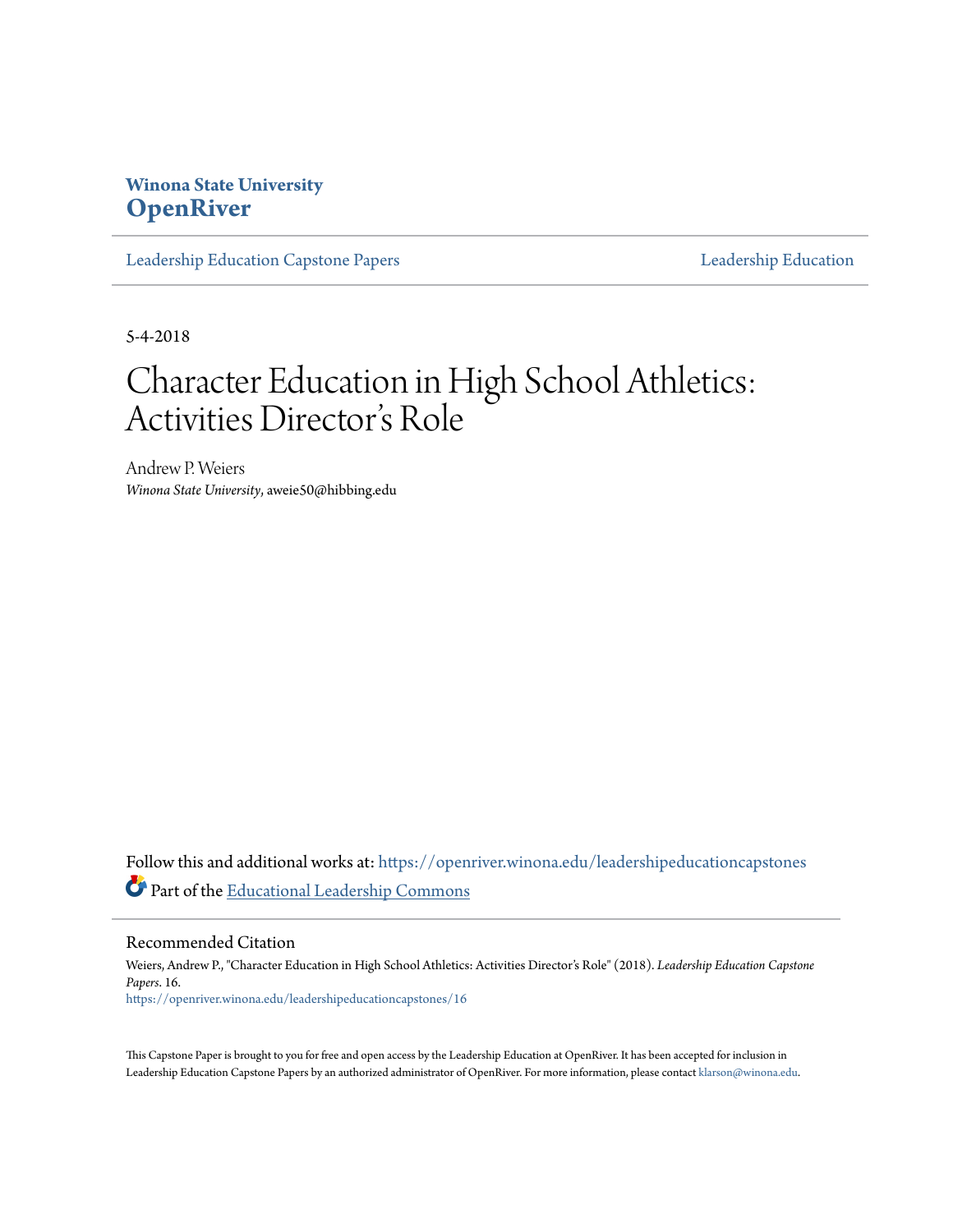# **Winona State University [OpenRiver](https://openriver.winona.edu?utm_source=openriver.winona.edu%2Fleadershipeducationcapstones%2F16&utm_medium=PDF&utm_campaign=PDFCoverPages)**

[Leadership Education Capstone Papers](https://openriver.winona.edu/leadershipeducationcapstones?utm_source=openriver.winona.edu%2Fleadershipeducationcapstones%2F16&utm_medium=PDF&utm_campaign=PDFCoverPages) [Leadership Education](https://openriver.winona.edu/leadershipeducation?utm_source=openriver.winona.edu%2Fleadershipeducationcapstones%2F16&utm_medium=PDF&utm_campaign=PDFCoverPages)

5-4-2018

# Character Education in High School Athletics: Activities Director 's Role

Andrew P. Weiers *Winona State University*, aweie50@hibbing.edu

Follow this and additional works at: [https://openriver.winona.edu/leadershipeducationcapstones](https://openriver.winona.edu/leadershipeducationcapstones?utm_source=openriver.winona.edu%2Fleadershipeducationcapstones%2F16&utm_medium=PDF&utm_campaign=PDFCoverPages) Part of the [Educational Leadership Commons](http://network.bepress.com/hgg/discipline/1230?utm_source=openriver.winona.edu%2Fleadershipeducationcapstones%2F16&utm_medium=PDF&utm_campaign=PDFCoverPages)

Recommended Citation

Weiers, Andrew P., "Character Education in High School Athletics: Activities Director's Role" (2018). *Leadership Education Capstone Papers*. 16. [https://openriver.winona.edu/leadershipeducationcapstones/16](https://openriver.winona.edu/leadershipeducationcapstones/16?utm_source=openriver.winona.edu%2Fleadershipeducationcapstones%2F16&utm_medium=PDF&utm_campaign=PDFCoverPages)

This Capstone Paper is brought to you for free and open access by the Leadership Education at OpenRiver. It has been accepted for inclusion in Leadership Education Capstone Papers by an authorized administrator of OpenRiver. For more information, please contact [klarson@winona.edu.](mailto:klarson@winona.edu)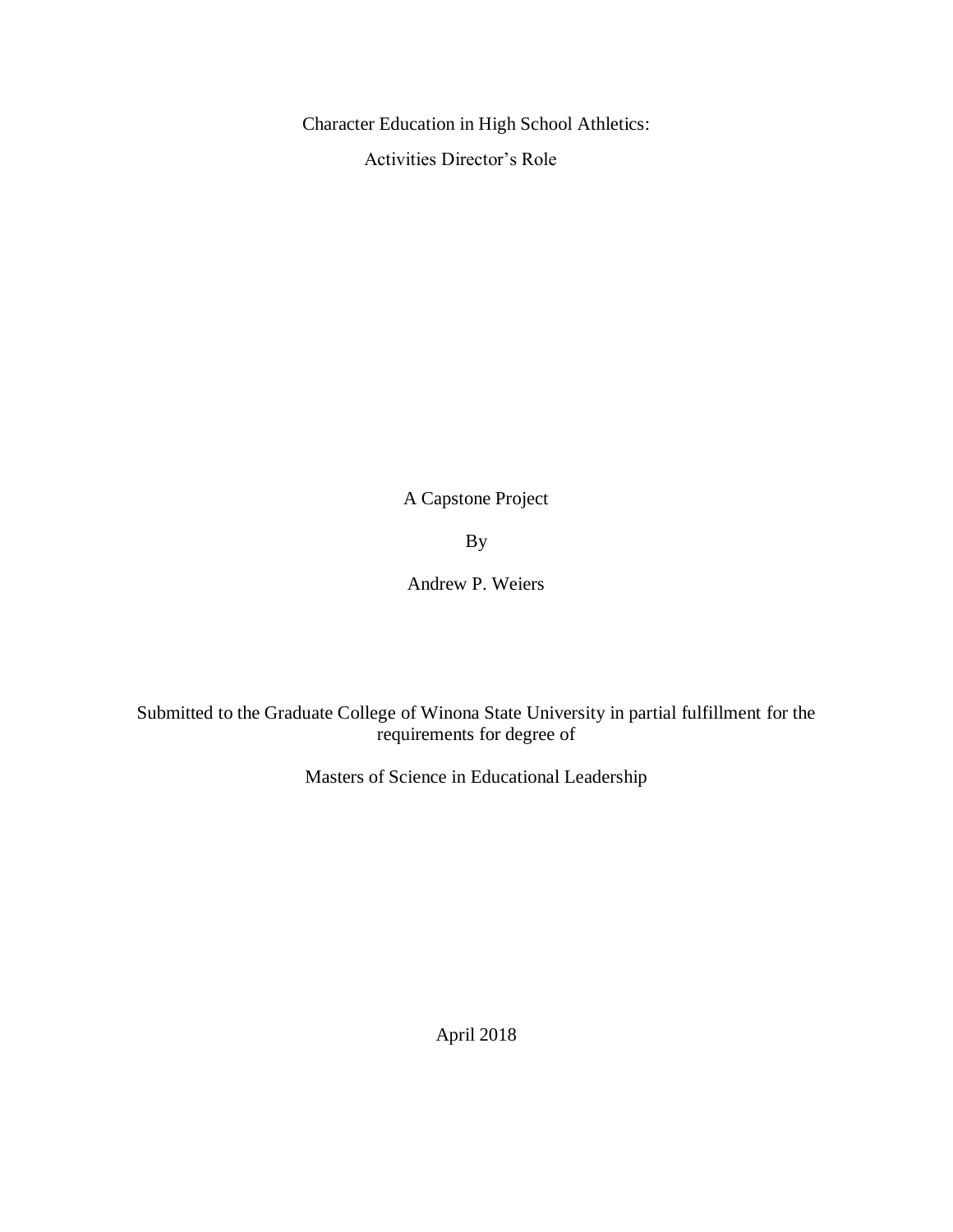Character Education in High School Athletics:

Activities Director's Role

A Capstone Project

By

Andrew P. Weiers

Submitted to the Graduate College of Winona State University in partial fulfillment for the requirements for degree of

Masters of Science in Educational Leadership

April 2018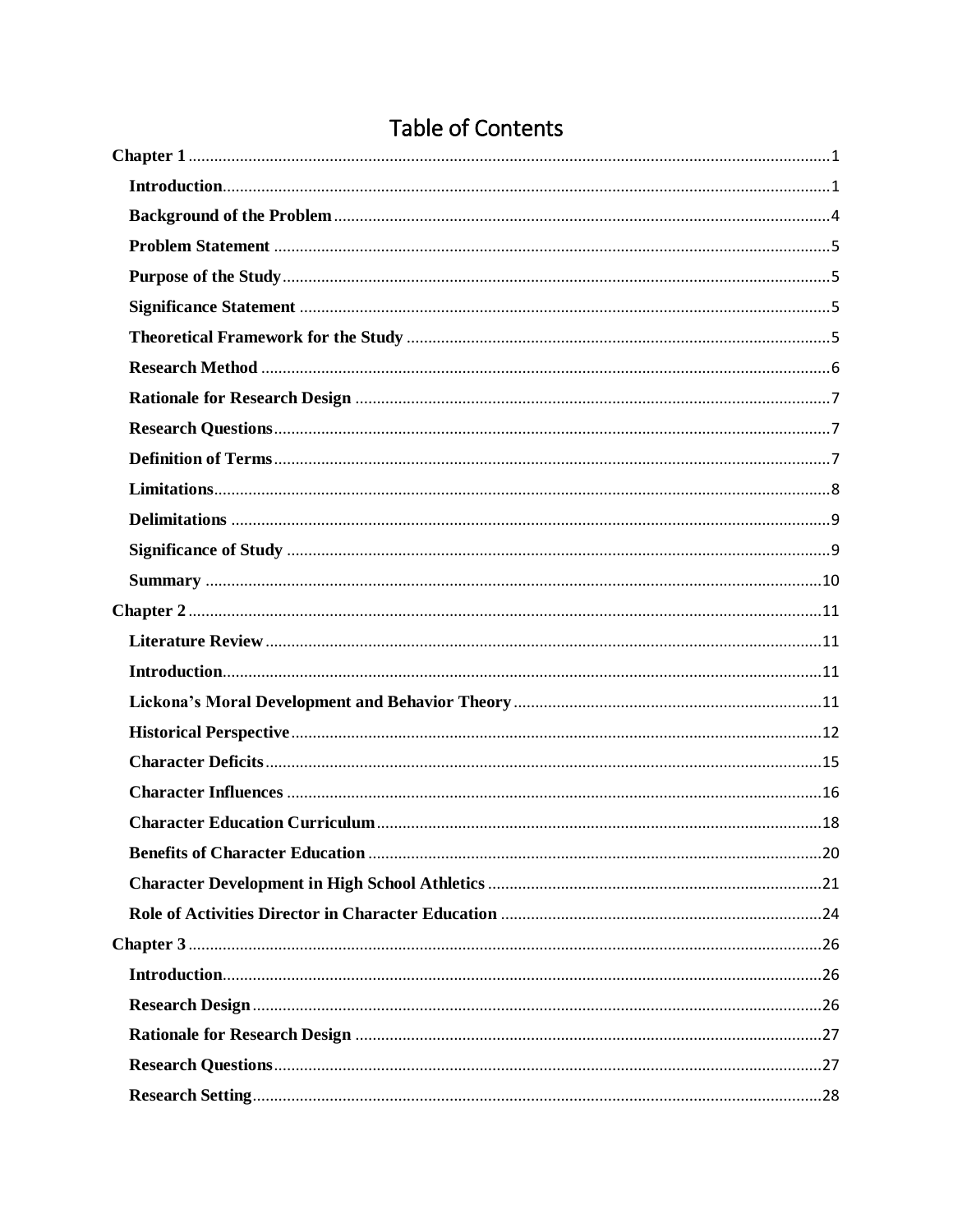# Table of Contents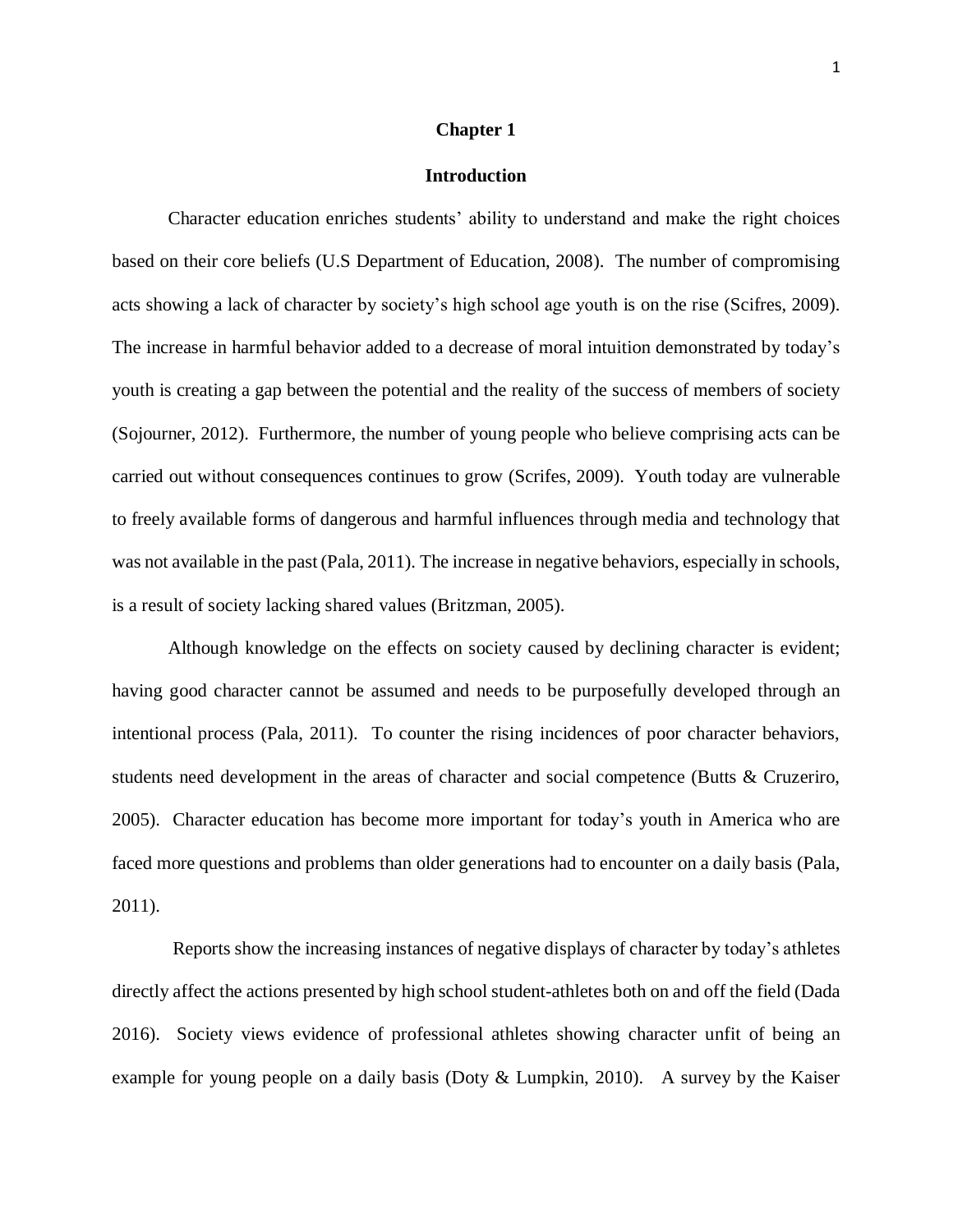#### **Chapter 1**

#### **Introduction**

<span id="page-5-1"></span><span id="page-5-0"></span>Character education enriches students' ability to understand and make the right choices based on their core beliefs (U.S Department of Education, 2008). The number of compromising acts showing a lack of character by society's high school age youth is on the rise (Scifres, 2009). The increase in harmful behavior added to a decrease of moral intuition demonstrated by today's youth is creating a gap between the potential and the reality of the success of members of society (Sojourner, 2012). Furthermore, the number of young people who believe comprising acts can be carried out without consequences continues to grow (Scrifes, 2009). Youth today are vulnerable to freely available forms of dangerous and harmful influences through media and technology that was not available in the past (Pala, 2011). The increase in negative behaviors, especially in schools, is a result of society lacking shared values (Britzman, 2005).

Although knowledge on the effects on society caused by declining character is evident; having good character cannot be assumed and needs to be purposefully developed through an intentional process (Pala, 2011). To counter the rising incidences of poor character behaviors, students need development in the areas of character and social competence (Butts & Cruzeriro, 2005). Character education has become more important for today's youth in America who are faced more questions and problems than older generations had to encounter on a daily basis (Pala, 2011).

Reports show the increasing instances of negative displays of character by today's athletes directly affect the actions presented by high school student-athletes both on and off the field (Dada 2016). Society views evidence of professional athletes showing character unfit of being an example for young people on a daily basis (Doty & Lumpkin, 2010). A survey by the Kaiser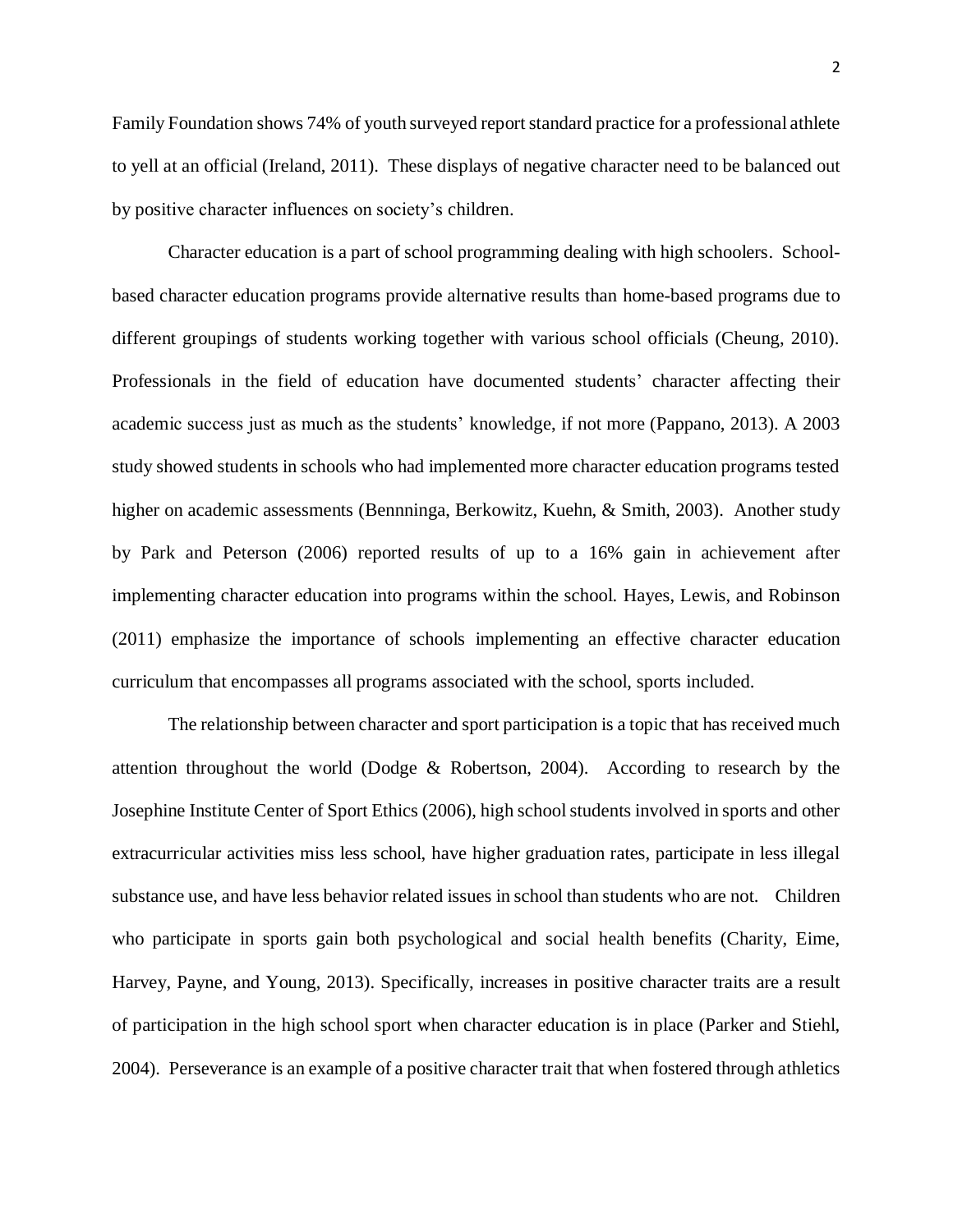Family Foundation shows 74% of youth surveyed reportstandard practice for a professional athlete to yell at an official (Ireland, 2011). These displays of negative character need to be balanced out by positive character influences on society's children.

Character education is a part of school programming dealing with high schoolers. Schoolbased character education programs provide alternative results than home-based programs due to different groupings of students working together with various school officials (Cheung, 2010). Professionals in the field of education have documented students' character affecting their academic success just as much as the students' knowledge, if not more (Pappano, 2013). A 2003 study showed students in schools who had implemented more character education programs tested higher on academic assessments (Bennninga, Berkowitz, Kuehn, & Smith, 2003). Another study by Park and Peterson (2006) reported results of up to a 16% gain in achievement after implementing character education into programs within the school. Hayes, Lewis, and Robinson (2011) emphasize the importance of schools implementing an effective character education curriculum that encompasses all programs associated with the school, sports included.

The relationship between character and sport participation is a topic that has received much attention throughout the world (Dodge & Robertson, 2004). According to research by the Josephine Institute Center of Sport Ethics (2006), high school students involved in sports and other extracurricular activities miss less school, have higher graduation rates, participate in less illegal substance use, and have less behavior related issues in school than students who are not. Children who participate in sports gain both psychological and social health benefits (Charity, Eime, Harvey, Payne, and Young, 2013). Specifically, increases in positive character traits are a result of participation in the high school sport when character education is in place (Parker and Stiehl, 2004). Perseverance is an example of a positive character trait that when fostered through athletics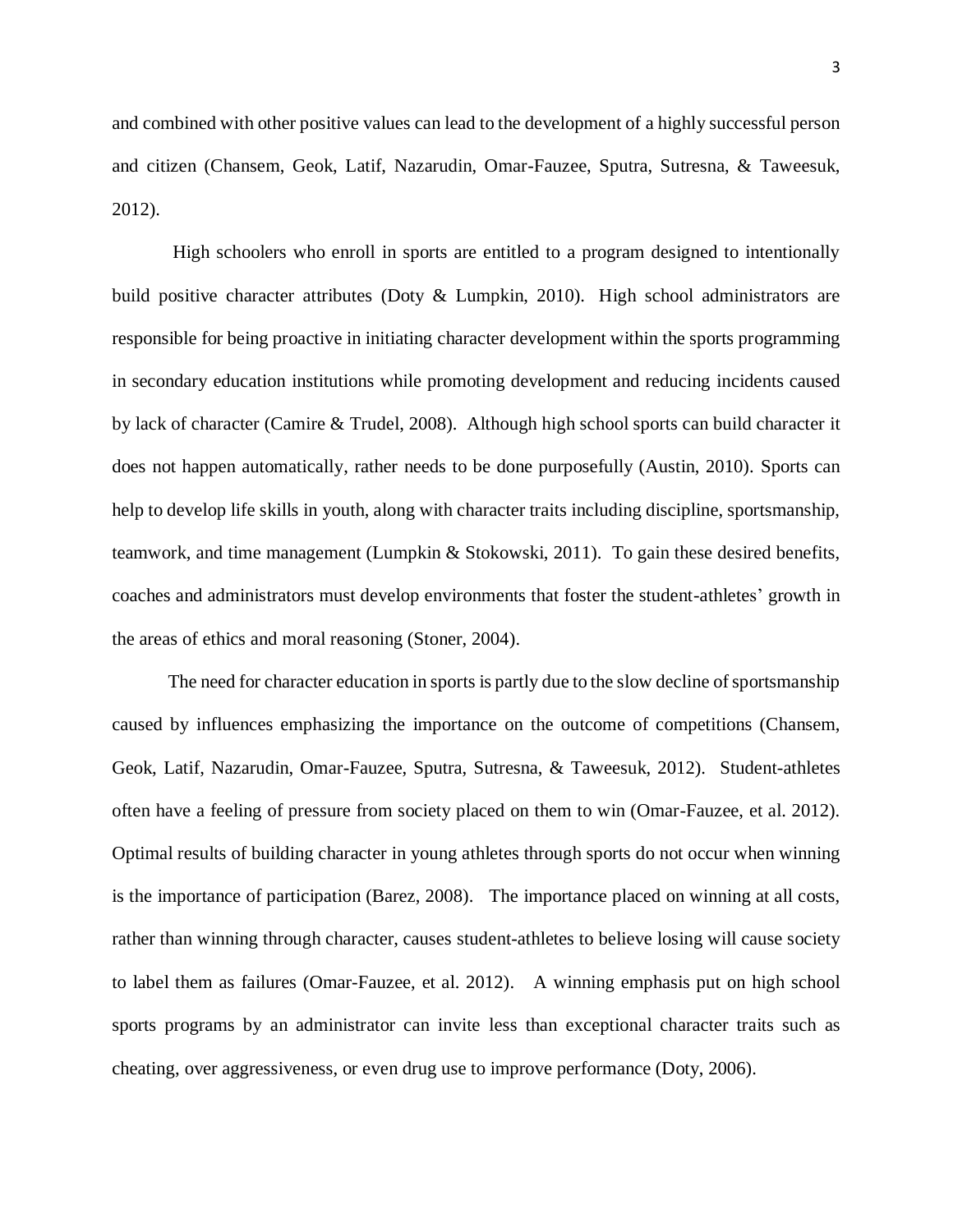3

and combined with other positive values can lead to the development of a highly successful person and citizen (Chansem, Geok, Latif, Nazarudin, Omar-Fauzee, Sputra, Sutresna, & Taweesuk, 2012).

High schoolers who enroll in sports are entitled to a program designed to intentionally build positive character attributes (Doty & Lumpkin, 2010). High school administrators are responsible for being proactive in initiating character development within the sports programming in secondary education institutions while promoting development and reducing incidents caused by lack of character (Camire & Trudel, 2008). Although high school sports can build character it does not happen automatically, rather needs to be done purposefully (Austin, 2010). Sports can help to develop life skills in youth, along with character traits including discipline, sportsmanship, teamwork, and time management (Lumpkin & Stokowski, 2011). To gain these desired benefits, coaches and administrators must develop environments that foster the student-athletes' growth in the areas of ethics and moral reasoning (Stoner, 2004).

The need for character education in sports is partly due to the slow decline of sportsmanship caused by influences emphasizing the importance on the outcome of competitions (Chansem, Geok, Latif, Nazarudin, Omar-Fauzee, Sputra, Sutresna, & Taweesuk, 2012). Student-athletes often have a feeling of pressure from society placed on them to win (Omar-Fauzee, et al. 2012). Optimal results of building character in young athletes through sports do not occur when winning is the importance of participation (Barez, 2008). The importance placed on winning at all costs, rather than winning through character, causes student-athletes to believe losing will cause society to label them as failures (Omar-Fauzee, et al. 2012). A winning emphasis put on high school sports programs by an administrator can invite less than exceptional character traits such as cheating, over aggressiveness, or even drug use to improve performance (Doty, 2006).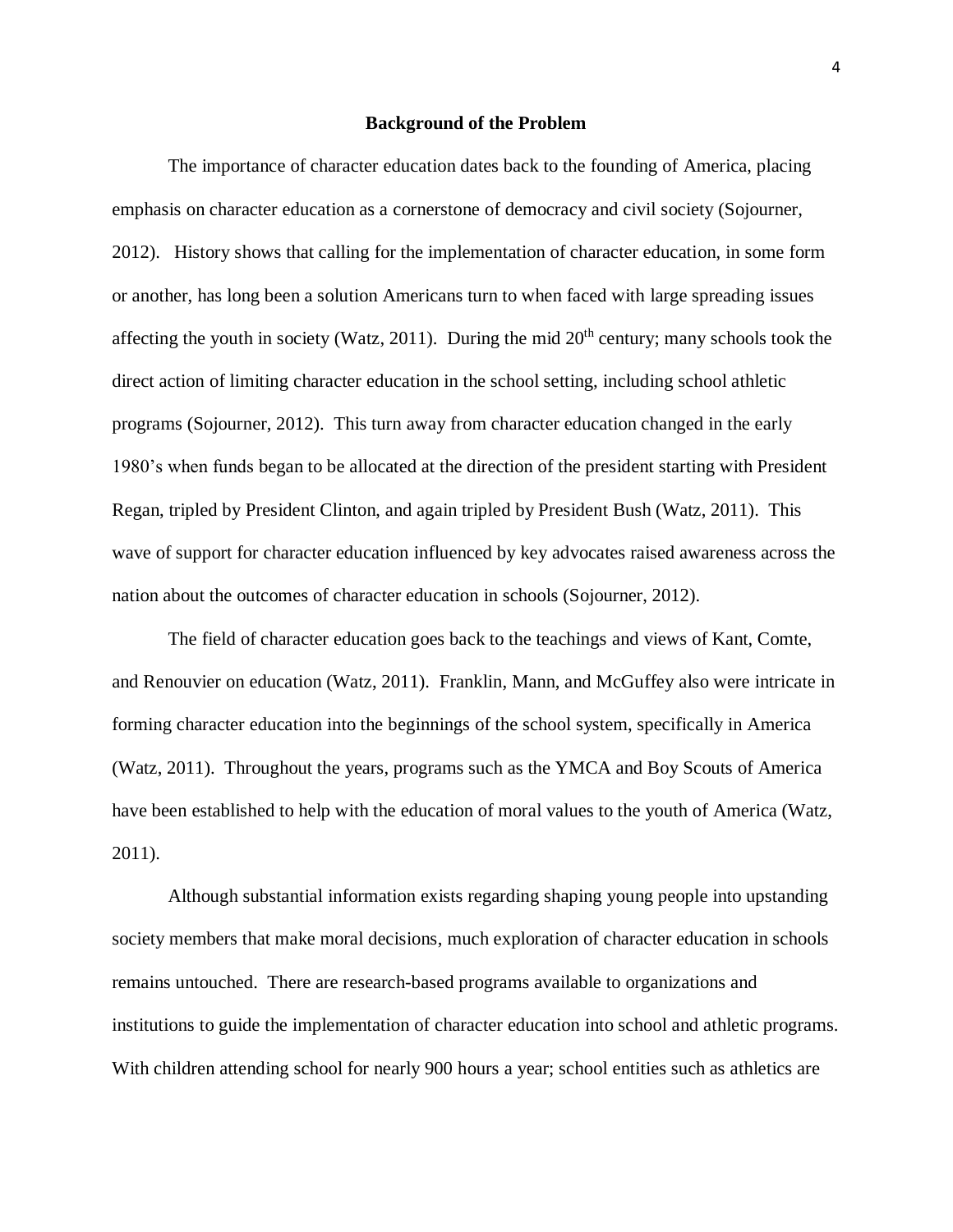#### **Background of the Problem**

<span id="page-8-0"></span>The importance of character education dates back to the founding of America, placing emphasis on character education as a cornerstone of democracy and civil society (Sojourner, 2012). History shows that calling for the implementation of character education, in some form or another, has long been a solution Americans turn to when faced with large spreading issues affecting the youth in society (Watz, 2011). During the mid  $20<sup>th</sup>$  century; many schools took the direct action of limiting character education in the school setting, including school athletic programs (Sojourner, 2012). This turn away from character education changed in the early 1980's when funds began to be allocated at the direction of the president starting with President Regan, tripled by President Clinton, and again tripled by President Bush (Watz, 2011). This wave of support for character education influenced by key advocates raised awareness across the nation about the outcomes of character education in schools (Sojourner, 2012).

The field of character education goes back to the teachings and views of Kant, Comte, and Renouvier on education (Watz, 2011). Franklin, Mann, and McGuffey also were intricate in forming character education into the beginnings of the school system, specifically in America (Watz, 2011). Throughout the years, programs such as the YMCA and Boy Scouts of America have been established to help with the education of moral values to the youth of America (Watz, 2011).

Although substantial information exists regarding shaping young people into upstanding society members that make moral decisions, much exploration of character education in schools remains untouched. There are research-based programs available to organizations and institutions to guide the implementation of character education into school and athletic programs. With children attending school for nearly 900 hours a year; school entities such as athletics are

4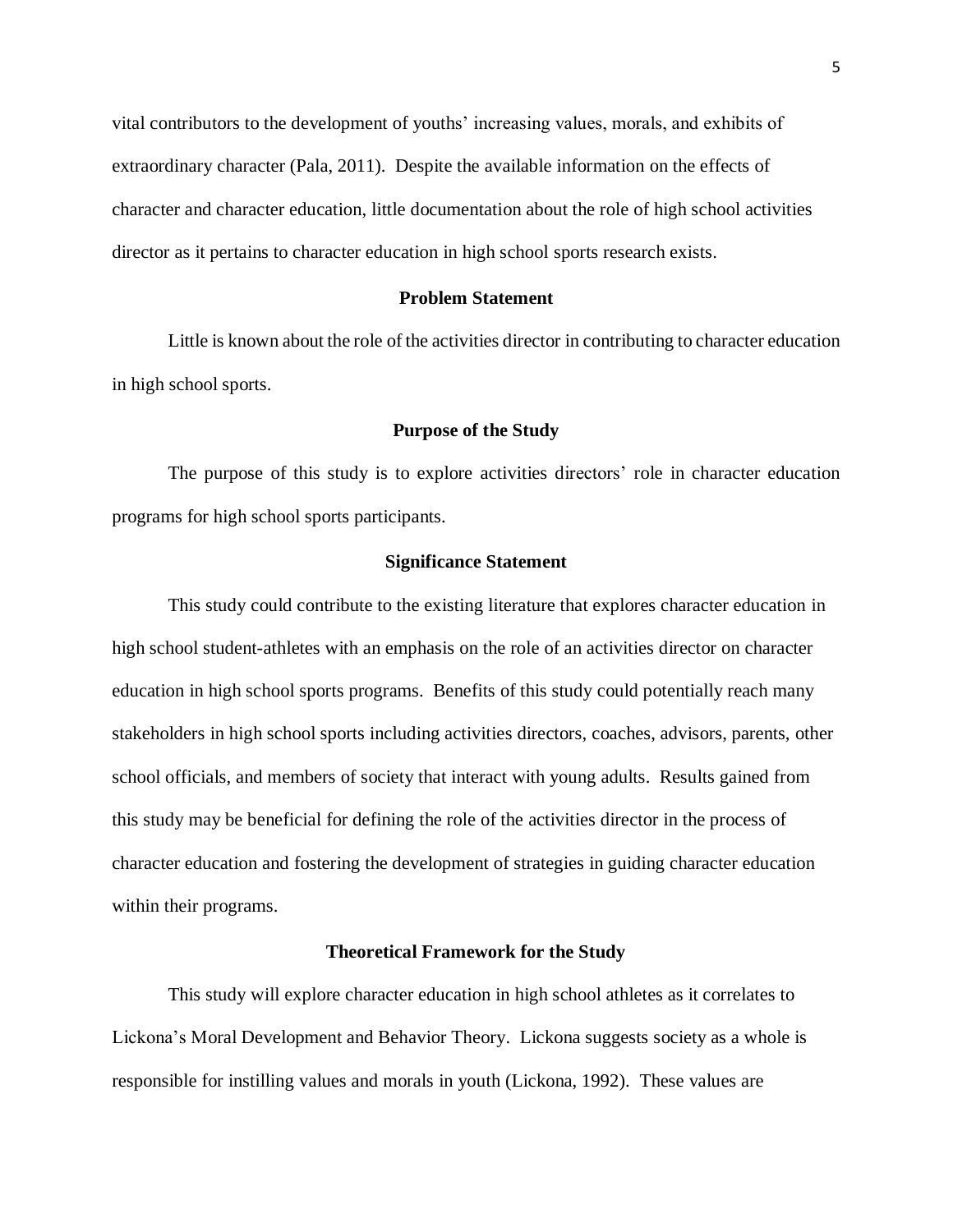vital contributors to the development of youths' increasing values, morals, and exhibits of extraordinary character (Pala, 2011). Despite the available information on the effects of character and character education, little documentation about the role of high school activities director as it pertains to character education in high school sports research exists.

#### **Problem Statement**

<span id="page-9-0"></span>Little is known about the role of the activities director in contributing to character education in high school sports.

#### **Purpose of the Study**

<span id="page-9-1"></span> The purpose of this study is to explore activities directors' role in character education programs for high school sports participants.

#### **Significance Statement**

<span id="page-9-2"></span>This study could contribute to the existing literature that explores character education in high school student-athletes with an emphasis on the role of an activities director on character education in high school sports programs. Benefits of this study could potentially reach many stakeholders in high school sports including activities directors, coaches, advisors, parents, other school officials, and members of society that interact with young adults. Results gained from this study may be beneficial for defining the role of the activities director in the process of character education and fostering the development of strategies in guiding character education within their programs.

#### **Theoretical Framework for the Study**

<span id="page-9-3"></span>This study will explore character education in high school athletes as it correlates to Lickona's Moral Development and Behavior Theory. Lickona suggests society as a whole is responsible for instilling values and morals in youth (Lickona, 1992). These values are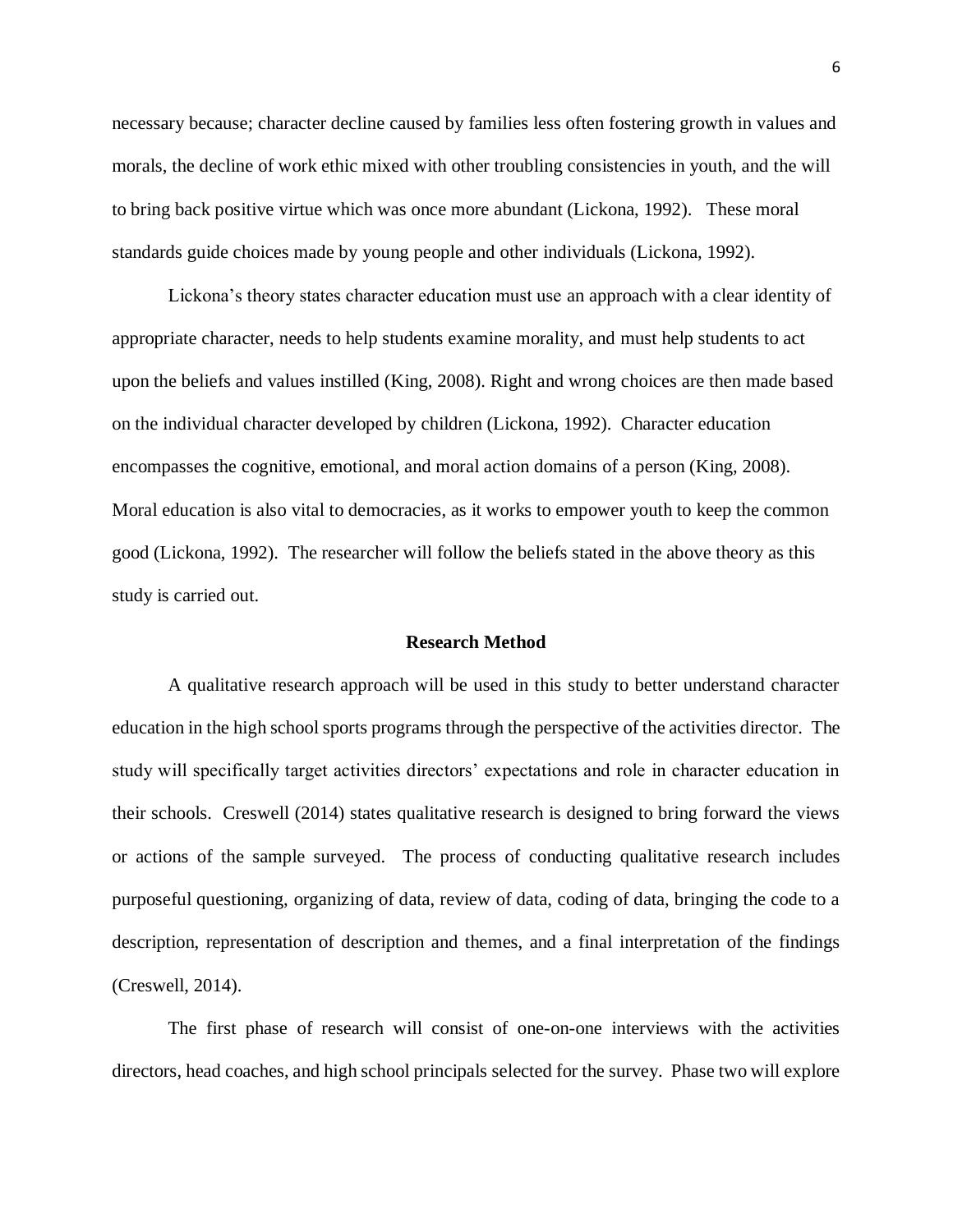necessary because; character decline caused by families less often fostering growth in values and morals, the decline of work ethic mixed with other troubling consistencies in youth, and the will to bring back positive virtue which was once more abundant (Lickona, 1992). These moral standards guide choices made by young people and other individuals (Lickona, 1992).

Lickona's theory states character education must use an approach with a clear identity of appropriate character, needs to help students examine morality, and must help students to act upon the beliefs and values instilled (King, 2008). Right and wrong choices are then made based on the individual character developed by children (Lickona, 1992). Character education encompasses the cognitive, emotional, and moral action domains of a person (King, 2008). Moral education is also vital to democracies, as it works to empower youth to keep the common good (Lickona, 1992). The researcher will follow the beliefs stated in the above theory as this study is carried out.

#### **Research Method**

<span id="page-10-0"></span>A qualitative research approach will be used in this study to better understand character education in the high school sports programs through the perspective of the activities director. The study will specifically target activities directors' expectations and role in character education in their schools. Creswell (2014) states qualitative research is designed to bring forward the views or actions of the sample surveyed. The process of conducting qualitative research includes purposeful questioning, organizing of data, review of data, coding of data, bringing the code to a description, representation of description and themes, and a final interpretation of the findings (Creswell, 2014).

The first phase of research will consist of one-on-one interviews with the activities directors, head coaches, and high school principals selected for the survey. Phase two will explore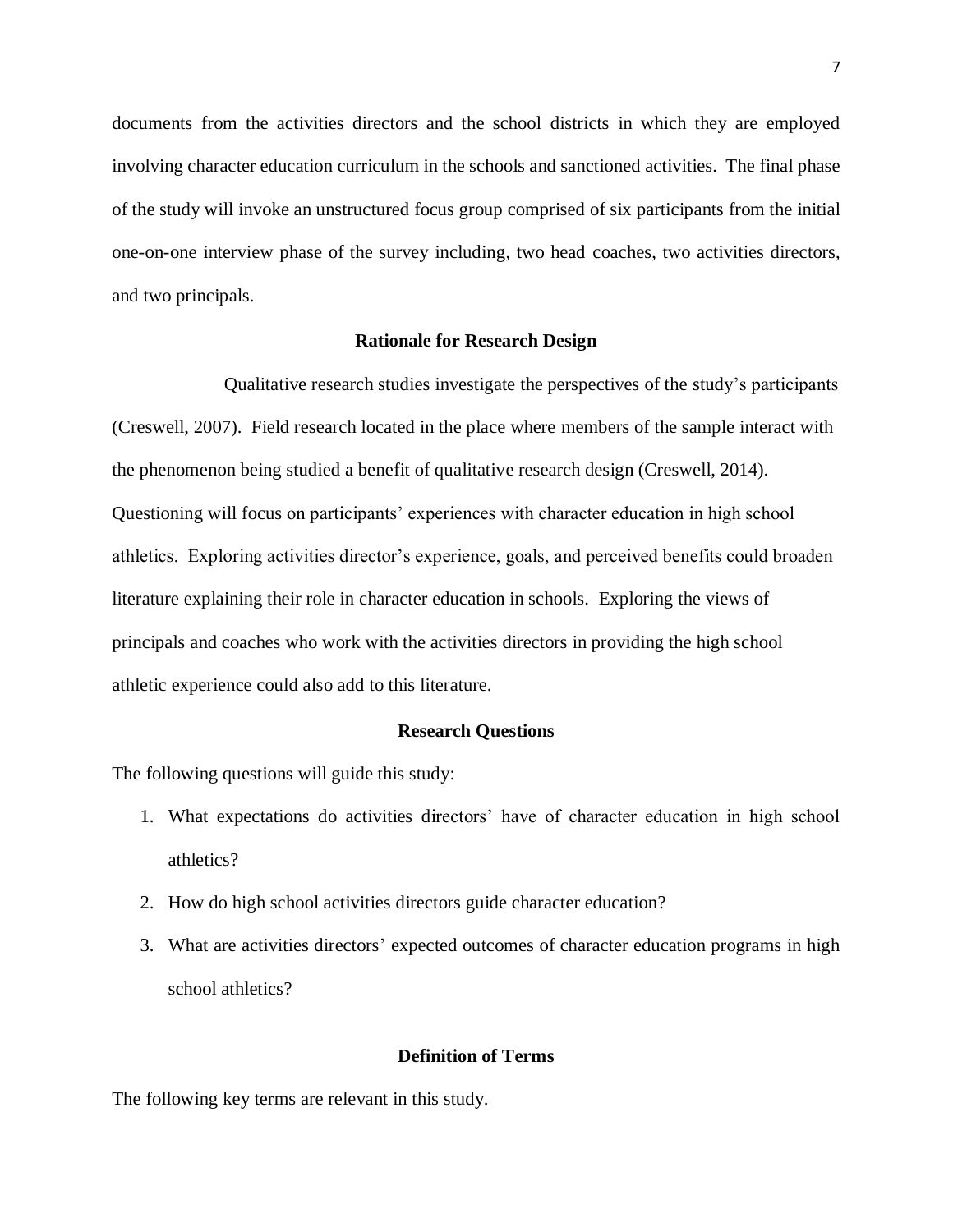documents from the activities directors and the school districts in which they are employed involving character education curriculum in the schools and sanctioned activities. The final phase of the study will invoke an unstructured focus group comprised of six participants from the initial one-on-one interview phase of the survey including, two head coaches, two activities directors, and two principals.

#### **Rationale for Research Design**

<span id="page-11-0"></span>Qualitative research studies investigate the perspectives of the study's participants (Creswell, 2007). Field research located in the place where members of the sample interact with the phenomenon being studied a benefit of qualitative research design (Creswell, 2014). Questioning will focus on participants' experiences with character education in high school athletics. Exploring activities director's experience, goals, and perceived benefits could broaden literature explaining their role in character education in schools. Exploring the views of principals and coaches who work with the activities directors in providing the high school athletic experience could also add to this literature.

#### **Research Questions**

<span id="page-11-1"></span>The following questions will guide this study:

- 1. What expectations do activities directors' have of character education in high school athletics?
- 2. How do high school activities directors guide character education?
- 3. What are activities directors' expected outcomes of character education programs in high school athletics?

# **Definition of Terms**

<span id="page-11-2"></span>The following key terms are relevant in this study.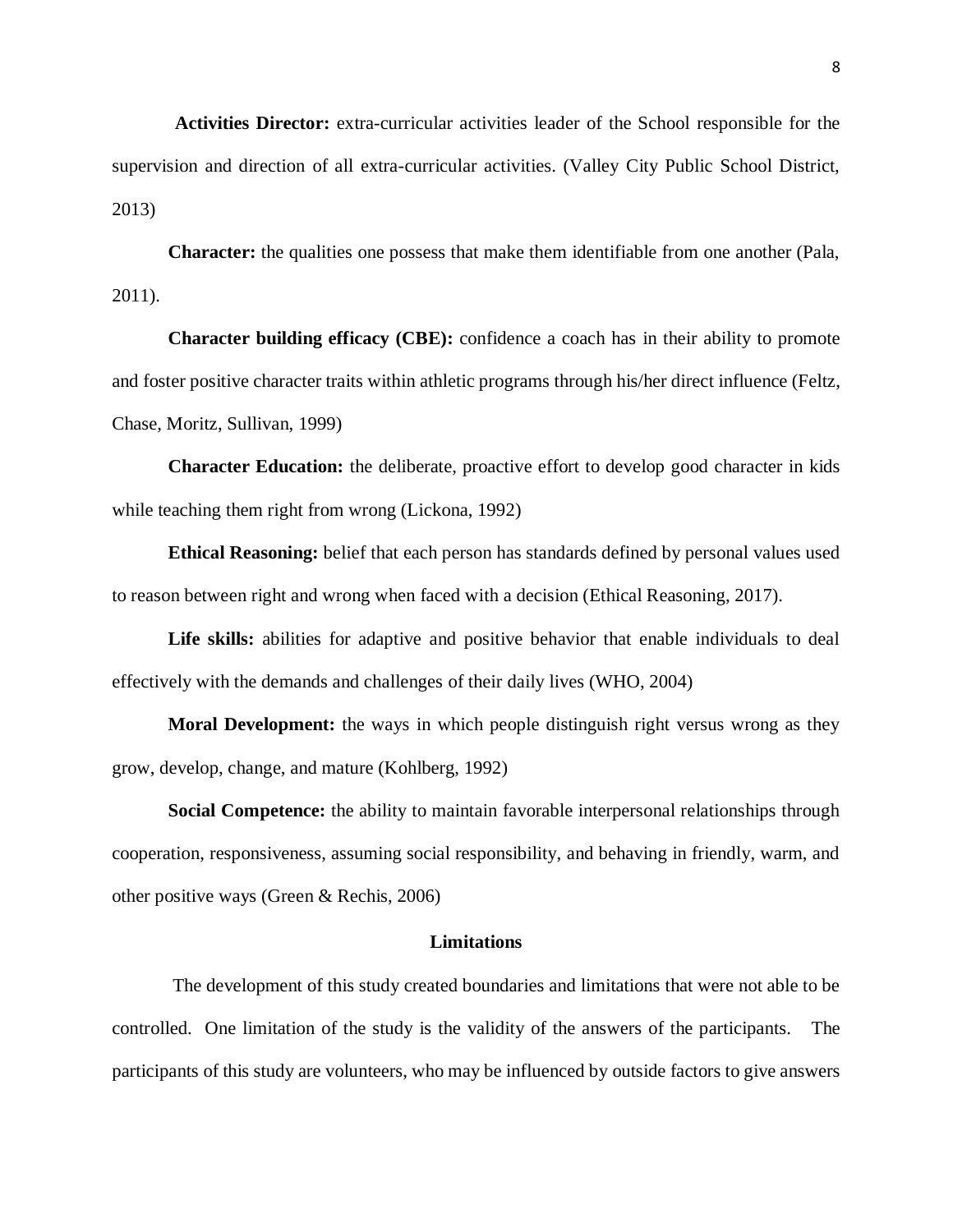**Activities Director:** extra-curricular activities leader of the School responsible for the supervision and direction of all extra-curricular activities. (Valley City Public School District, 2013)

**Character:** the qualities one possess that make them identifiable from one another (Pala, 2011).

**Character building efficacy (CBE):** confidence a coach has in their ability to promote and foster positive character traits within athletic programs through his/her direct influence (Feltz, Chase, Moritz, Sullivan, 1999)

**Character Education:** the deliberate, proactive effort to develop good character in kids while teaching them right from wrong (Lickona, 1992)

**Ethical Reasoning:** belief that each person has standards defined by personal values used to reason between right and wrong when faced with a decision (Ethical Reasoning, 2017).

**Life skills:** abilities for adaptive and positive behavior that enable individuals to deal effectively with the demands and challenges of their daily lives (WHO, 2004)

**Moral Development:** the ways in which people distinguish right versus wrong as they grow, develop, change, and mature (Kohlberg, 1992)

**Social Competence:** the ability to maintain favorable interpersonal relationships through cooperation, responsiveness, assuming social responsibility, and behaving in friendly, warm, and other positive ways (Green & Rechis, 2006)

#### **Limitations**

<span id="page-12-0"></span>The development of this study created boundaries and limitations that were not able to be controlled. One limitation of the study is the validity of the answers of the participants. The participants of this study are volunteers, who may be influenced by outside factors to give answers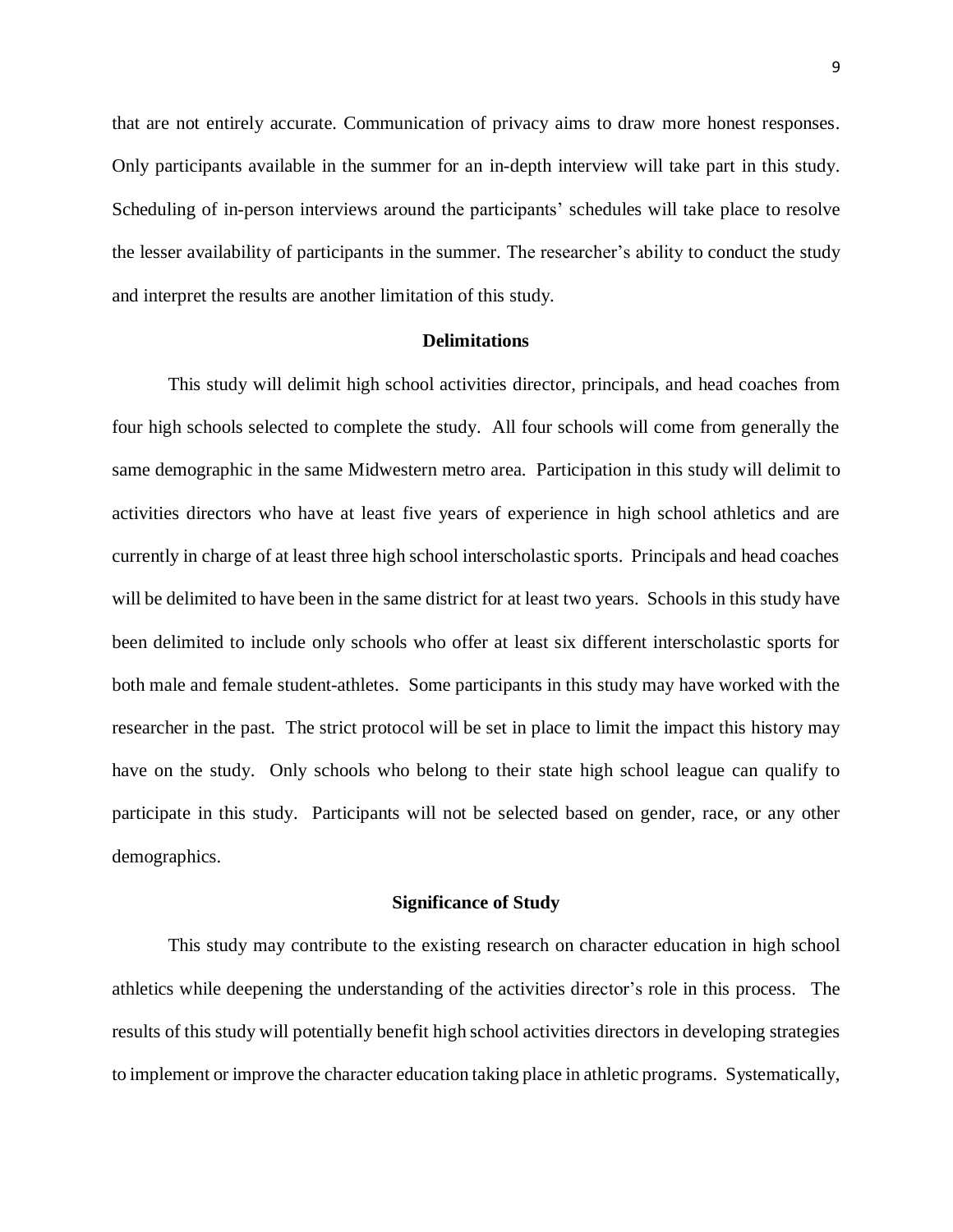that are not entirely accurate. Communication of privacy aims to draw more honest responses. Only participants available in the summer for an in-depth interview will take part in this study. Scheduling of in-person interviews around the participants' schedules will take place to resolve the lesser availability of participants in the summer. The researcher's ability to conduct the study and interpret the results are another limitation of this study.

#### **Delimitations**

<span id="page-13-0"></span>This study will delimit high school activities director, principals, and head coaches from four high schools selected to complete the study. All four schools will come from generally the same demographic in the same Midwestern metro area. Participation in this study will delimit to activities directors who have at least five years of experience in high school athletics and are currently in charge of at least three high school interscholastic sports. Principals and head coaches will be delimited to have been in the same district for at least two years. Schools in this study have been delimited to include only schools who offer at least six different interscholastic sports for both male and female student-athletes. Some participants in this study may have worked with the researcher in the past. The strict protocol will be set in place to limit the impact this history may have on the study. Only schools who belong to their state high school league can qualify to participate in this study. Participants will not be selected based on gender, race, or any other demographics.

#### **Significance of Study**

<span id="page-13-1"></span>This study may contribute to the existing research on character education in high school athletics while deepening the understanding of the activities director's role in this process. The results of this study will potentially benefit high school activities directors in developing strategies to implement or improve the character education taking place in athletic programs. Systematically,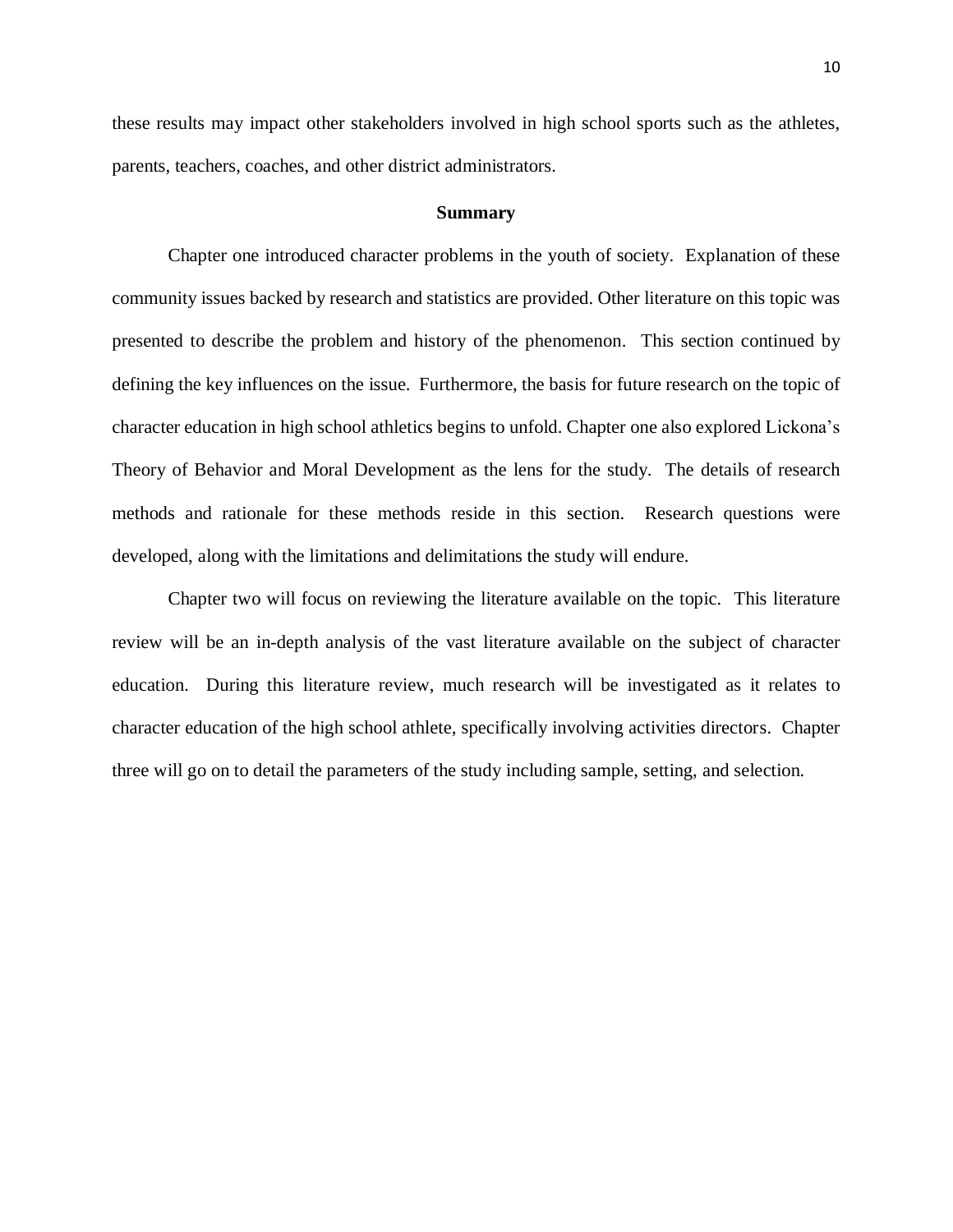these results may impact other stakeholders involved in high school sports such as the athletes, parents, teachers, coaches, and other district administrators.

#### **Summary**

<span id="page-14-0"></span> Chapter one introduced character problems in the youth of society. Explanation of these community issues backed by research and statistics are provided. Other literature on this topic was presented to describe the problem and history of the phenomenon. This section continued by defining the key influences on the issue. Furthermore, the basis for future research on the topic of character education in high school athletics begins to unfold. Chapter one also explored Lickona's Theory of Behavior and Moral Development as the lens for the study. The details of research methods and rationale for these methods reside in this section. Research questions were developed, along with the limitations and delimitations the study will endure.

Chapter two will focus on reviewing the literature available on the topic. This literature review will be an in-depth analysis of the vast literature available on the subject of character education. During this literature review, much research will be investigated as it relates to character education of the high school athlete, specifically involving activities directors. Chapter three will go on to detail the parameters of the study including sample, setting, and selection.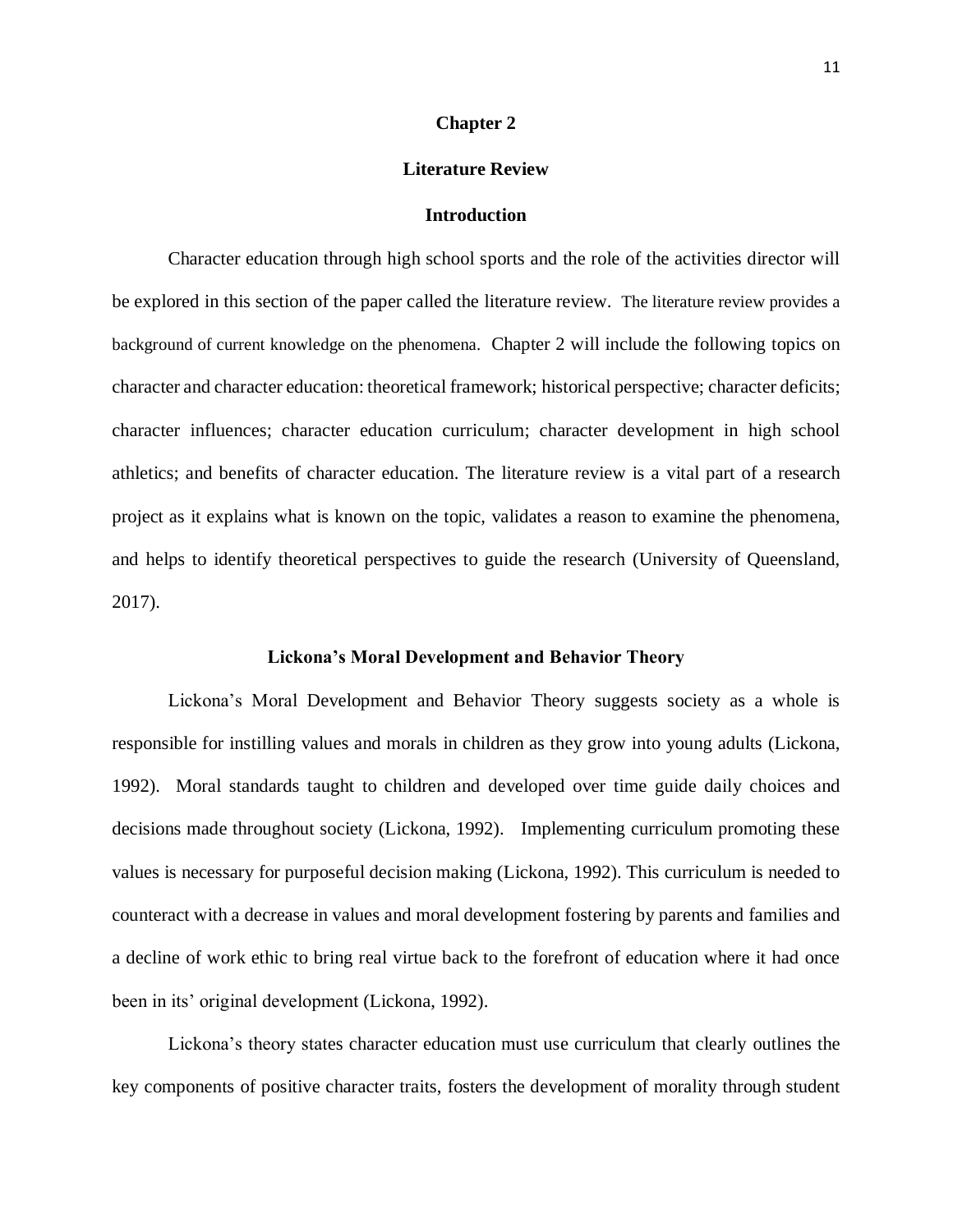#### **Chapter 2**

#### **Literature Review**

#### **Introduction**

<span id="page-15-2"></span><span id="page-15-1"></span><span id="page-15-0"></span>Character education through high school sports and the role of the activities director will be explored in this section of the paper called the literature review. The literature review provides a background of current knowledge on the phenomena. Chapter 2 will include the following topics on character and character education: theoretical framework; historical perspective; character deficits; character influences; character education curriculum; character development in high school athletics; and benefits of character education. The literature review is a vital part of a research project as it explains what is known on the topic, validates a reason to examine the phenomena, and helps to identify theoretical perspectives to guide the research (University of Queensland, 2017).

#### **Lickona's Moral Development and Behavior Theory**

<span id="page-15-3"></span>Lickona's Moral Development and Behavior Theory suggests society as a whole is responsible for instilling values and morals in children as they grow into young adults (Lickona, 1992). Moral standards taught to children and developed over time guide daily choices and decisions made throughout society (Lickona, 1992). Implementing curriculum promoting these values is necessary for purposeful decision making (Lickona, 1992). This curriculum is needed to counteract with a decrease in values and moral development fostering by parents and families and a decline of work ethic to bring real virtue back to the forefront of education where it had once been in its' original development (Lickona, 1992).

Lickona's theory states character education must use curriculum that clearly outlines the key components of positive character traits, fosters the development of morality through student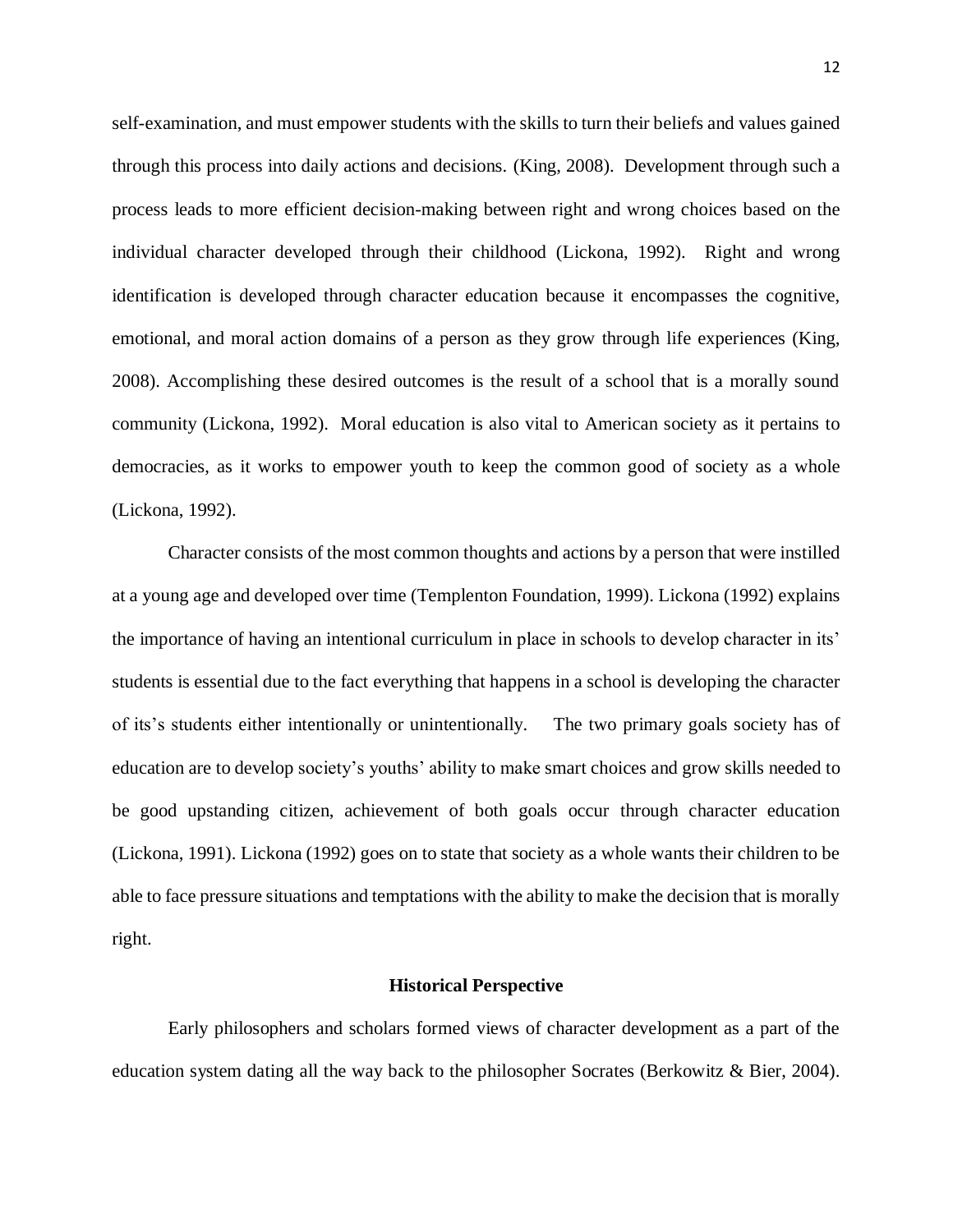self-examination, and must empower students with the skills to turn their beliefs and values gained through this process into daily actions and decisions. (King, 2008). Development through such a process leads to more efficient decision-making between right and wrong choices based on the individual character developed through their childhood (Lickona, 1992). Right and wrong identification is developed through character education because it encompasses the cognitive, emotional, and moral action domains of a person as they grow through life experiences (King, 2008). Accomplishing these desired outcomes is the result of a school that is a morally sound community (Lickona, 1992). Moral education is also vital to American society as it pertains to democracies, as it works to empower youth to keep the common good of society as a whole (Lickona, 1992).

Character consists of the most common thoughts and actions by a person that were instilled at a young age and developed over time (Templenton Foundation, 1999). Lickona (1992) explains the importance of having an intentional curriculum in place in schools to develop character in its' students is essential due to the fact everything that happens in a school is developing the character of its's students either intentionally or unintentionally. The two primary goals society has of education are to develop society's youths' ability to make smart choices and grow skills needed to be good upstanding citizen, achievement of both goals occur through character education (Lickona, 1991). Lickona (1992) goes on to state that society as a whole wants their children to be able to face pressure situations and temptations with the ability to make the decision that is morally right.

#### **Historical Perspective**

<span id="page-16-0"></span>Early philosophers and scholars formed views of character development as a part of the education system dating all the way back to the philosopher Socrates (Berkowitz & Bier, 2004).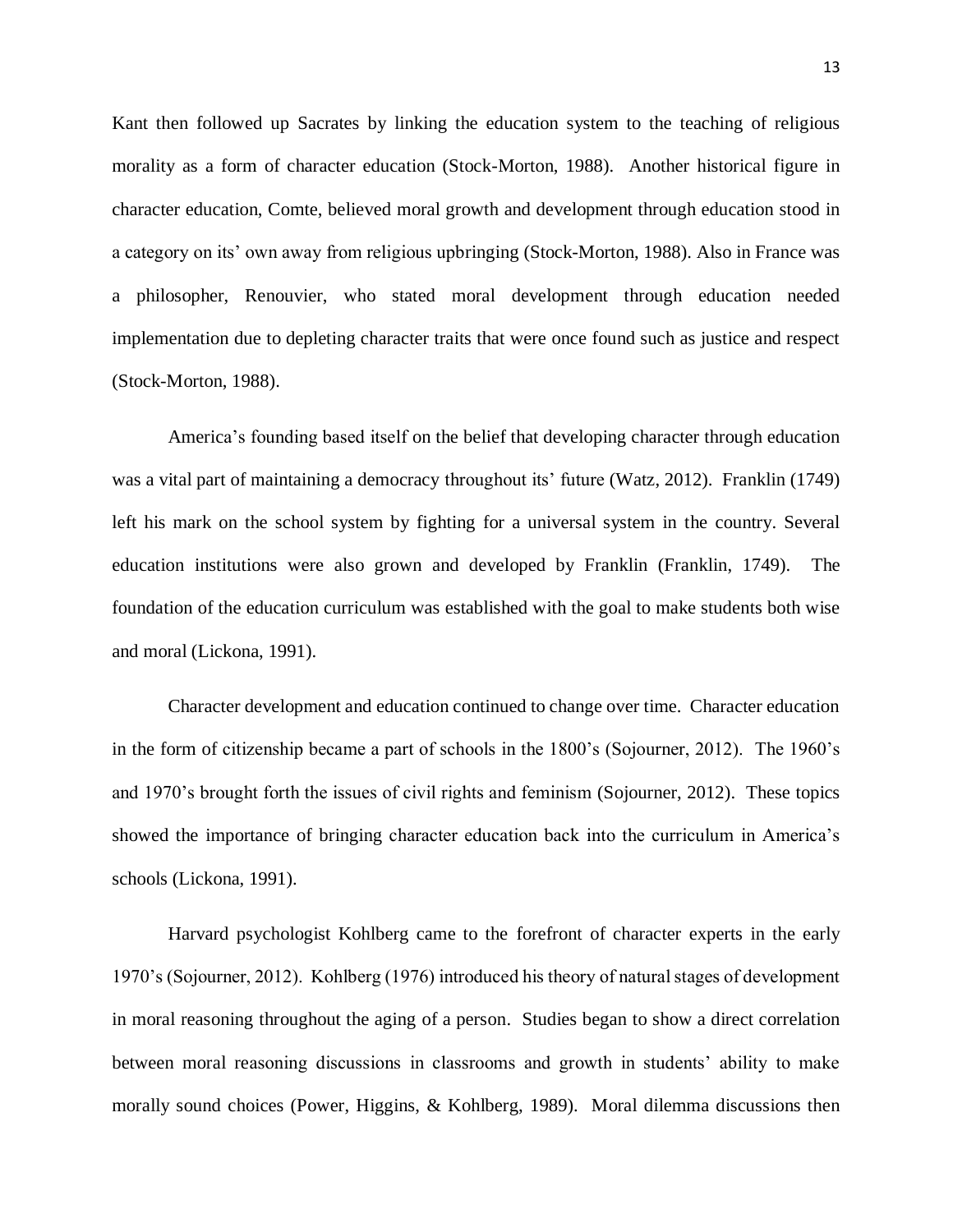Kant then followed up Sacrates by linking the education system to the teaching of religious morality as a form of character education (Stock-Morton, 1988). Another historical figure in character education, Comte, believed moral growth and development through education stood in a category on its' own away from religious upbringing (Stock-Morton, 1988). Also in France was a philosopher, Renouvier, who stated moral development through education needed implementation due to depleting character traits that were once found such as justice and respect (Stock-Morton, 1988).

America's founding based itself on the belief that developing character through education was a vital part of maintaining a democracy throughout its' future (Watz, 2012). Franklin (1749) left his mark on the school system by fighting for a universal system in the country. Several education institutions were also grown and developed by Franklin (Franklin, 1749). The foundation of the education curriculum was established with the goal to make students both wise and moral (Lickona, 1991).

Character development and education continued to change over time. Character education in the form of citizenship became a part of schools in the 1800's (Sojourner, 2012). The 1960's and 1970's brought forth the issues of civil rights and feminism (Sojourner, 2012). These topics showed the importance of bringing character education back into the curriculum in America's schools (Lickona, 1991).

Harvard psychologist Kohlberg came to the forefront of character experts in the early 1970's (Sojourner, 2012). Kohlberg (1976) introduced his theory of natural stages of development in moral reasoning throughout the aging of a person. Studies began to show a direct correlation between moral reasoning discussions in classrooms and growth in students' ability to make morally sound choices (Power, Higgins, & Kohlberg, 1989). Moral dilemma discussions then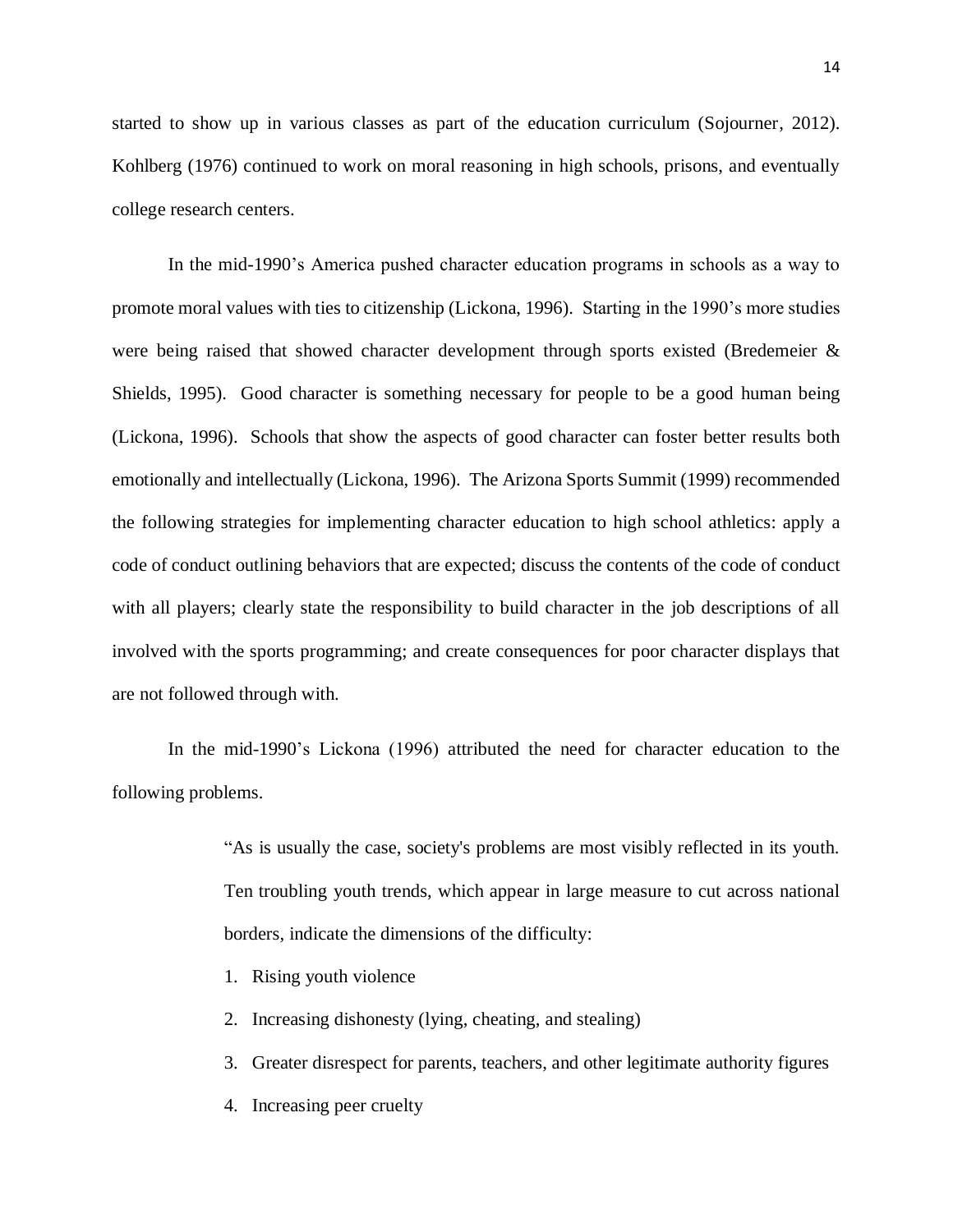started to show up in various classes as part of the education curriculum (Sojourner, 2012). Kohlberg (1976) continued to work on moral reasoning in high schools, prisons, and eventually college research centers.

In the mid-1990's America pushed character education programs in schools as a way to promote moral values with ties to citizenship (Lickona, 1996). Starting in the 1990's more studies were being raised that showed character development through sports existed (Bredemeier & Shields, 1995). Good character is something necessary for people to be a good human being (Lickona, 1996). Schools that show the aspects of good character can foster better results both emotionally and intellectually (Lickona, 1996). The Arizona Sports Summit (1999) recommended the following strategies for implementing character education to high school athletics: apply a code of conduct outlining behaviors that are expected; discuss the contents of the code of conduct with all players; clearly state the responsibility to build character in the job descriptions of all involved with the sports programming; and create consequences for poor character displays that are not followed through with.

In the mid-1990's Lickona (1996) attributed the need for character education to the following problems.

> "As is usually the case, society's problems are most visibly reflected in its youth. Ten troubling youth trends, which appear in large measure to cut across national borders, indicate the dimensions of the difficulty:

- 1. Rising youth violence
- 2. Increasing dishonesty (lying, cheating, and stealing)
- 3. Greater disrespect for parents, teachers, and other legitimate authority figures
- 4. Increasing peer cruelty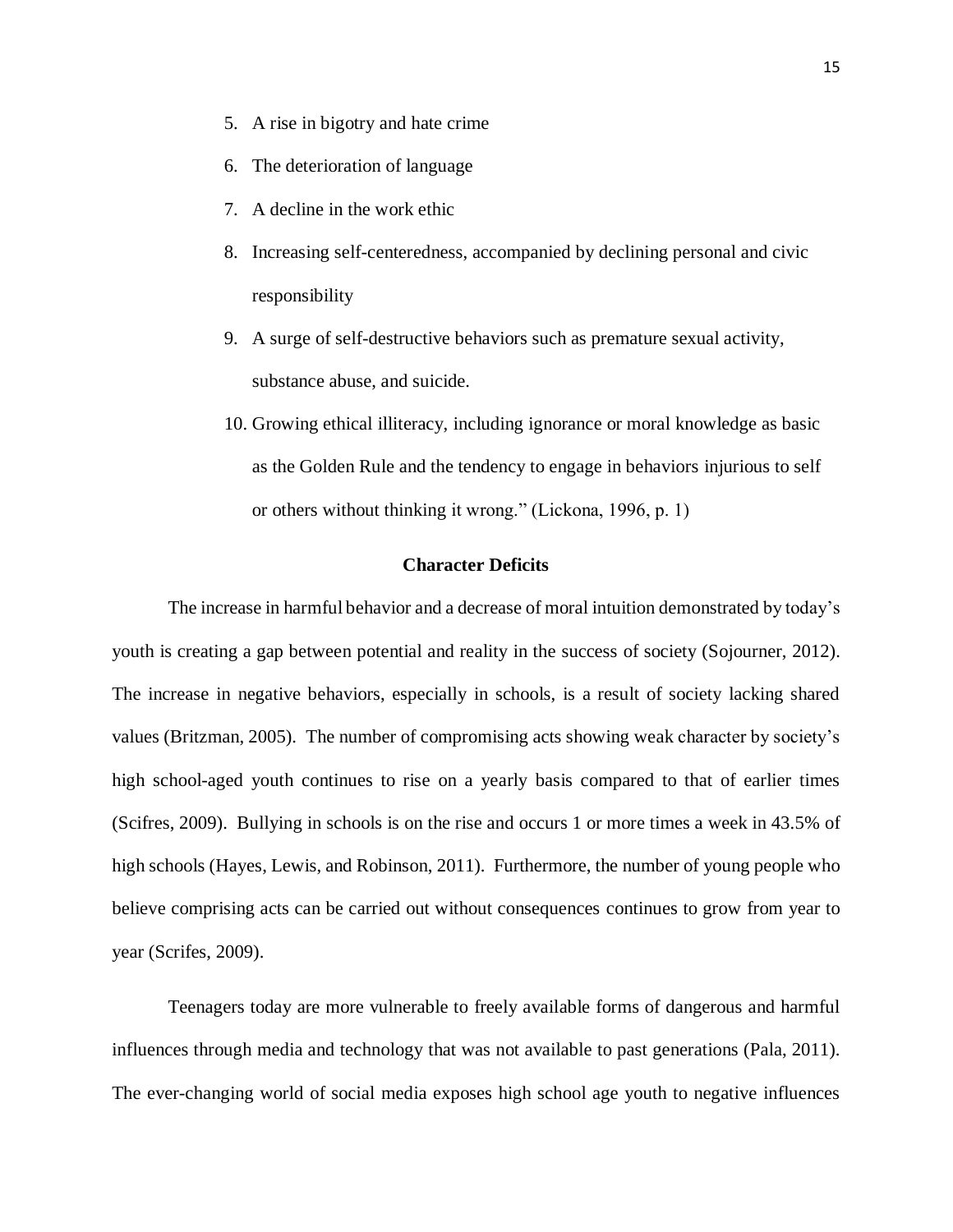- 5. A rise in bigotry and hate crime
- 6. The deterioration of language
- 7. A decline in the work ethic
- 8. Increasing self-centeredness, accompanied by declining personal and civic responsibility
- 9. A surge of self-destructive behaviors such as premature sexual activity, substance abuse, and suicide.
- 10. Growing ethical illiteracy, including ignorance or moral knowledge as basic as the Golden Rule and the tendency to engage in behaviors injurious to self or others without thinking it wrong." (Lickona, 1996, p. 1)

# **Character Deficits**

<span id="page-19-0"></span>The increase in harmful behavior and a decrease of moral intuition demonstrated by today's youth is creating a gap between potential and reality in the success of society (Sojourner, 2012). The increase in negative behaviors, especially in schools, is a result of society lacking shared values (Britzman, 2005). The number of compromising acts showing weak character by society's high school-aged youth continues to rise on a yearly basis compared to that of earlier times (Scifres, 2009). Bullying in schools is on the rise and occurs 1 or more times a week in 43.5% of high schools (Hayes, Lewis, and Robinson, 2011). Furthermore, the number of young people who believe comprising acts can be carried out without consequences continues to grow from year to year (Scrifes, 2009).

Teenagers today are more vulnerable to freely available forms of dangerous and harmful influences through media and technology that was not available to past generations (Pala, 2011). The ever-changing world of social media exposes high school age youth to negative influences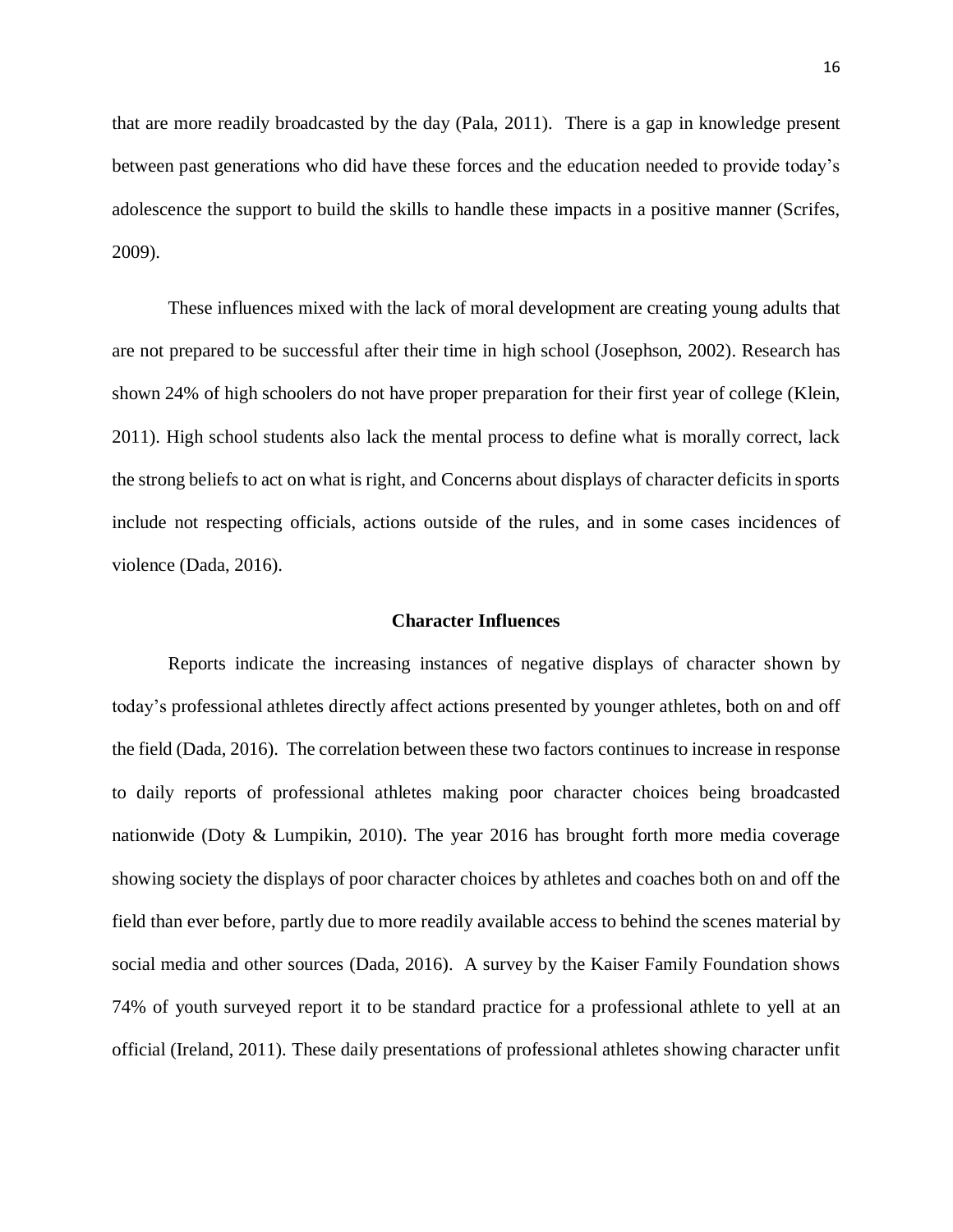that are more readily broadcasted by the day (Pala, 2011). There is a gap in knowledge present between past generations who did have these forces and the education needed to provide today's adolescence the support to build the skills to handle these impacts in a positive manner (Scrifes, 2009).

These influences mixed with the lack of moral development are creating young adults that are not prepared to be successful after their time in high school (Josephson, 2002). Research has shown 24% of high schoolers do not have proper preparation for their first year of college (Klein, 2011). High school students also lack the mental process to define what is morally correct, lack the strong beliefs to act on what is right, and Concerns about displays of character deficits in sports include not respecting officials, actions outside of the rules, and in some cases incidences of violence (Dada, 2016).

#### **Character Influences**

<span id="page-20-0"></span>Reports indicate the increasing instances of negative displays of character shown by today's professional athletes directly affect actions presented by younger athletes, both on and off the field (Dada, 2016). The correlation between these two factors continues to increase in response to daily reports of professional athletes making poor character choices being broadcasted nationwide (Doty & Lumpikin, 2010). The year 2016 has brought forth more media coverage showing society the displays of poor character choices by athletes and coaches both on and off the field than ever before, partly due to more readily available access to behind the scenes material by social media and other sources (Dada, 2016). A survey by the Kaiser Family Foundation shows 74% of youth surveyed report it to be standard practice for a professional athlete to yell at an official (Ireland, 2011). These daily presentations of professional athletes showing character unfit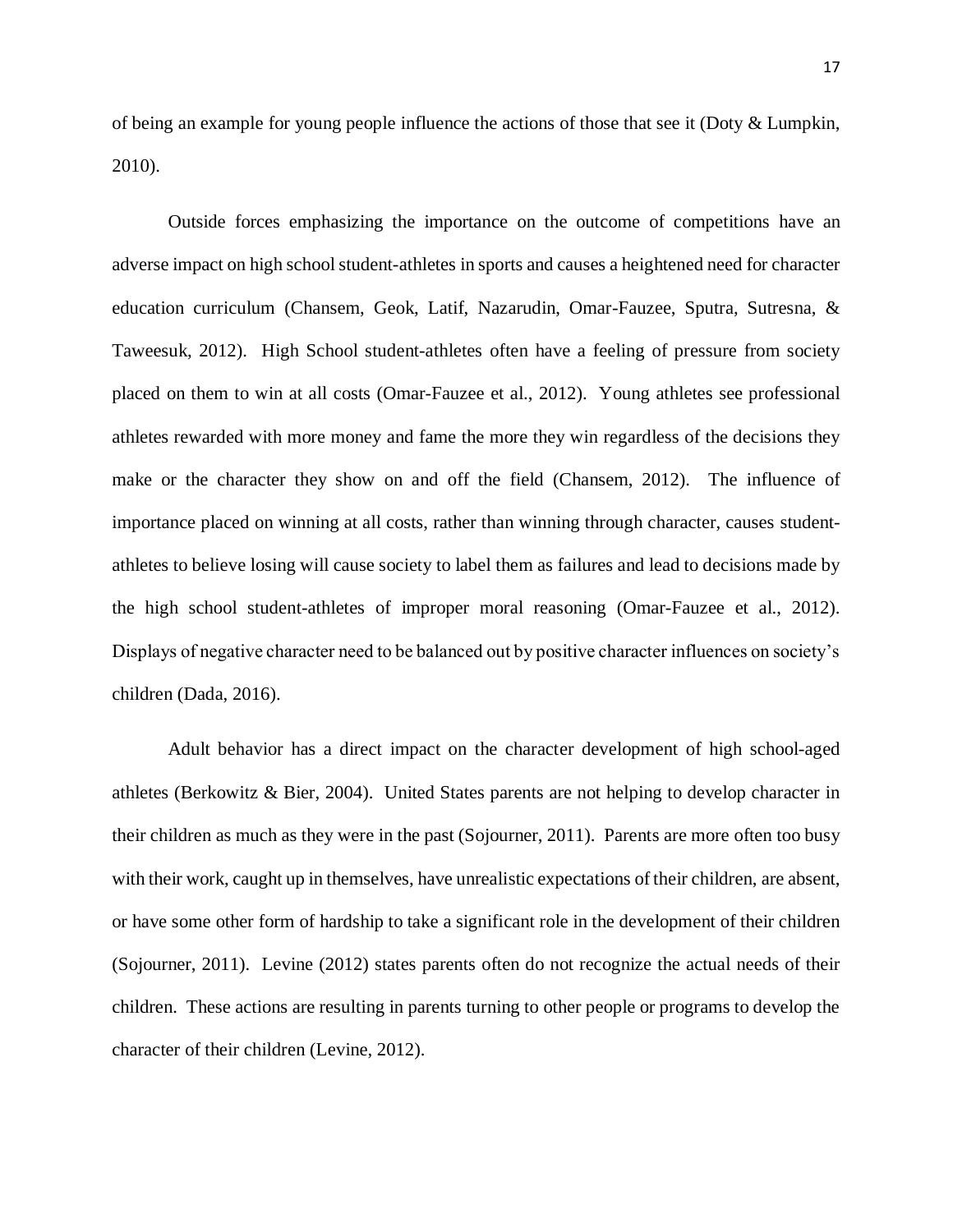of being an example for young people influence the actions of those that see it (Doty & Lumpkin, 2010).

Outside forces emphasizing the importance on the outcome of competitions have an adverse impact on high school student-athletes in sports and causes a heightened need for character education curriculum (Chansem, Geok, Latif, Nazarudin, Omar-Fauzee, Sputra, Sutresna, & Taweesuk, 2012). High School student-athletes often have a feeling of pressure from society placed on them to win at all costs (Omar-Fauzee et al., 2012). Young athletes see professional athletes rewarded with more money and fame the more they win regardless of the decisions they make or the character they show on and off the field (Chansem, 2012). The influence of importance placed on winning at all costs, rather than winning through character, causes studentathletes to believe losing will cause society to label them as failures and lead to decisions made by the high school student-athletes of improper moral reasoning (Omar-Fauzee et al., 2012). Displays of negative character need to be balanced out by positive character influences on society's children (Dada, 2016).

Adult behavior has a direct impact on the character development of high school-aged athletes (Berkowitz & Bier, 2004). United States parents are not helping to develop character in their children as much as they were in the past (Sojourner, 2011). Parents are more often too busy with their work, caught up in themselves, have unrealistic expectations of their children, are absent, or have some other form of hardship to take a significant role in the development of their children (Sojourner, 2011). Levine (2012) states parents often do not recognize the actual needs of their children. These actions are resulting in parents turning to other people or programs to develop the character of their children (Levine, 2012).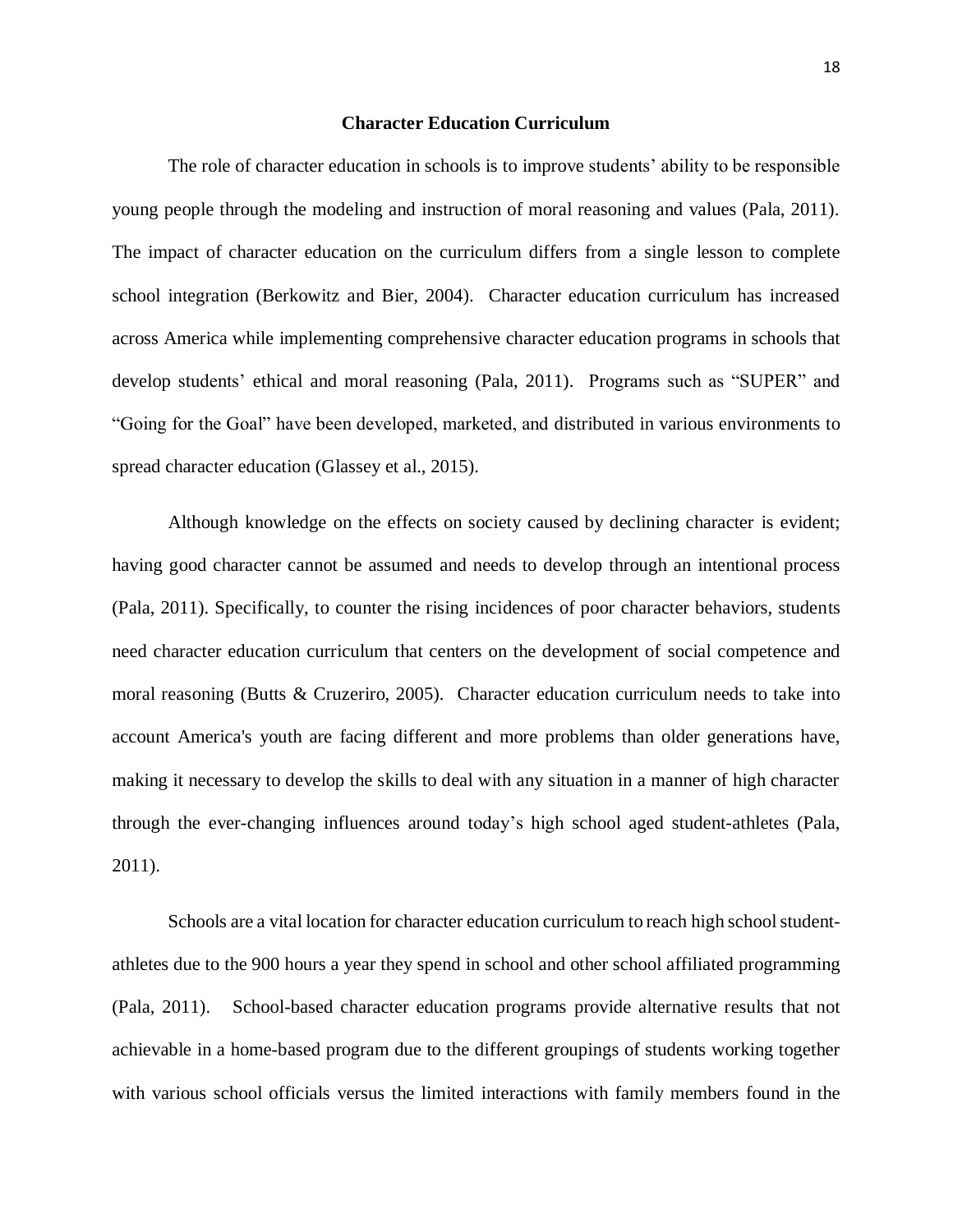#### **Character Education Curriculum**

<span id="page-22-0"></span>The role of character education in schools is to improve students' ability to be responsible young people through the modeling and instruction of moral reasoning and values (Pala, 2011). The impact of character education on the curriculum differs from a single lesson to complete school integration (Berkowitz and Bier, 2004). Character education curriculum has increased across America while implementing comprehensive character education programs in schools that develop students' ethical and moral reasoning (Pala, 2011). Programs such as "SUPER" and "Going for the Goal" have been developed, marketed, and distributed in various environments to spread character education (Glassey et al., 2015).

Although knowledge on the effects on society caused by declining character is evident; having good character cannot be assumed and needs to develop through an intentional process (Pala, 2011). Specifically, to counter the rising incidences of poor character behaviors, students need character education curriculum that centers on the development of social competence and moral reasoning (Butts & Cruzeriro, 2005). Character education curriculum needs to take into account America's youth are facing different and more problems than older generations have, making it necessary to develop the skills to deal with any situation in a manner of high character through the ever-changing influences around today's high school aged student-athletes (Pala, 2011).

Schools are a vital location for character education curriculum to reach high school studentathletes due to the 900 hours a year they spend in school and other school affiliated programming (Pala, 2011). School-based character education programs provide alternative results that not achievable in a home-based program due to the different groupings of students working together with various school officials versus the limited interactions with family members found in the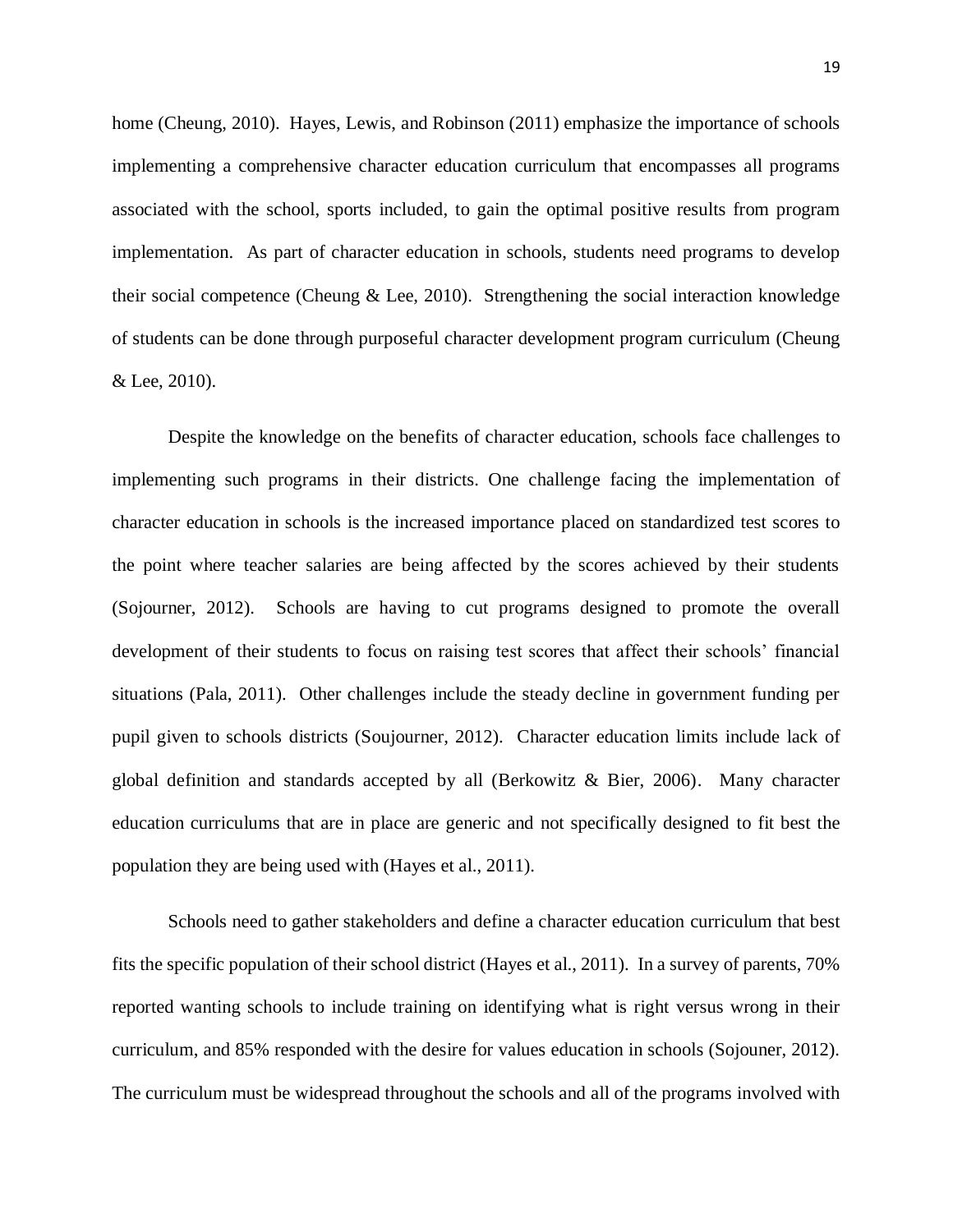home (Cheung, 2010). Hayes, Lewis, and Robinson (2011) emphasize the importance of schools implementing a comprehensive character education curriculum that encompasses all programs associated with the school, sports included, to gain the optimal positive results from program implementation. As part of character education in schools, students need programs to develop their social competence (Cheung & Lee, 2010). Strengthening the social interaction knowledge of students can be done through purposeful character development program curriculum (Cheung & Lee, 2010).

Despite the knowledge on the benefits of character education, schools face challenges to implementing such programs in their districts. One challenge facing the implementation of character education in schools is the increased importance placed on standardized test scores to the point where teacher salaries are being affected by the scores achieved by their students (Sojourner, 2012). Schools are having to cut programs designed to promote the overall development of their students to focus on raising test scores that affect their schools' financial situations (Pala, 2011). Other challenges include the steady decline in government funding per pupil given to schools districts (Soujourner, 2012). Character education limits include lack of global definition and standards accepted by all (Berkowitz & Bier, 2006). Many character education curriculums that are in place are generic and not specifically designed to fit best the population they are being used with (Hayes et al., 2011).

Schools need to gather stakeholders and define a character education curriculum that best fits the specific population of their school district (Hayes et al., 2011). In a survey of parents, 70% reported wanting schools to include training on identifying what is right versus wrong in their curriculum, and 85% responded with the desire for values education in schools (Sojouner, 2012). The curriculum must be widespread throughout the schools and all of the programs involved with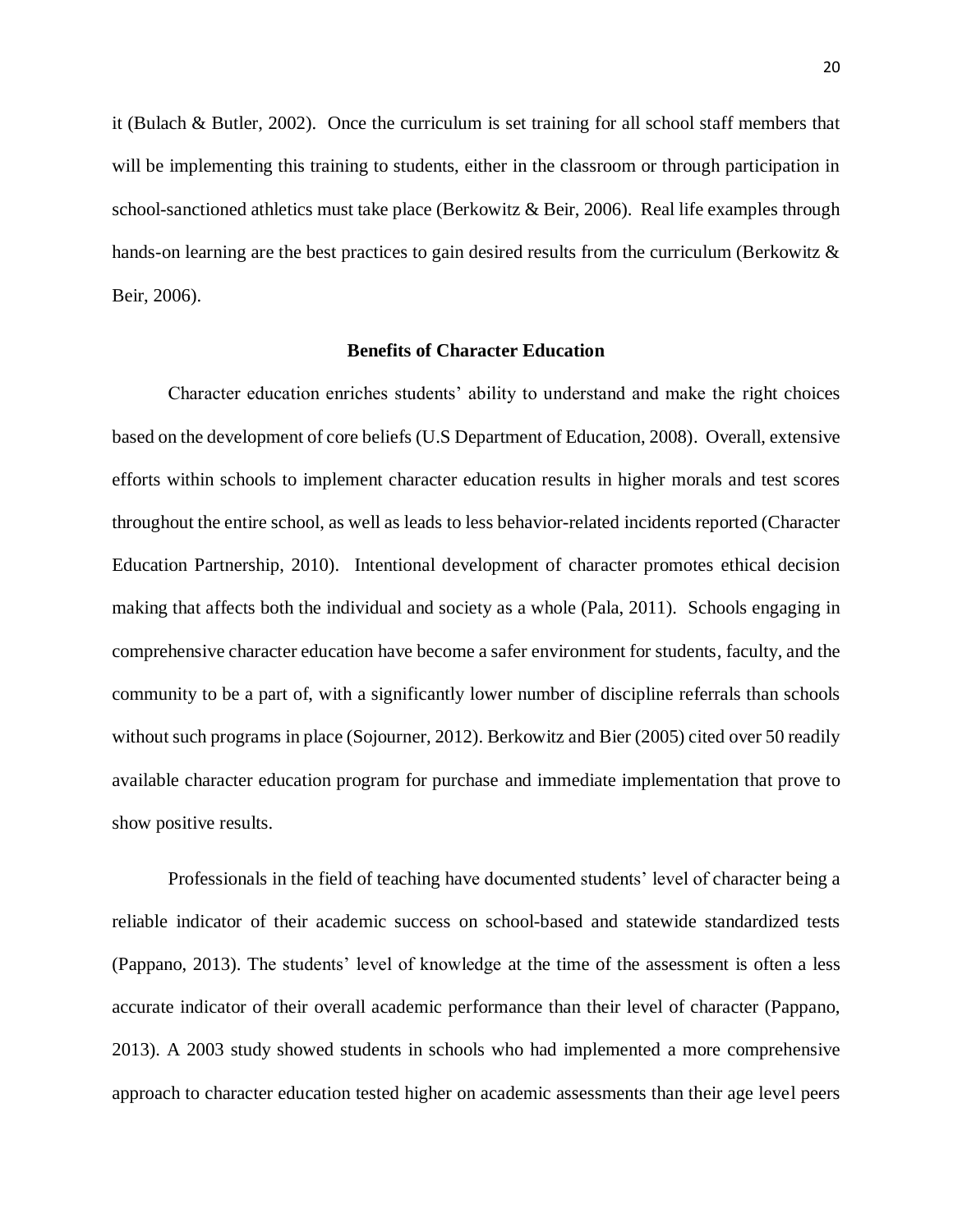it (Bulach & Butler, 2002). Once the curriculum is set training for all school staff members that will be implementing this training to students, either in the classroom or through participation in school-sanctioned athletics must take place (Berkowitz & Beir, 2006). Real life examples through hands-on learning are the best practices to gain desired results from the curriculum (Berkowitz  $\&$ Beir, 2006).

#### **Benefits of Character Education**

<span id="page-24-0"></span>Character education enriches students' ability to understand and make the right choices based on the development of core beliefs (U.S Department of Education, 2008). Overall, extensive efforts within schools to implement character education results in higher morals and test scores throughout the entire school, as well as leads to less behavior-related incidents reported (Character Education Partnership, 2010). Intentional development of character promotes ethical decision making that affects both the individual and society as a whole (Pala, 2011). Schools engaging in comprehensive character education have become a safer environment for students, faculty, and the community to be a part of, with a significantly lower number of discipline referrals than schools without such programs in place (Sojourner, 2012). Berkowitz and Bier (2005) cited over 50 readily available character education program for purchase and immediate implementation that prove to show positive results.

Professionals in the field of teaching have documented students' level of character being a reliable indicator of their academic success on school-based and statewide standardized tests (Pappano, 2013). The students' level of knowledge at the time of the assessment is often a less accurate indicator of their overall academic performance than their level of character (Pappano, 2013). A 2003 study showed students in schools who had implemented a more comprehensive approach to character education tested higher on academic assessments than their age level peers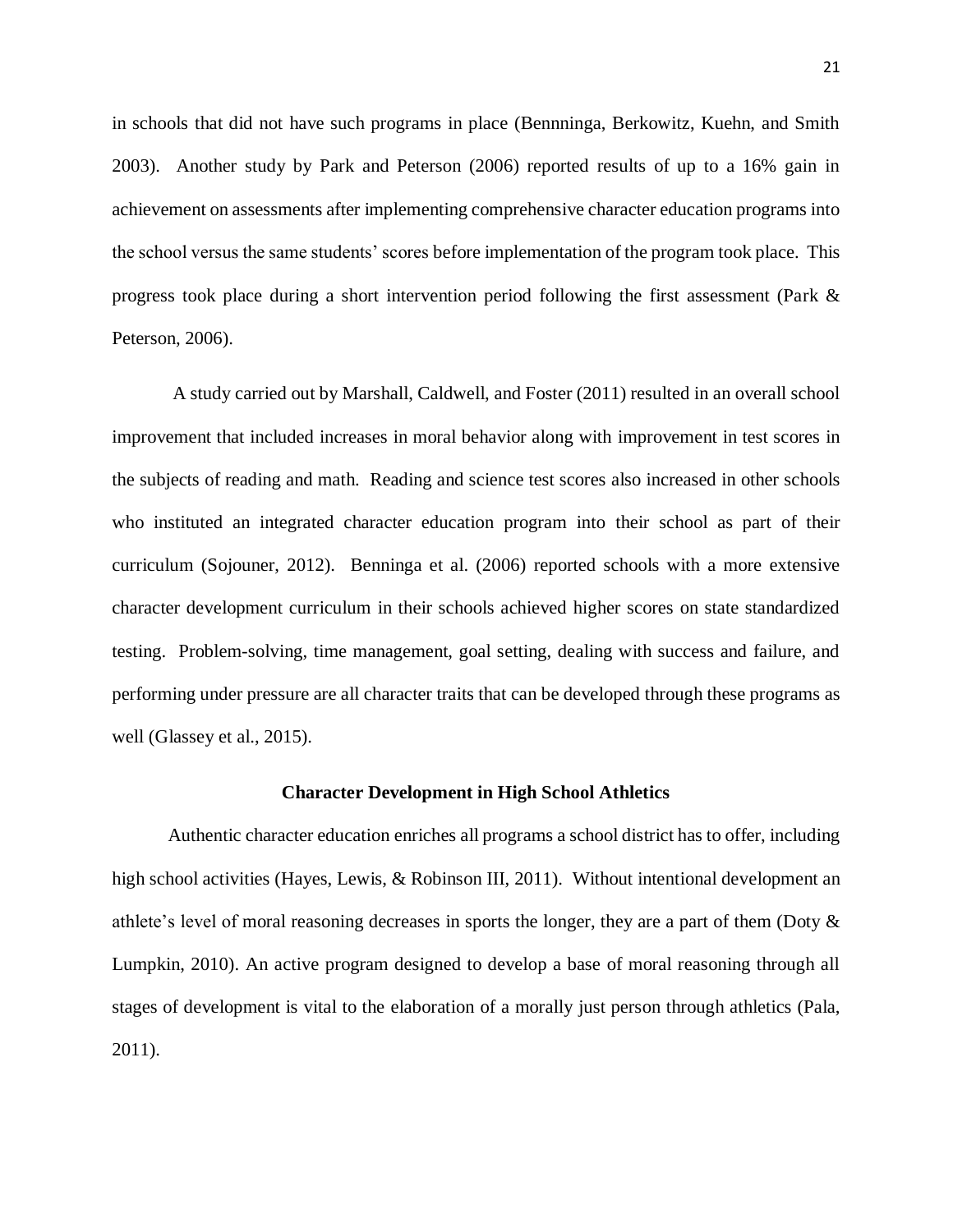in schools that did not have such programs in place (Bennninga, Berkowitz, Kuehn, and Smith 2003). Another study by Park and Peterson (2006) reported results of up to a 16% gain in achievement on assessments after implementing comprehensive character education programs into the school versus the same students' scores before implementation of the program took place. This progress took place during a short intervention period following the first assessment (Park & Peterson, 2006).

A study carried out by Marshall, Caldwell, and Foster (2011) resulted in an overall school improvement that included increases in moral behavior along with improvement in test scores in the subjects of reading and math. Reading and science test scores also increased in other schools who instituted an integrated character education program into their school as part of their curriculum (Sojouner, 2012). Benninga et al. (2006) reported schools with a more extensive character development curriculum in their schools achieved higher scores on state standardized testing. Problem-solving, time management, goal setting, dealing with success and failure, and performing under pressure are all character traits that can be developed through these programs as well (Glassey et al., 2015).

## **Character Development in High School Athletics**

<span id="page-25-0"></span>Authentic character education enriches all programs a school district has to offer, including high school activities (Hayes, Lewis, & Robinson III, 2011). Without intentional development an athlete's level of moral reasoning decreases in sports the longer, they are a part of them (Doty & Lumpkin, 2010). An active program designed to develop a base of moral reasoning through all stages of development is vital to the elaboration of a morally just person through athletics (Pala, 2011).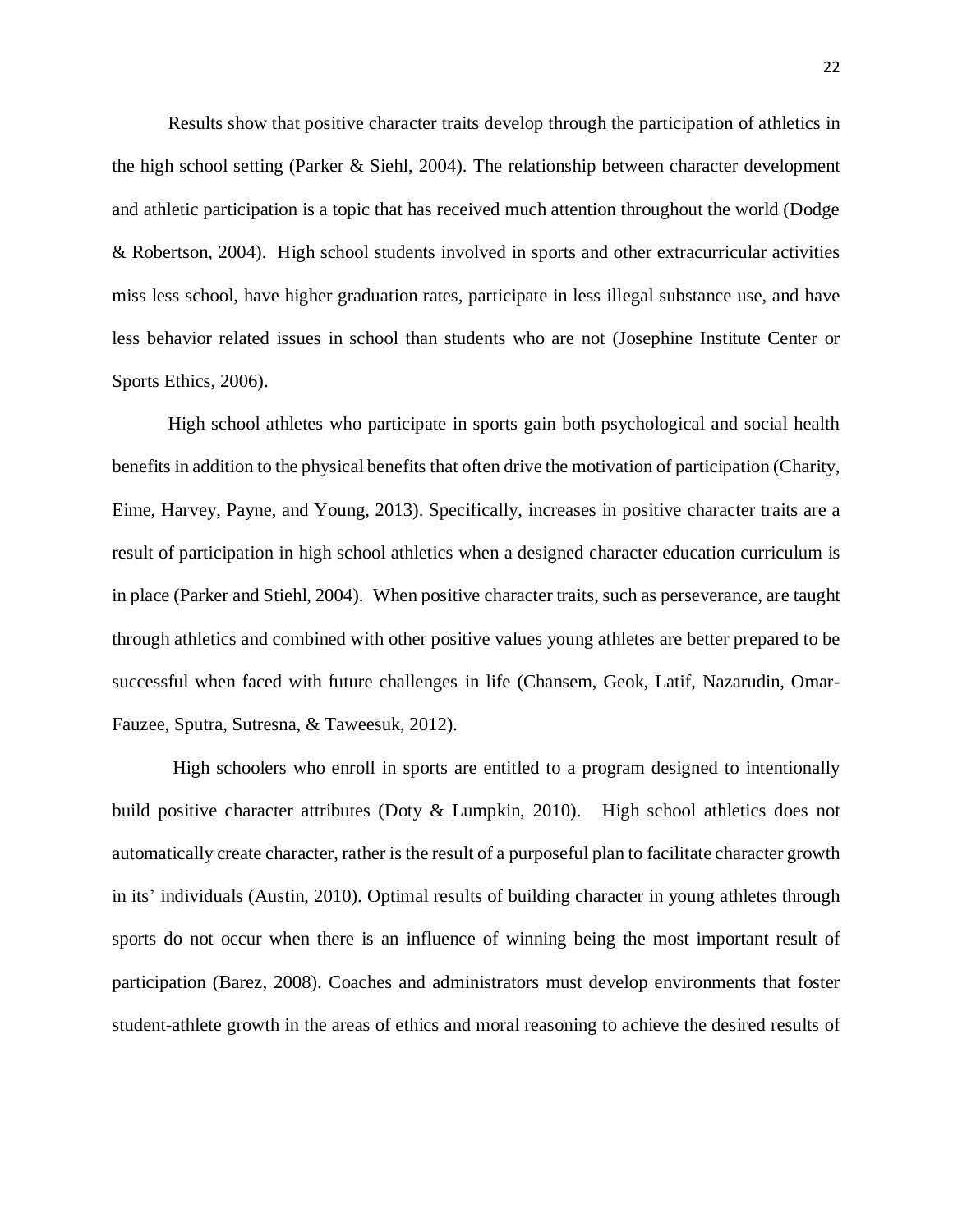Results show that positive character traits develop through the participation of athletics in the high school setting (Parker & Siehl, 2004). The relationship between character development and athletic participation is a topic that has received much attention throughout the world (Dodge & Robertson, 2004). High school students involved in sports and other extracurricular activities miss less school, have higher graduation rates, participate in less illegal substance use, and have less behavior related issues in school than students who are not (Josephine Institute Center or Sports Ethics, 2006).

High school athletes who participate in sports gain both psychological and social health benefits in addition to the physical benefits that often drive the motivation of participation (Charity, Eime, Harvey, Payne, and Young, 2013). Specifically, increases in positive character traits are a result of participation in high school athletics when a designed character education curriculum is in place (Parker and Stiehl, 2004). When positive character traits, such as perseverance, are taught through athletics and combined with other positive values young athletes are better prepared to be successful when faced with future challenges in life (Chansem, Geok, Latif, Nazarudin, Omar-Fauzee, Sputra, Sutresna, & Taweesuk, 2012).

High schoolers who enroll in sports are entitled to a program designed to intentionally build positive character attributes (Doty & Lumpkin, 2010). High school athletics does not automatically create character, rather is the result of a purposeful plan to facilitate character growth in its' individuals (Austin, 2010). Optimal results of building character in young athletes through sports do not occur when there is an influence of winning being the most important result of participation (Barez, 2008). Coaches and administrators must develop environments that foster student-athlete growth in the areas of ethics and moral reasoning to achieve the desired results of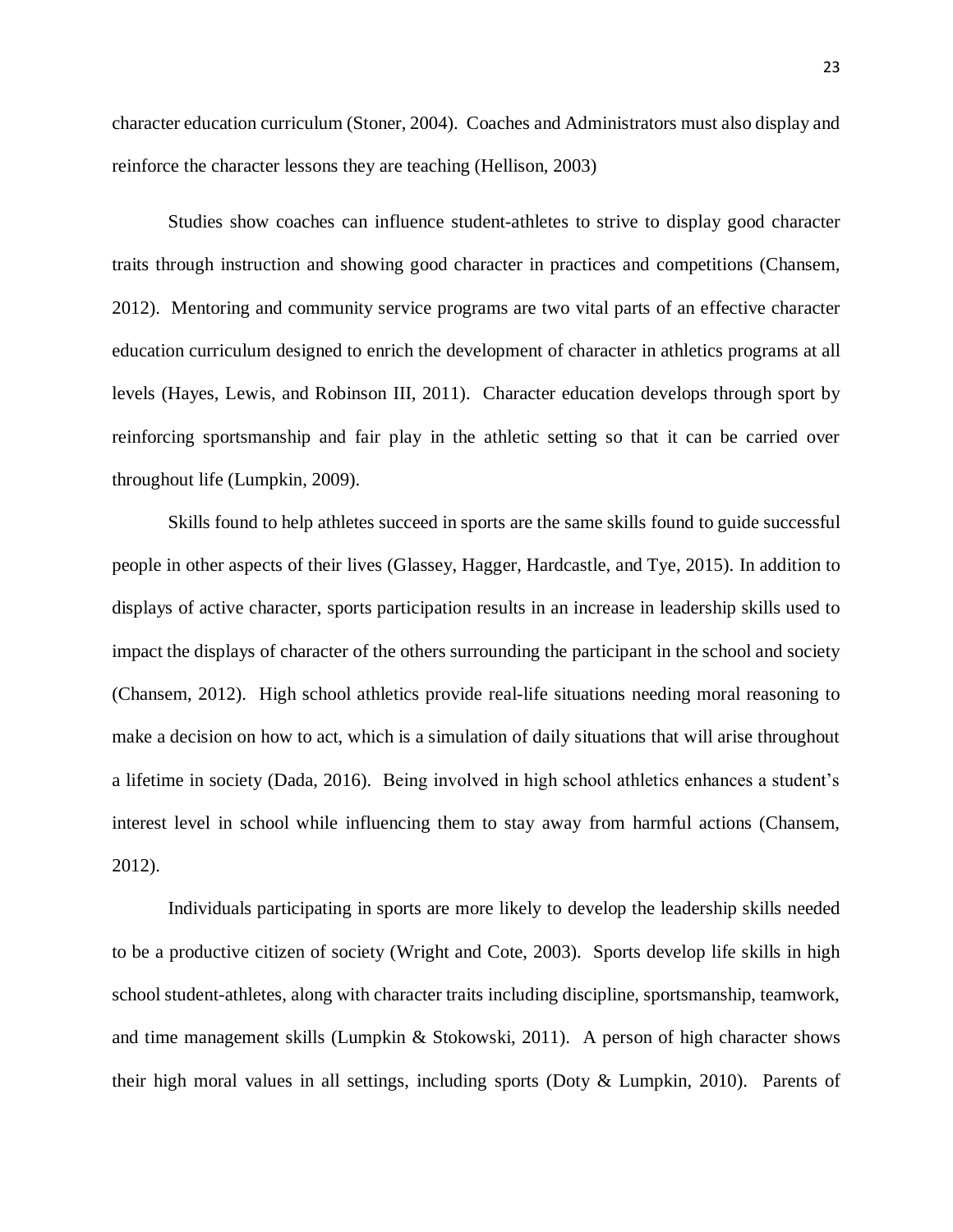character education curriculum (Stoner, 2004). Coaches and Administrators must also display and reinforce the character lessons they are teaching (Hellison, 2003)

Studies show coaches can influence student-athletes to strive to display good character traits through instruction and showing good character in practices and competitions (Chansem, 2012). Mentoring and community service programs are two vital parts of an effective character education curriculum designed to enrich the development of character in athletics programs at all levels (Hayes, Lewis, and Robinson III, 2011). Character education develops through sport by reinforcing sportsmanship and fair play in the athletic setting so that it can be carried over throughout life (Lumpkin, 2009).

Skills found to help athletes succeed in sports are the same skills found to guide successful people in other aspects of their lives (Glassey, Hagger, Hardcastle, and Tye, 2015). In addition to displays of active character, sports participation results in an increase in leadership skills used to impact the displays of character of the others surrounding the participant in the school and society (Chansem, 2012). High school athletics provide real-life situations needing moral reasoning to make a decision on how to act, which is a simulation of daily situations that will arise throughout a lifetime in society (Dada, 2016). Being involved in high school athletics enhances a student's interest level in school while influencing them to stay away from harmful actions (Chansem, 2012).

Individuals participating in sports are more likely to develop the leadership skills needed to be a productive citizen of society (Wright and Cote, 2003). Sports develop life skills in high school student-athletes, along with character traits including discipline, sportsmanship, teamwork, and time management skills (Lumpkin & Stokowski, 2011). A person of high character shows their high moral values in all settings, including sports (Doty & Lumpkin, 2010). Parents of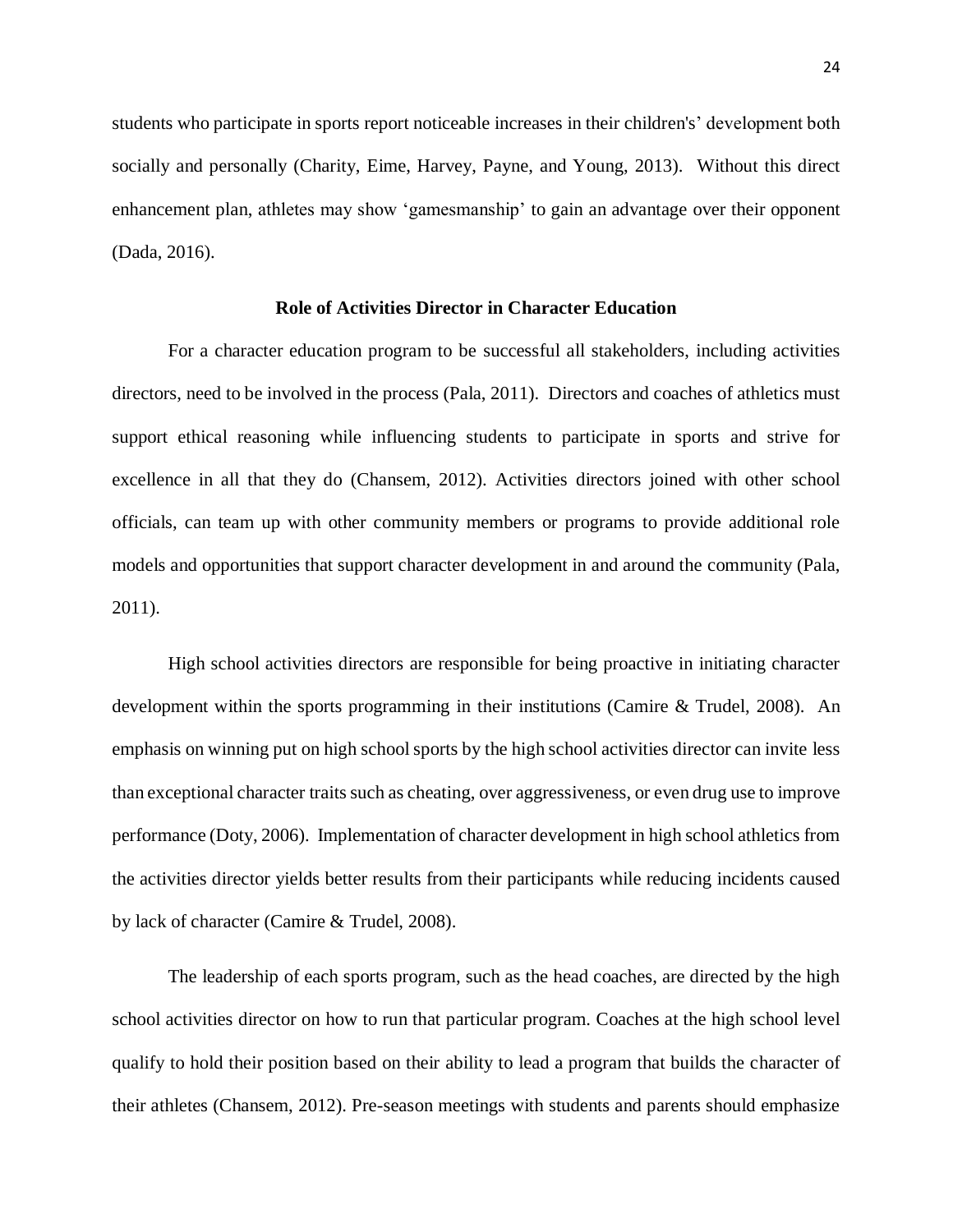students who participate in sports report noticeable increases in their children's' development both socially and personally (Charity, Eime, Harvey, Payne, and Young, 2013). Without this direct enhancement plan, athletes may show 'gamesmanship' to gain an advantage over their opponent (Dada, 2016).

# **Role of Activities Director in Character Education**

<span id="page-28-0"></span>For a character education program to be successful all stakeholders, including activities directors, need to be involved in the process (Pala, 2011). Directors and coaches of athletics must support ethical reasoning while influencing students to participate in sports and strive for excellence in all that they do (Chansem, 2012). Activities directors joined with other school officials, can team up with other community members or programs to provide additional role models and opportunities that support character development in and around the community (Pala, 2011).

High school activities directors are responsible for being proactive in initiating character development within the sports programming in their institutions (Camire & Trudel, 2008). An emphasis on winning put on high school sports by the high school activities director can invite less than exceptional character traits such as cheating, over aggressiveness, or even drug use to improve performance (Doty, 2006). Implementation of character development in high school athletics from the activities director yields better results from their participants while reducing incidents caused by lack of character (Camire & Trudel, 2008).

The leadership of each sports program, such as the head coaches, are directed by the high school activities director on how to run that particular program. Coaches at the high school level qualify to hold their position based on their ability to lead a program that builds the character of their athletes (Chansem, 2012). Pre-season meetings with students and parents should emphasize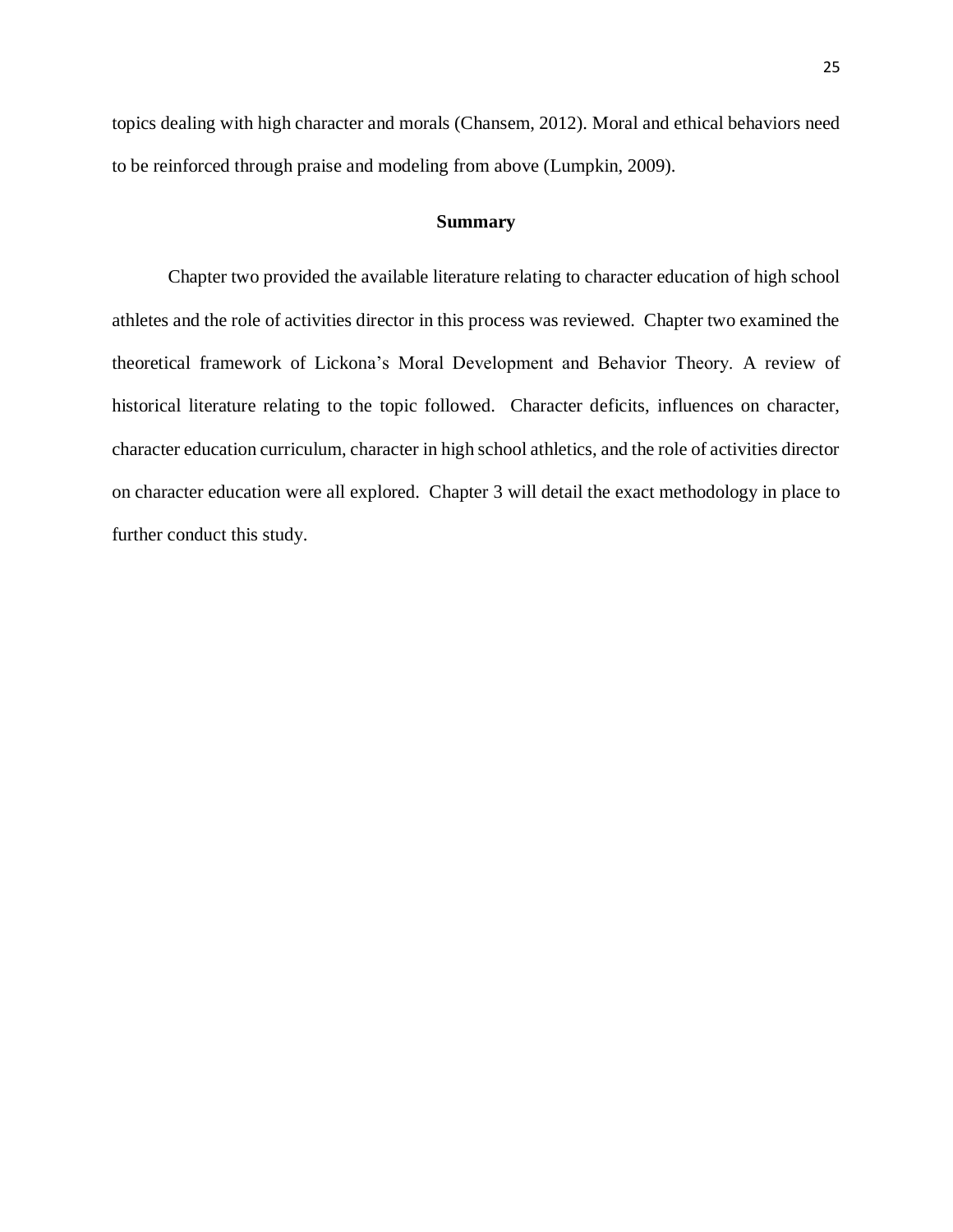topics dealing with high character and morals (Chansem, 2012). Moral and ethical behaviors need to be reinforced through praise and modeling from above (Lumpkin, 2009).

#### **Summary**

Chapter two provided the available literature relating to character education of high school athletes and the role of activities director in this process was reviewed. Chapter two examined the theoretical framework of Lickona's Moral Development and Behavior Theory. A review of historical literature relating to the topic followed. Character deficits, influences on character, character education curriculum, character in high school athletics, and the role of activities director on character education were all explored. Chapter 3 will detail the exact methodology in place to further conduct this study.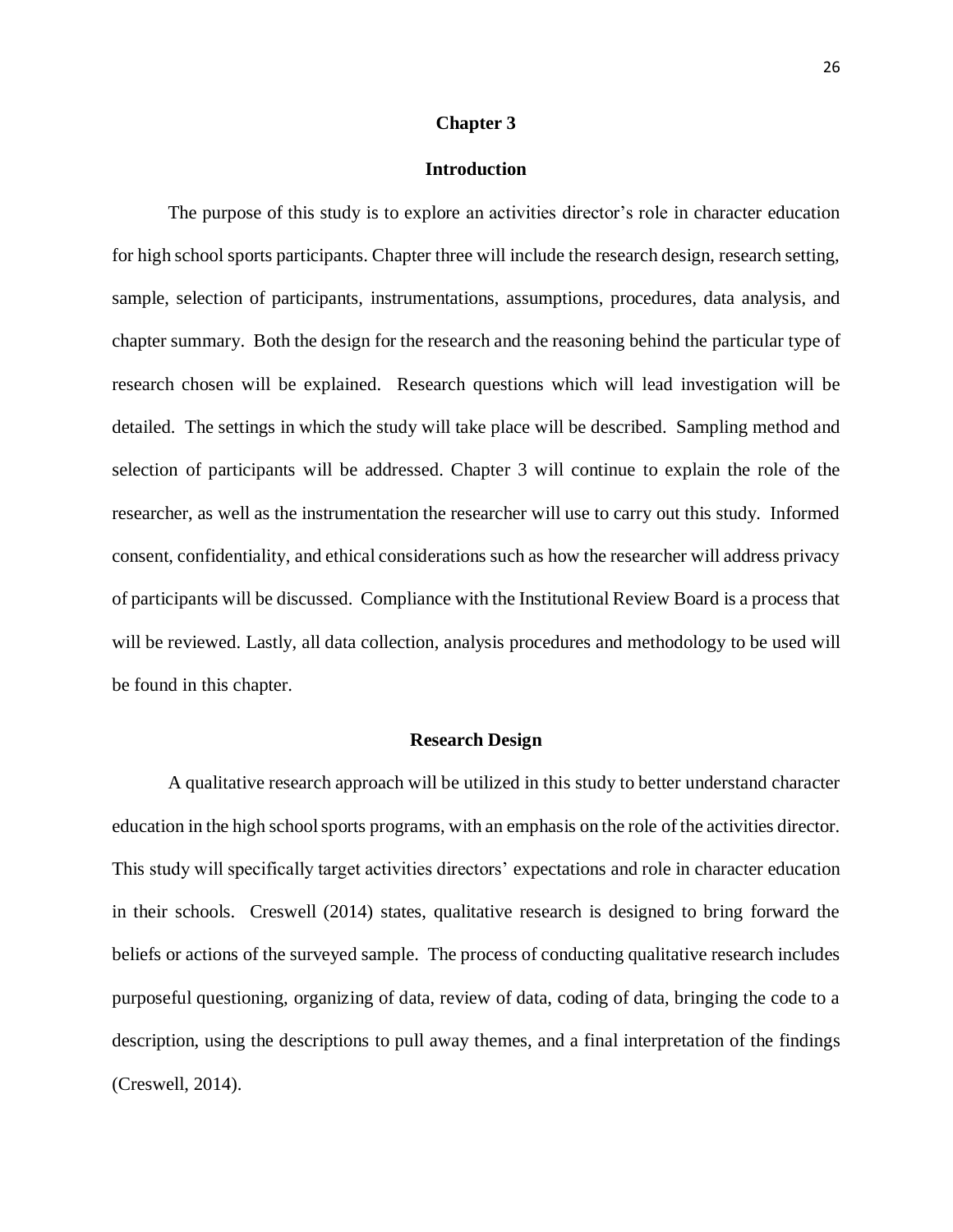#### **Chapter 3**

#### **Introduction**

<span id="page-30-1"></span><span id="page-30-0"></span>The purpose of this study is to explore an activities director's role in character education for high school sports participants. Chapter three will include the research design, research setting, sample, selection of participants, instrumentations, assumptions, procedures, data analysis, and chapter summary. Both the design for the research and the reasoning behind the particular type of research chosen will be explained. Research questions which will lead investigation will be detailed. The settings in which the study will take place will be described. Sampling method and selection of participants will be addressed. Chapter 3 will continue to explain the role of the researcher, as well as the instrumentation the researcher will use to carry out this study. Informed consent, confidentiality, and ethical considerations such as how the researcher will address privacy of participants will be discussed. Compliance with the Institutional Review Board is a process that will be reviewed. Lastly, all data collection, analysis procedures and methodology to be used will be found in this chapter.

#### **Research Design**

<span id="page-30-2"></span>A qualitative research approach will be utilized in this study to better understand character education in the high school sports programs, with an emphasis on the role of the activities director. This study will specifically target activities directors' expectations and role in character education in their schools. Creswell (2014) states, qualitative research is designed to bring forward the beliefs or actions of the surveyed sample. The process of conducting qualitative research includes purposeful questioning, organizing of data, review of data, coding of data, bringing the code to a description, using the descriptions to pull away themes, and a final interpretation of the findings (Creswell, 2014).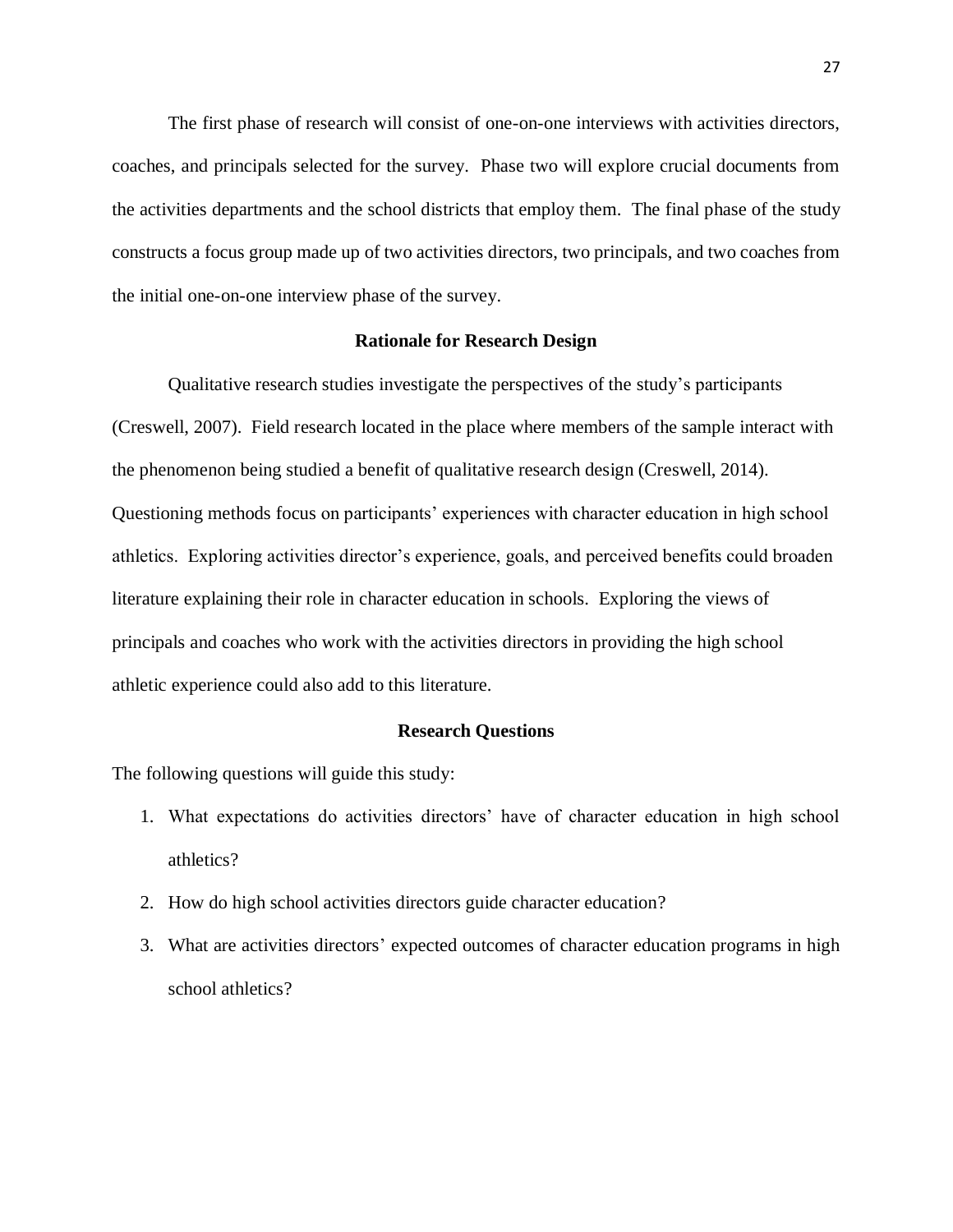The first phase of research will consist of one-on-one interviews with activities directors, coaches, and principals selected for the survey. Phase two will explore crucial documents from the activities departments and the school districts that employ them. The final phase of the study constructs a focus group made up of two activities directors, two principals, and two coaches from the initial one-on-one interview phase of the survey.

#### **Rationale for Research Design**

<span id="page-31-0"></span>Qualitative research studies investigate the perspectives of the study's participants (Creswell, 2007). Field research located in the place where members of the sample interact with the phenomenon being studied a benefit of qualitative research design (Creswell, 2014). Questioning methods focus on participants' experiences with character education in high school athletics. Exploring activities director's experience, goals, and perceived benefits could broaden literature explaining their role in character education in schools. Exploring the views of principals and coaches who work with the activities directors in providing the high school athletic experience could also add to this literature.

#### **Research Questions**

<span id="page-31-1"></span>The following questions will guide this study:

- 1. What expectations do activities directors' have of character education in high school athletics?
- 2. How do high school activities directors guide character education?
- 3. What are activities directors' expected outcomes of character education programs in high school athletics?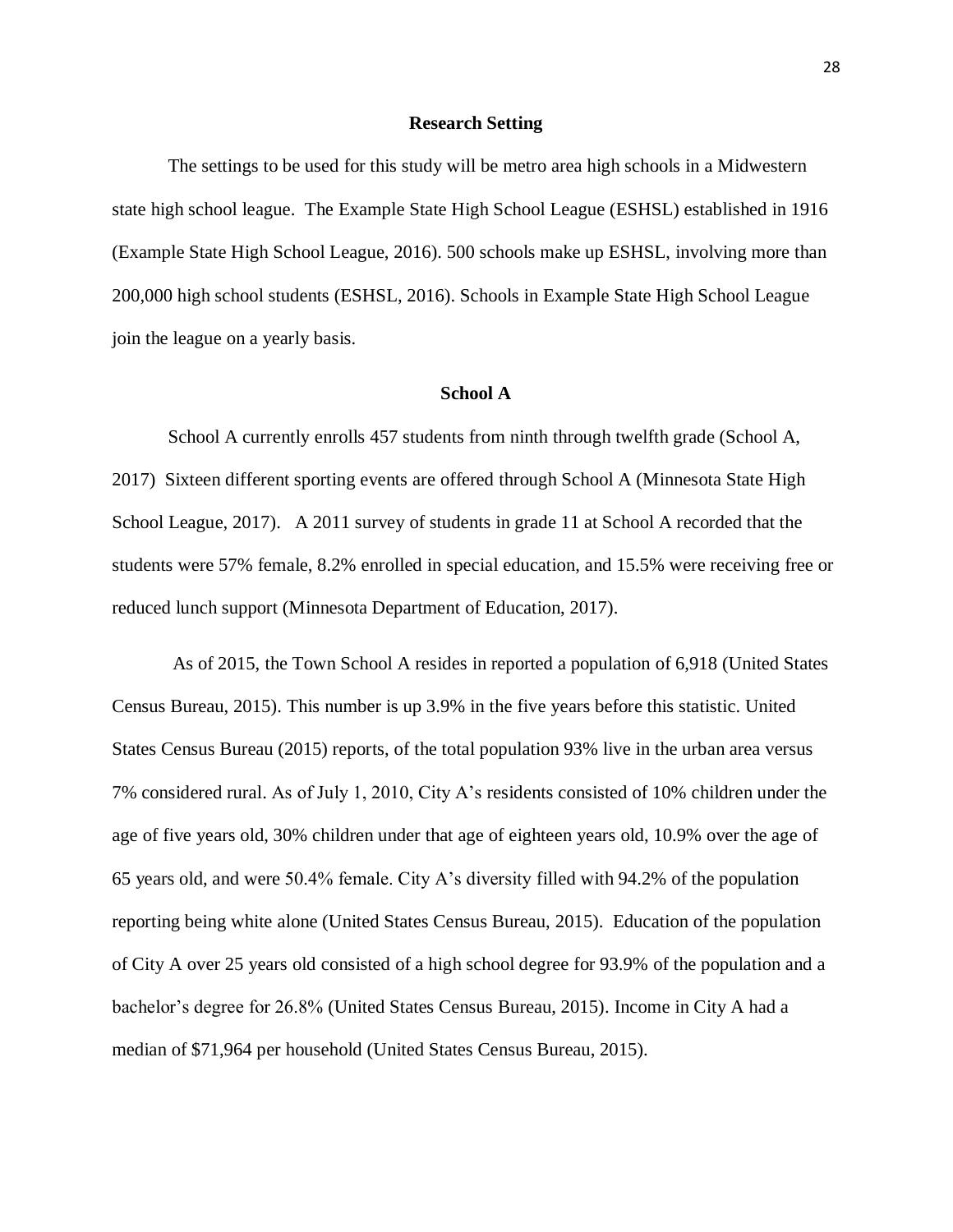#### **Research Setting**

<span id="page-32-0"></span>The settings to be used for this study will be metro area high schools in a Midwestern state high school league. The Example State High School League (ESHSL) established in 1916 (Example State High School League, 2016). 500 schools make up ESHSL, involving more than 200,000 high school students (ESHSL, 2016). Schools in Example State High School League join the league on a yearly basis.

#### **School A**

<span id="page-32-1"></span>School A currently enrolls 457 students from ninth through twelfth grade (School A, 2017) Sixteen different sporting events are offered through School A (Minnesota State High School League, 2017). A 2011 survey of students in grade 11 at School A recorded that the students were 57% female, 8.2% enrolled in special education, and 15.5% were receiving free or reduced lunch support (Minnesota Department of Education, 2017).

As of 2015, the Town School A resides in reported a population of 6,918 (United States Census Bureau, 2015). This number is up 3.9% in the five years before this statistic. United States Census Bureau (2015) reports, of the total population 93% live in the urban area versus 7% considered rural. As of July 1, 2010, City A's residents consisted of 10% children under the age of five years old, 30% children under that age of eighteen years old, 10.9% over the age of 65 years old, and were 50.4% female. City A's diversity filled with 94.2% of the population reporting being white alone (United States Census Bureau, 2015). Education of the population of City A over 25 years old consisted of a high school degree for 93.9% of the population and a bachelor's degree for 26.8% (United States Census Bureau, 2015). Income in City A had a median of \$71,964 per household (United States Census Bureau, 2015).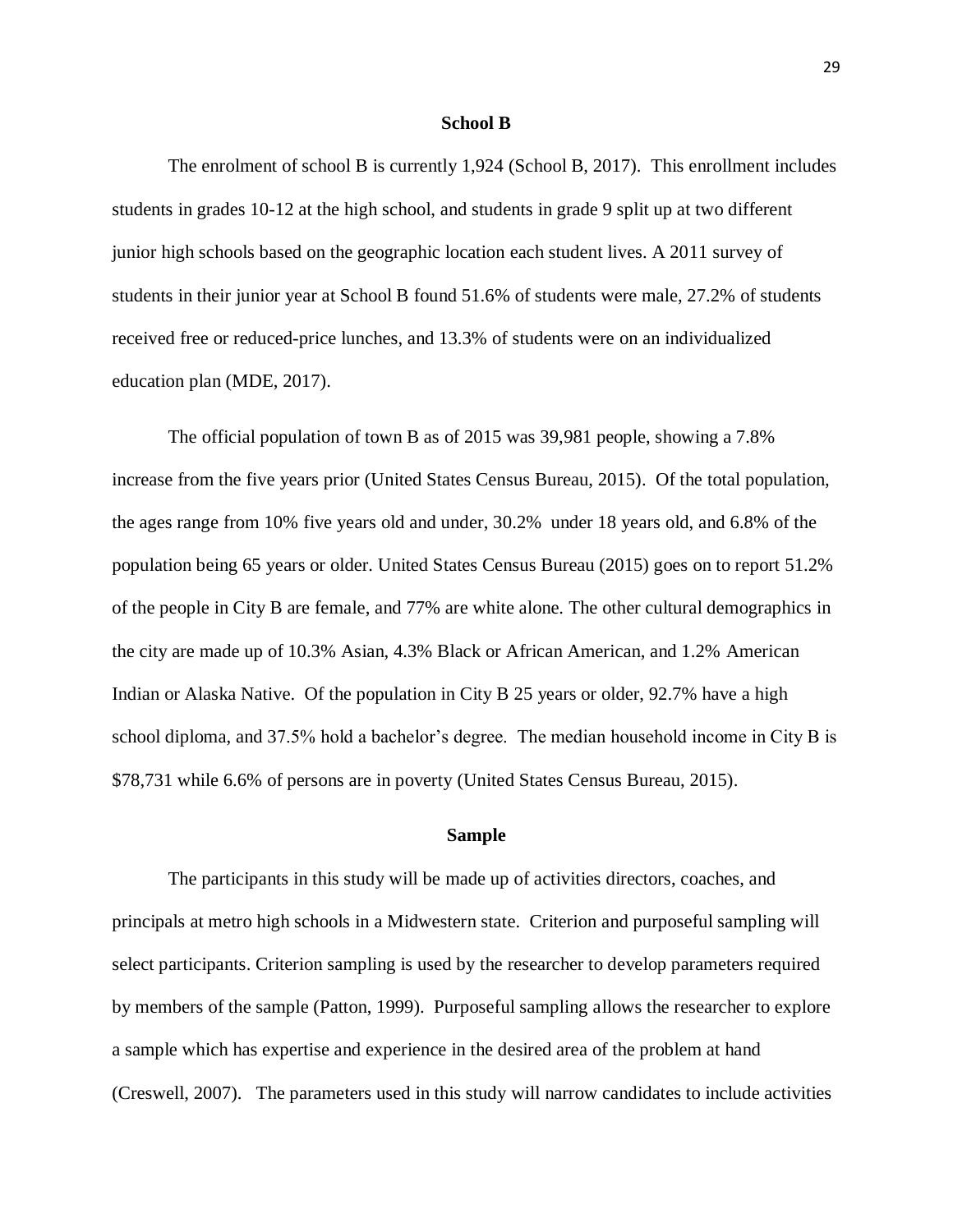#### **School B**

<span id="page-33-0"></span>The enrolment of school B is currently 1,924 (School B, 2017). This enrollment includes students in grades 10-12 at the high school, and students in grade 9 split up at two different junior high schools based on the geographic location each student lives. A 2011 survey of students in their junior year at School B found 51.6% of students were male, 27.2% of students received free or reduced-price lunches, and 13.3% of students were on an individualized education plan (MDE, 2017).

The official population of town B as of 2015 was 39,981 people, showing a 7.8% increase from the five years prior (United States Census Bureau, 2015). Of the total population, the ages range from 10% five years old and under, 30.2% under 18 years old, and 6.8% of the population being 65 years or older. United States Census Bureau (2015) goes on to report 51.2% of the people in City B are female, and 77% are white alone. The other cultural demographics in the city are made up of 10.3% Asian, 4.3% Black or African American, and 1.2% American Indian or Alaska Native. Of the population in City B 25 years or older, 92.7% have a high school diploma, and 37.5% hold a bachelor's degree. The median household income in City B is \$78,731 while 6.6% of persons are in poverty (United States Census Bureau, 2015).

#### **Sample**

<span id="page-33-1"></span>The participants in this study will be made up of activities directors, coaches, and principals at metro high schools in a Midwestern state. Criterion and purposeful sampling will select participants. Criterion sampling is used by the researcher to develop parameters required by members of the sample (Patton, 1999). Purposeful sampling allows the researcher to explore a sample which has expertise and experience in the desired area of the problem at hand (Creswell, 2007). The parameters used in this study will narrow candidates to include activities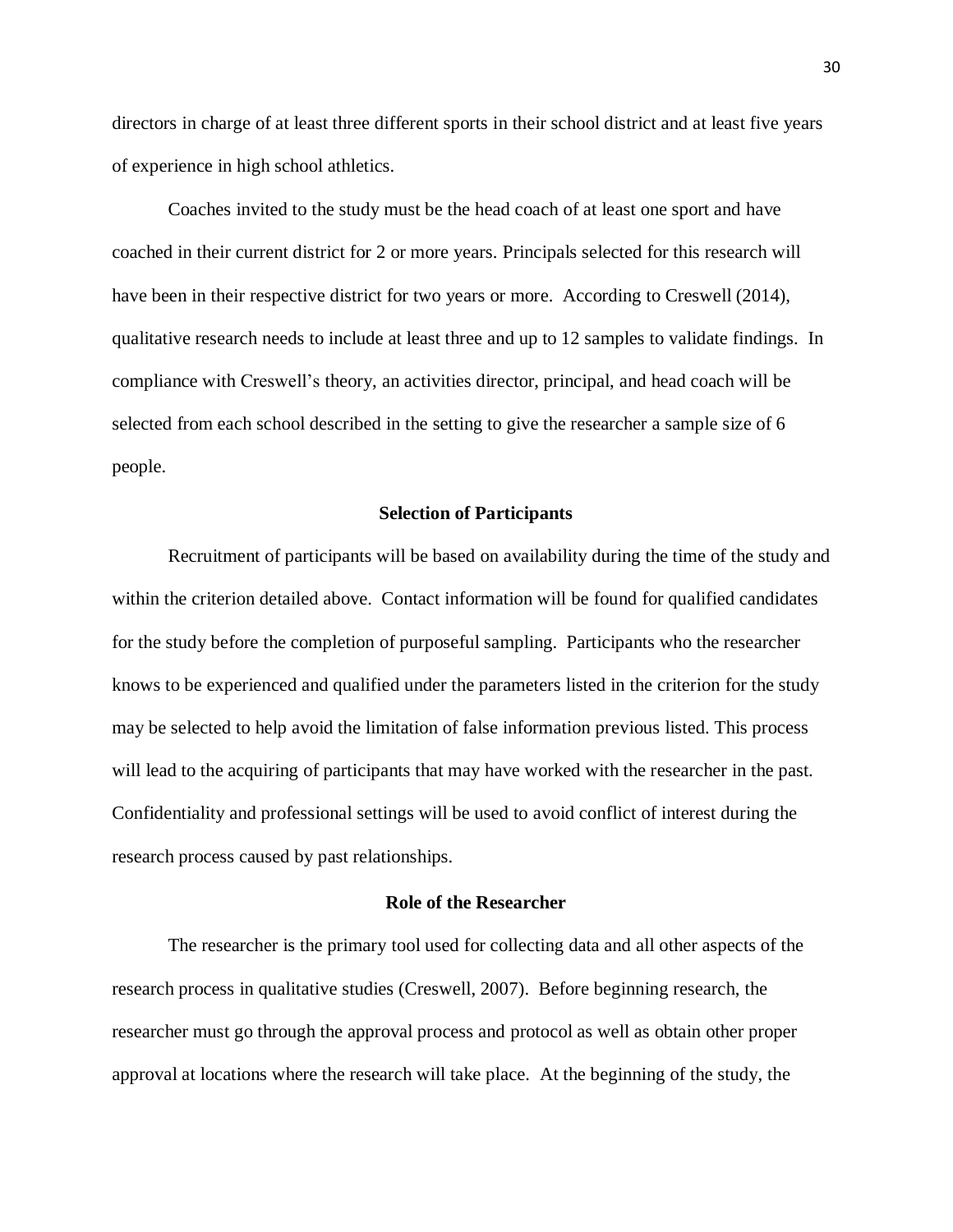directors in charge of at least three different sports in their school district and at least five years of experience in high school athletics.

Coaches invited to the study must be the head coach of at least one sport and have coached in their current district for 2 or more years. Principals selected for this research will have been in their respective district for two years or more. According to Creswell (2014), qualitative research needs to include at least three and up to 12 samples to validate findings. In compliance with Creswell's theory, an activities director, principal, and head coach will be selected from each school described in the setting to give the researcher a sample size of 6 people.

#### **Selection of Participants**

<span id="page-34-0"></span>Recruitment of participants will be based on availability during the time of the study and within the criterion detailed above. Contact information will be found for qualified candidates for the study before the completion of purposeful sampling. Participants who the researcher knows to be experienced and qualified under the parameters listed in the criterion for the study may be selected to help avoid the limitation of false information previous listed. This process will lead to the acquiring of participants that may have worked with the researcher in the past. Confidentiality and professional settings will be used to avoid conflict of interest during the research process caused by past relationships.

#### **Role of the Researcher**

<span id="page-34-1"></span>The researcher is the primary tool used for collecting data and all other aspects of the research process in qualitative studies (Creswell, 2007). Before beginning research, the researcher must go through the approval process and protocol as well as obtain other proper approval at locations where the research will take place. At the beginning of the study, the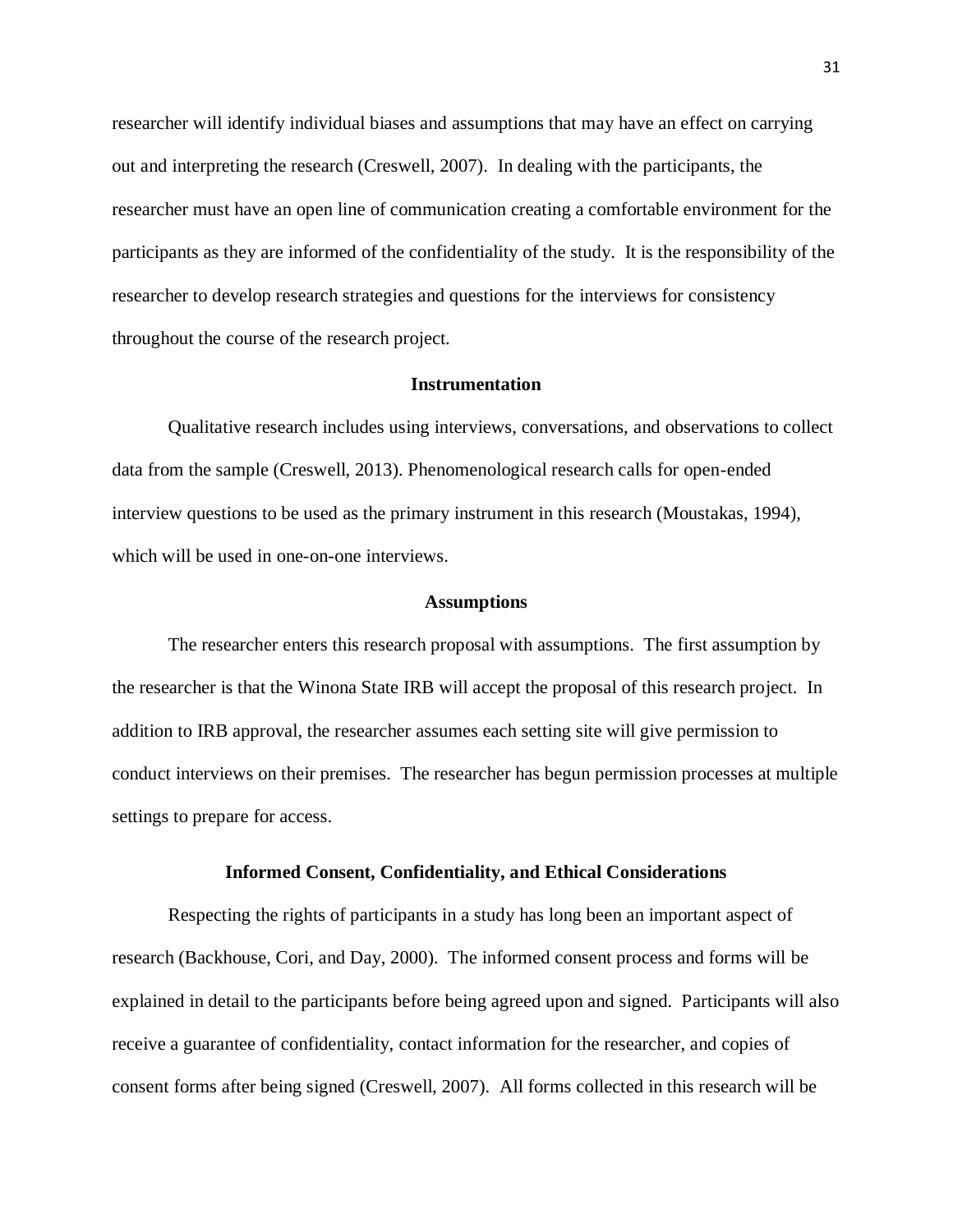researcher will identify individual biases and assumptions that may have an effect on carrying out and interpreting the research (Creswell, 2007). In dealing with the participants, the researcher must have an open line of communication creating a comfortable environment for the participants as they are informed of the confidentiality of the study. It is the responsibility of the researcher to develop research strategies and questions for the interviews for consistency throughout the course of the research project.

#### **Instrumentation**

<span id="page-35-0"></span>Qualitative research includes using interviews, conversations, and observations to collect data from the sample (Creswell, 2013). Phenomenological research calls for open-ended interview questions to be used as the primary instrument in this research (Moustakas, 1994), which will be used in one-on-one interviews.

#### **Assumptions**

<span id="page-35-1"></span>The researcher enters this research proposal with assumptions. The first assumption by the researcher is that the Winona State IRB will accept the proposal of this research project. In addition to IRB approval, the researcher assumes each setting site will give permission to conduct interviews on their premises. The researcher has begun permission processes at multiple settings to prepare for access.

#### **Informed Consent, Confidentiality, and Ethical Considerations**

<span id="page-35-2"></span>Respecting the rights of participants in a study has long been an important aspect of research (Backhouse, Cori, and Day, 2000). The informed consent process and forms will be explained in detail to the participants before being agreed upon and signed. Participants will also receive a guarantee of confidentiality, contact information for the researcher, and copies of consent forms after being signed (Creswell, 2007). All forms collected in this research will be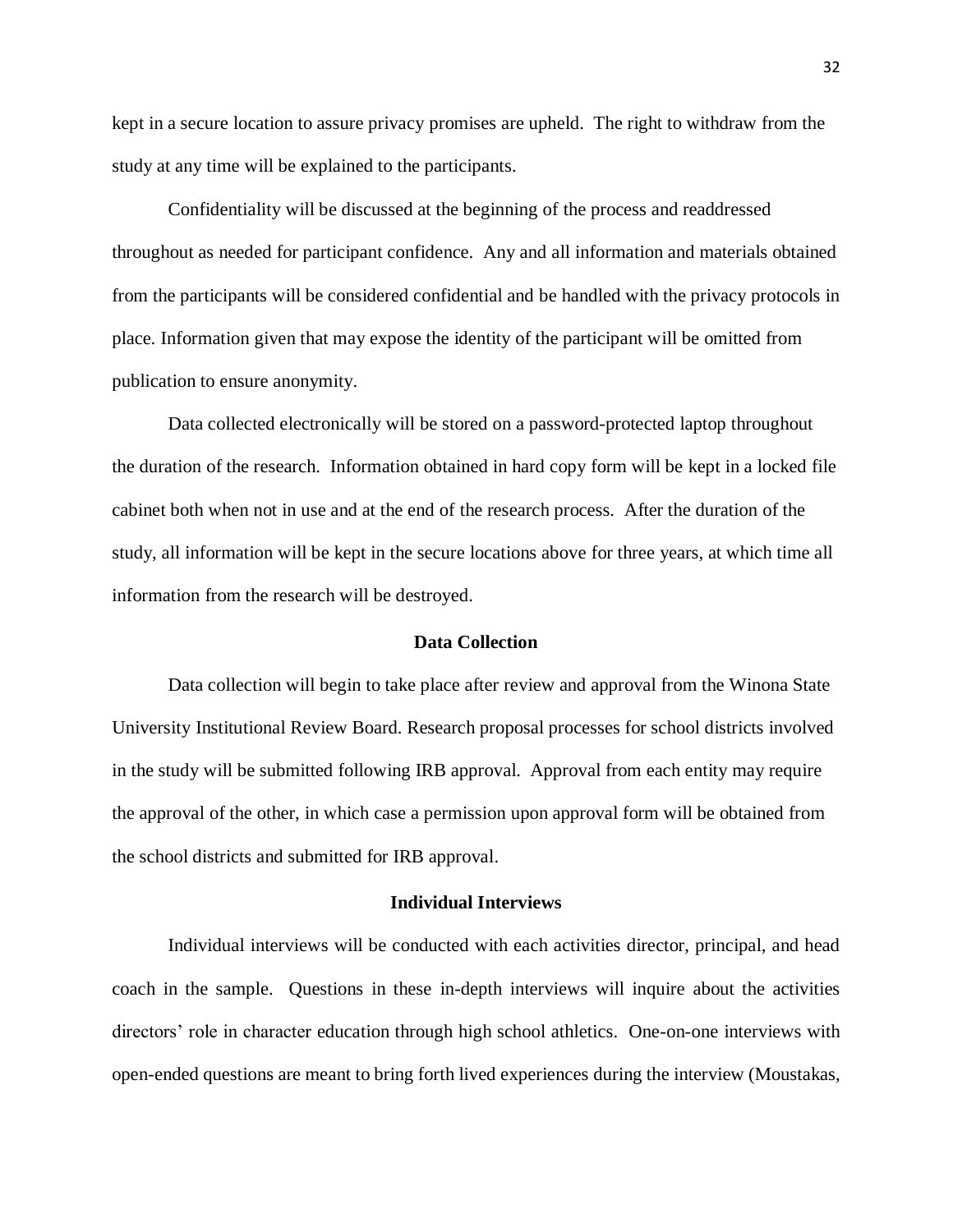kept in a secure location to assure privacy promises are upheld. The right to withdraw from the study at any time will be explained to the participants.

Confidentiality will be discussed at the beginning of the process and readdressed throughout as needed for participant confidence. Any and all information and materials obtained from the participants will be considered confidential and be handled with the privacy protocols in place. Information given that may expose the identity of the participant will be omitted from publication to ensure anonymity.

Data collected electronically will be stored on a password-protected laptop throughout the duration of the research. Information obtained in hard copy form will be kept in a locked file cabinet both when not in use and at the end of the research process. After the duration of the study, all information will be kept in the secure locations above for three years, at which time all information from the research will be destroyed.

#### **Data Collection**

<span id="page-36-0"></span>Data collection will begin to take place after review and approval from the Winona State University Institutional Review Board. Research proposal processes for school districts involved in the study will be submitted following IRB approval. Approval from each entity may require the approval of the other, in which case a permission upon approval form will be obtained from the school districts and submitted for IRB approval.

#### **Individual Interviews**

<span id="page-36-1"></span>Individual interviews will be conducted with each activities director, principal, and head coach in the sample. Questions in these in-depth interviews will inquire about the activities directors' role in character education through high school athletics. One-on-one interviews with open-ended questions are meant to bring forth lived experiences during the interview (Moustakas,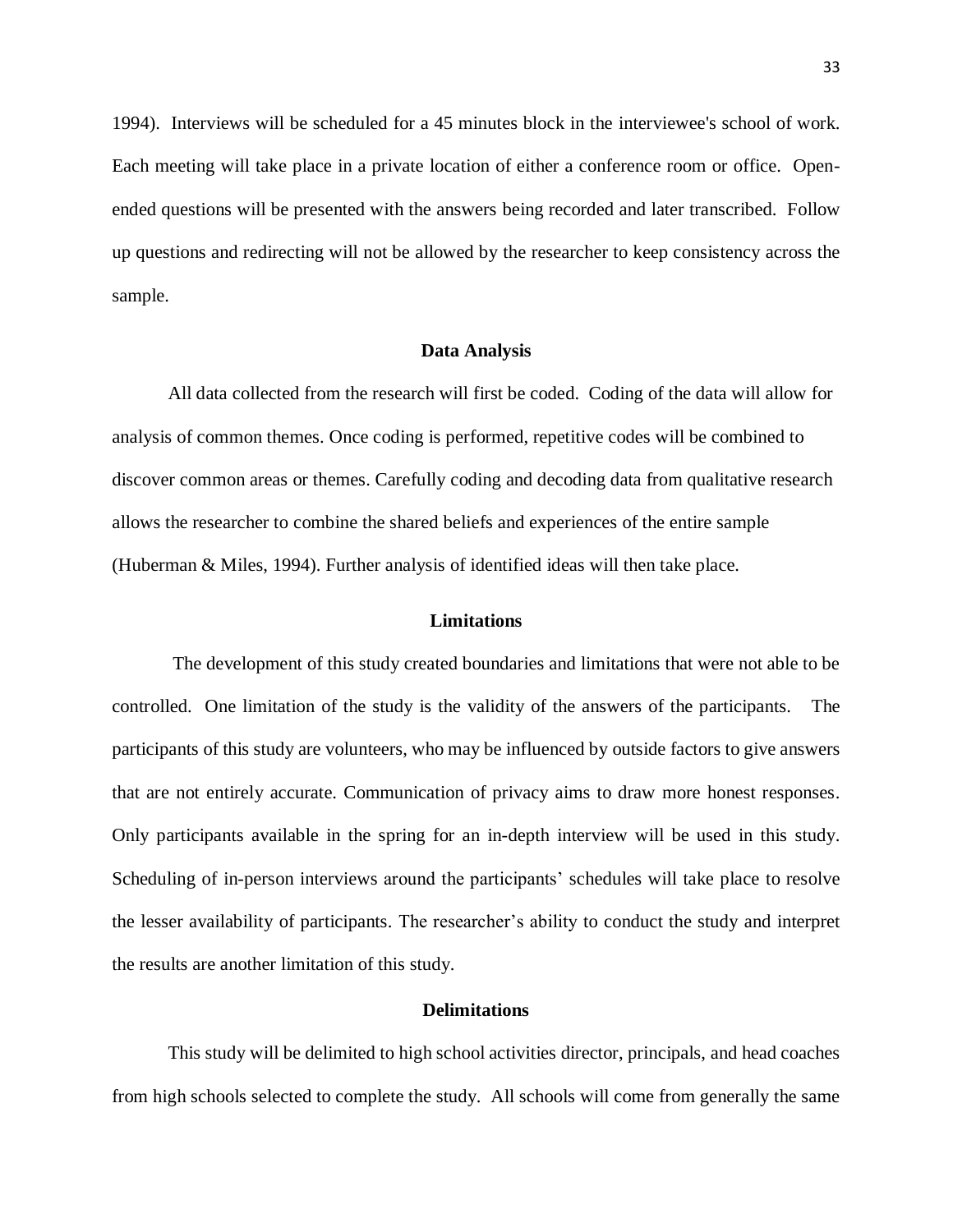1994). Interviews will be scheduled for a 45 minutes block in the interviewee's school of work. Each meeting will take place in a private location of either a conference room or office. Openended questions will be presented with the answers being recorded and later transcribed. Follow up questions and redirecting will not be allowed by the researcher to keep consistency across the sample.

#### **Data Analysis**

<span id="page-37-0"></span>All data collected from the research will first be coded. Coding of the data will allow for analysis of common themes. Once coding is performed, repetitive codes will be combined to discover common areas or themes. Carefully coding and decoding data from qualitative research allows the researcher to combine the shared beliefs and experiences of the entire sample (Huberman & Miles, 1994). Further analysis of identified ideas will then take place.

#### **Limitations**

<span id="page-37-1"></span>The development of this study created boundaries and limitations that were not able to be controlled. One limitation of the study is the validity of the answers of the participants. The participants of this study are volunteers, who may be influenced by outside factors to give answers that are not entirely accurate. Communication of privacy aims to draw more honest responses. Only participants available in the spring for an in-depth interview will be used in this study. Scheduling of in-person interviews around the participants' schedules will take place to resolve the lesser availability of participants. The researcher's ability to conduct the study and interpret the results are another limitation of this study.

#### **Delimitations**

<span id="page-37-2"></span>This study will be delimited to high school activities director, principals, and head coaches from high schools selected to complete the study. All schools will come from generally the same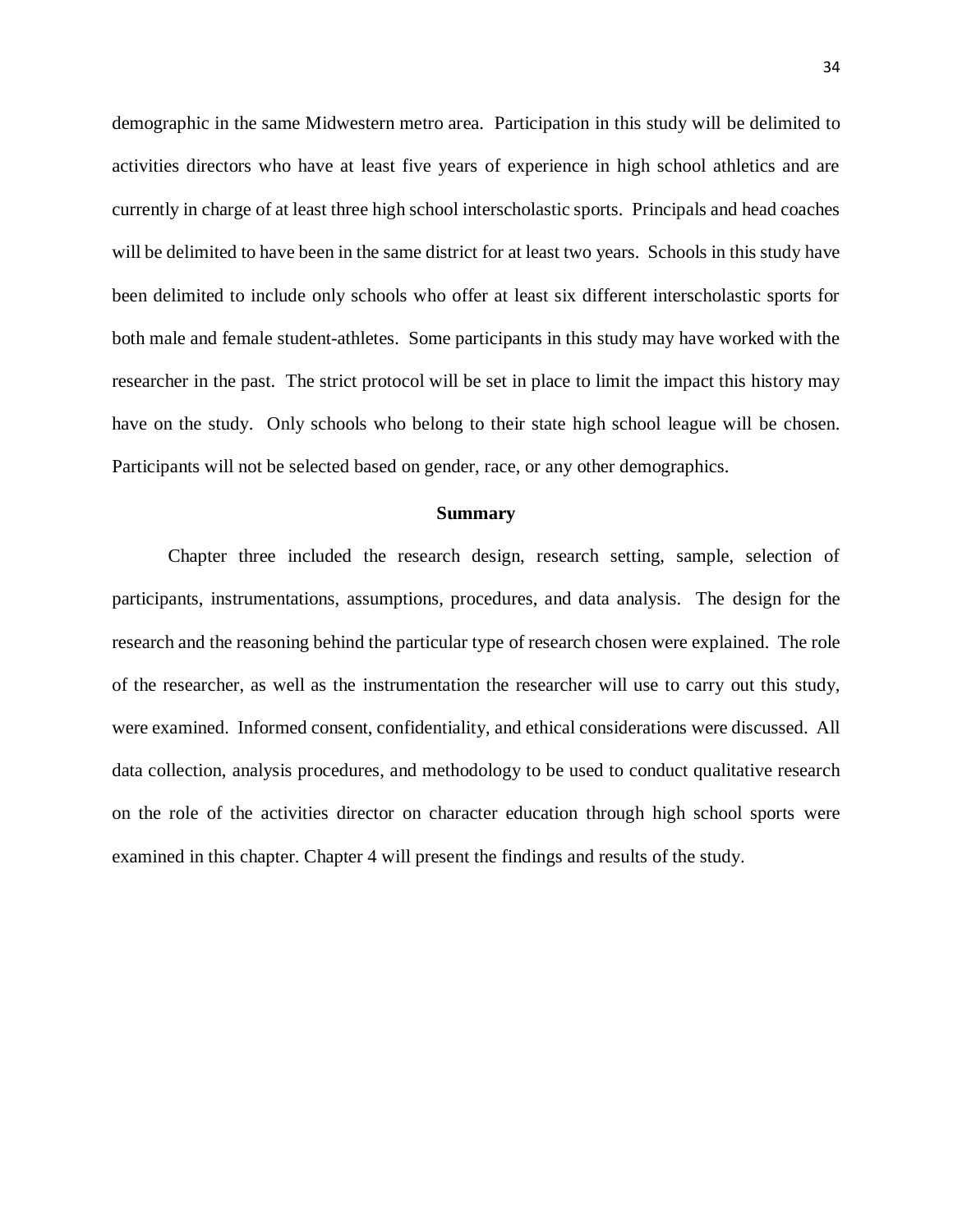demographic in the same Midwestern metro area. Participation in this study will be delimited to activities directors who have at least five years of experience in high school athletics and are currently in charge of at least three high school interscholastic sports. Principals and head coaches will be delimited to have been in the same district for at least two years. Schools in this study have been delimited to include only schools who offer at least six different interscholastic sports for both male and female student-athletes. Some participants in this study may have worked with the researcher in the past. The strict protocol will be set in place to limit the impact this history may have on the study. Only schools who belong to their state high school league will be chosen. Participants will not be selected based on gender, race, or any other demographics.

#### **Summary**

<span id="page-38-0"></span>Chapter three included the research design, research setting, sample, selection of participants, instrumentations, assumptions, procedures, and data analysis. The design for the research and the reasoning behind the particular type of research chosen were explained. The role of the researcher, as well as the instrumentation the researcher will use to carry out this study, were examined. Informed consent, confidentiality, and ethical considerations were discussed. All data collection, analysis procedures, and methodology to be used to conduct qualitative research on the role of the activities director on character education through high school sports were examined in this chapter. Chapter 4 will present the findings and results of the study.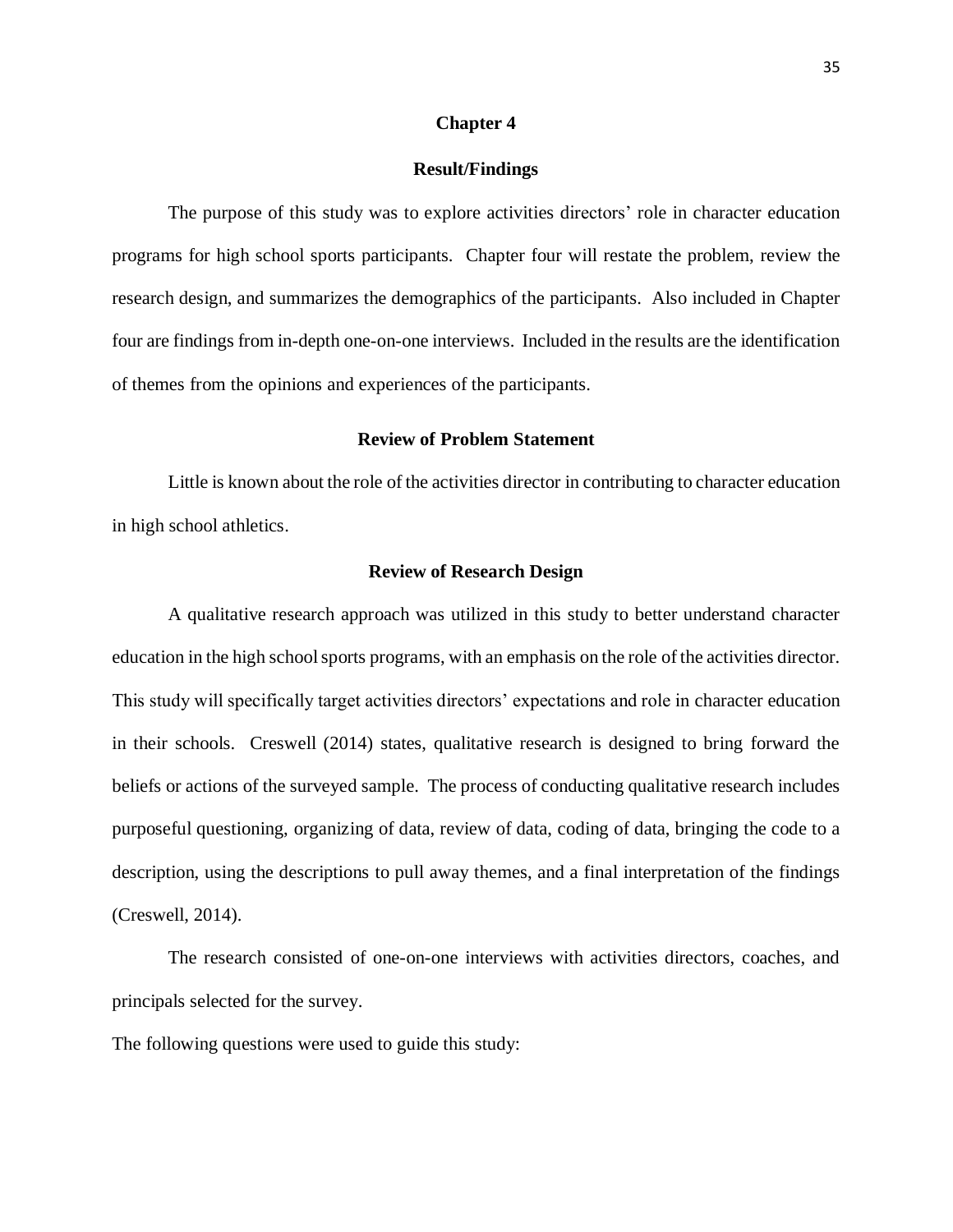#### **Chapter 4**

#### **Result/Findings**

<span id="page-39-1"></span><span id="page-39-0"></span>The purpose of this study was to explore activities directors' role in character education programs for high school sports participants. Chapter four will restate the problem, review the research design, and summarizes the demographics of the participants. Also included in Chapter four are findings from in-depth one-on-one interviews. Included in the results are the identification of themes from the opinions and experiences of the participants.

#### **Review of Problem Statement**

<span id="page-39-2"></span>Little is known about the role of the activities director in contributing to character education in high school athletics.

#### **Review of Research Design**

<span id="page-39-3"></span>A qualitative research approach was utilized in this study to better understand character education in the high school sports programs, with an emphasis on the role of the activities director. This study will specifically target activities directors' expectations and role in character education in their schools. Creswell (2014) states, qualitative research is designed to bring forward the beliefs or actions of the surveyed sample. The process of conducting qualitative research includes purposeful questioning, organizing of data, review of data, coding of data, bringing the code to a description, using the descriptions to pull away themes, and a final interpretation of the findings (Creswell, 2014).

The research consisted of one-on-one interviews with activities directors, coaches, and principals selected for the survey.

The following questions were used to guide this study: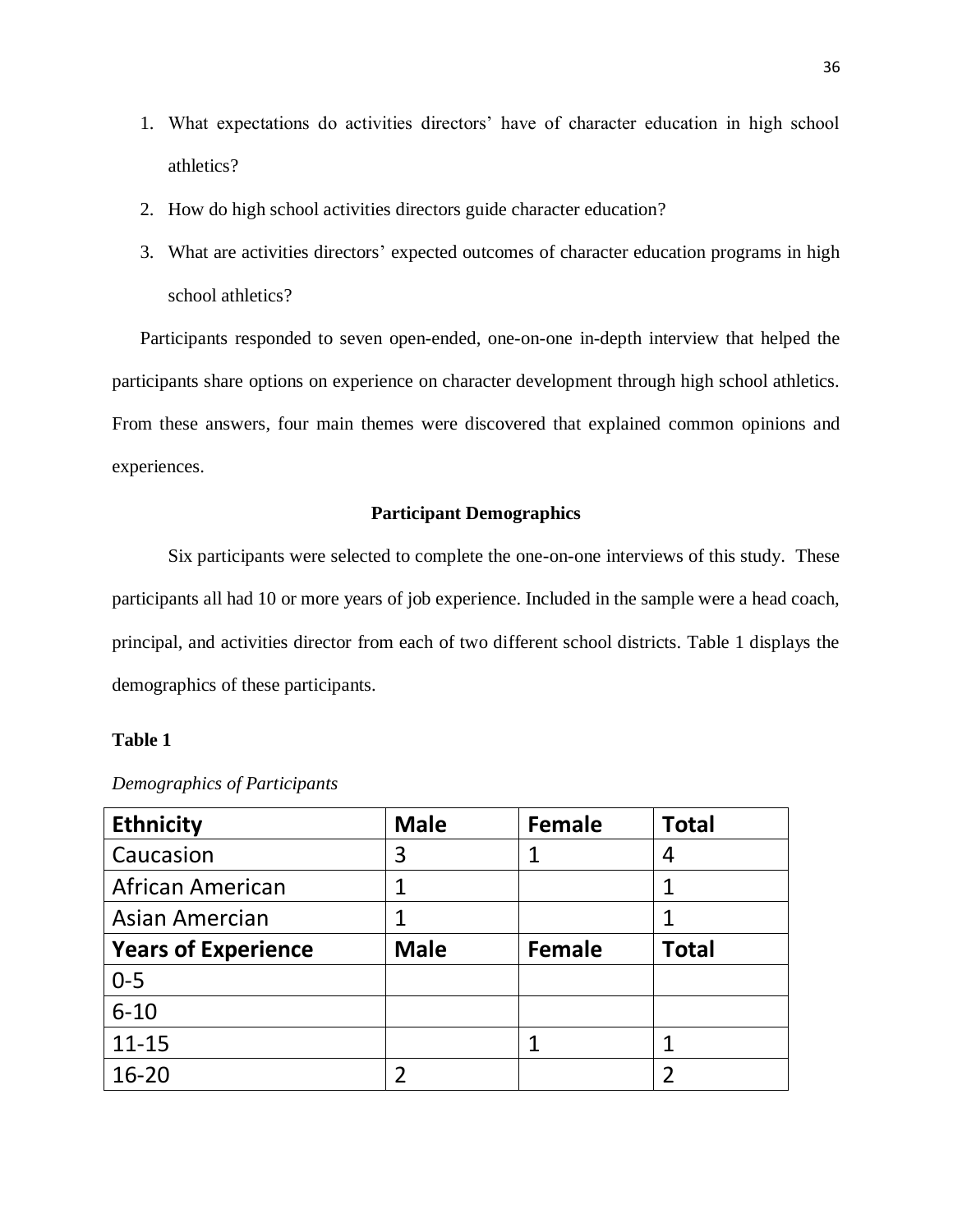- 1. What expectations do activities directors' have of character education in high school athletics?
- 2. How do high school activities directors guide character education?
- 3. What are activities directors' expected outcomes of character education programs in high school athletics?

Participants responded to seven open-ended, one-on-one in-depth interview that helped the participants share options on experience on character development through high school athletics. From these answers, four main themes were discovered that explained common opinions and experiences.

#### **Participant Demographics**

<span id="page-40-0"></span>Six participants were selected to complete the one-on-one interviews of this study. These participants all had 10 or more years of job experience. Included in the sample were a head coach, principal, and activities director from each of two different school districts. Table 1 displays the demographics of these participants.

## <span id="page-40-1"></span>**Table 1**

| <b>Ethnicity</b>           | <b>Male</b> | <b>Female</b> | <b>Total</b> |
|----------------------------|-------------|---------------|--------------|
| Caucasion                  | 3           |               | 4            |
| African American           | 1           |               |              |
| Asian Amercian             | 1           |               |              |
| <b>Years of Experience</b> | <b>Male</b> | <b>Female</b> | <b>Total</b> |
| $0 - 5$                    |             |               |              |
| $6 - 10$                   |             |               |              |
| $11 - 15$                  |             |               |              |
| $16 - 20$                  | 2           |               | 2            |

#### *Demographics of Participants*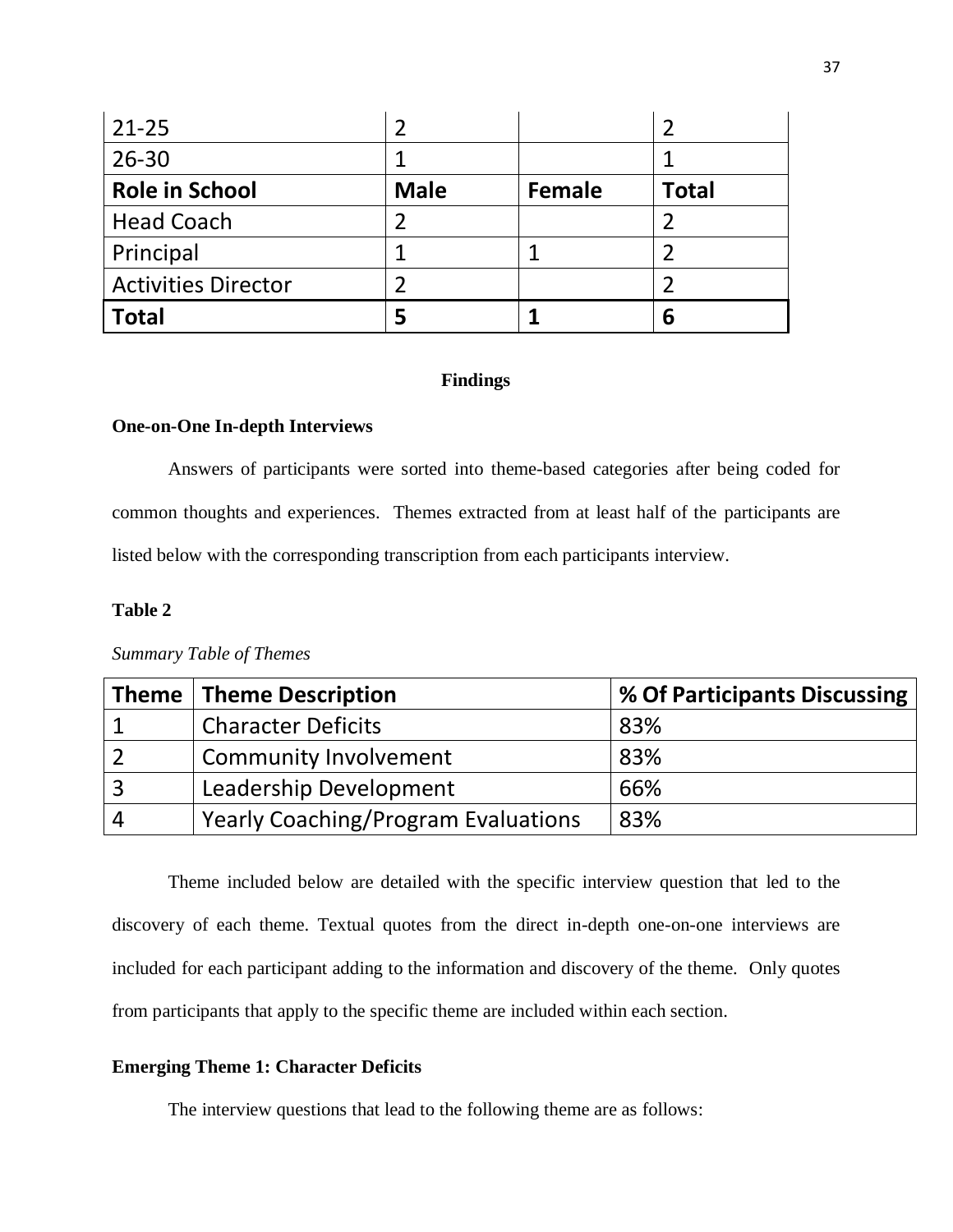| $21 - 25$                  |             |        |              |
|----------------------------|-------------|--------|--------------|
| $26 - 30$                  |             |        |              |
| <b>Role in School</b>      | <b>Male</b> | Female | <b>Total</b> |
| <b>Head Coach</b>          |             |        |              |
| Principal                  |             |        |              |
| <b>Activities Director</b> |             |        |              |
| <b>Total</b>               |             |        | 6            |

#### **Findings**

# <span id="page-41-1"></span><span id="page-41-0"></span>**One-on-One In-depth Interviews**

Answers of participants were sorted into theme-based categories after being coded for common thoughts and experiences. Themes extracted from at least half of the participants are listed below with the corresponding transcription from each participants interview.

# <span id="page-41-2"></span>**Table 2**

|          | Theme   Theme Description                  | % Of Participants Discussing |
|----------|--------------------------------------------|------------------------------|
|          | <b>Character Deficits</b>                  | 83%                          |
|          | <b>Community Involvement</b>               | 83%                          |
| -3       | Leadership Development                     | 66%                          |
| $\Delta$ | <b>Yearly Coaching/Program Evaluations</b> | 83%                          |

*Summary Table of Themes*

Theme included below are detailed with the specific interview question that led to the discovery of each theme. Textual quotes from the direct in-depth one-on-one interviews are included for each participant adding to the information and discovery of the theme. Only quotes from participants that apply to the specific theme are included within each section.

#### <span id="page-41-3"></span>**Emerging Theme 1: Character Deficits**

The interview questions that lead to the following theme are as follows: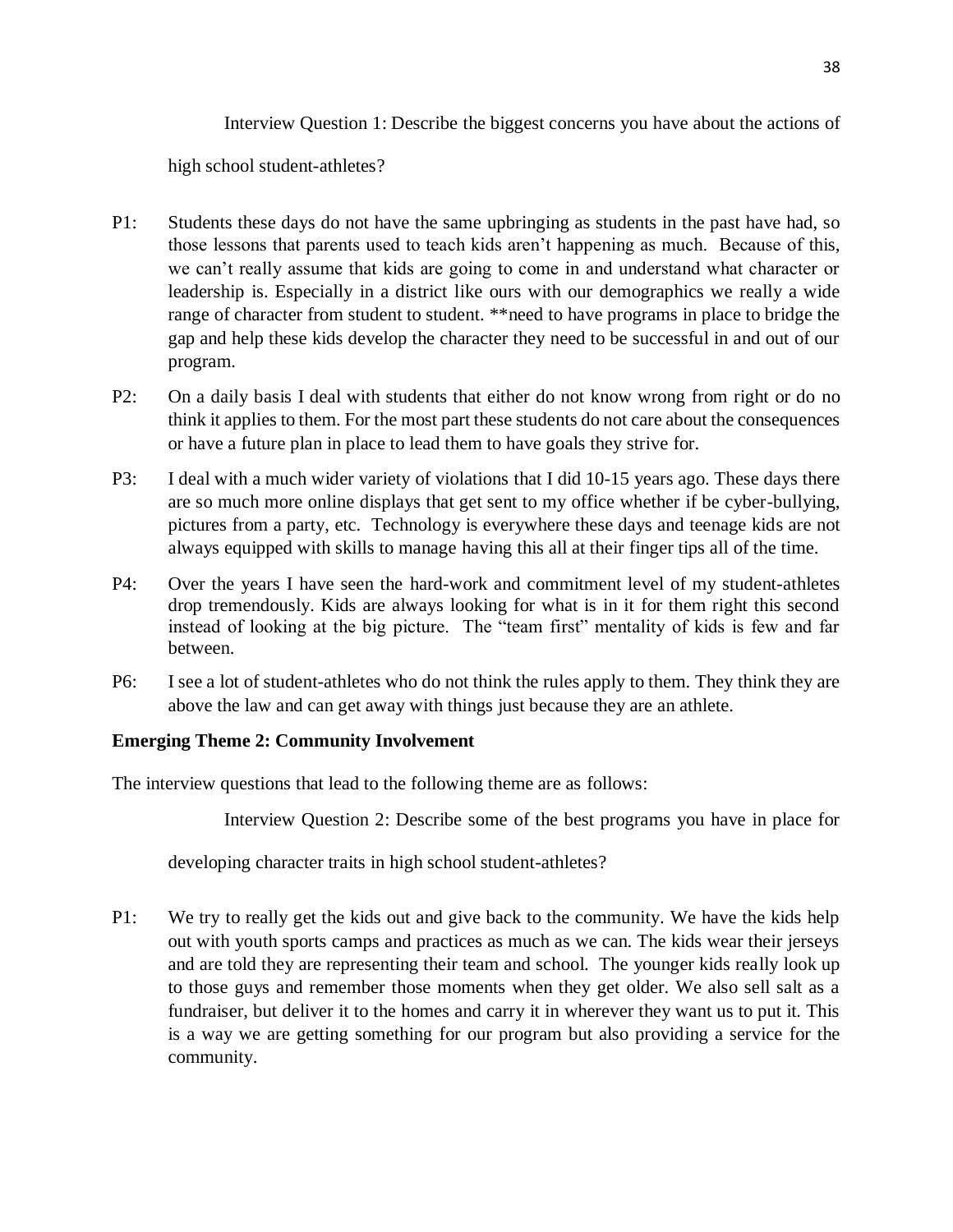Interview Question 1: Describe the biggest concerns you have about the actions of

high school student-athletes?

- P1: Students these days do not have the same upbringing as students in the past have had, so those lessons that parents used to teach kids aren't happening as much. Because of this, we can't really assume that kids are going to come in and understand what character or leadership is. Especially in a district like ours with our demographics we really a wide range of character from student to student. \*\* need to have programs in place to bridge the gap and help these kids develop the character they need to be successful in and out of our program.
- P2: On a daily basis I deal with students that either do not know wrong from right or do no think it applies to them. For the most part these students do not care about the consequences or have a future plan in place to lead them to have goals they strive for.
- P3: I deal with a much wider variety of violations that I did 10-15 years ago. These days there are so much more online displays that get sent to my office whether if be cyber-bullying, pictures from a party, etc. Technology is everywhere these days and teenage kids are not always equipped with skills to manage having this all at their finger tips all of the time.
- P4: Over the years I have seen the hard-work and commitment level of my student-athletes drop tremendously. Kids are always looking for what is in it for them right this second instead of looking at the big picture. The "team first" mentality of kids is few and far between.
- P6: I see a lot of student-athletes who do not think the rules apply to them. They think they are above the law and can get away with things just because they are an athlete.

# <span id="page-42-0"></span>**Emerging Theme 2: Community Involvement**

The interview questions that lead to the following theme are as follows:

Interview Question 2: Describe some of the best programs you have in place for

developing character traits in high school student-athletes?

P1: We try to really get the kids out and give back to the community. We have the kids help out with youth sports camps and practices as much as we can. The kids wear their jerseys and are told they are representing their team and school. The younger kids really look up to those guys and remember those moments when they get older. We also sell salt as a fundraiser, but deliver it to the homes and carry it in wherever they want us to put it. This is a way we are getting something for our program but also providing a service for the community.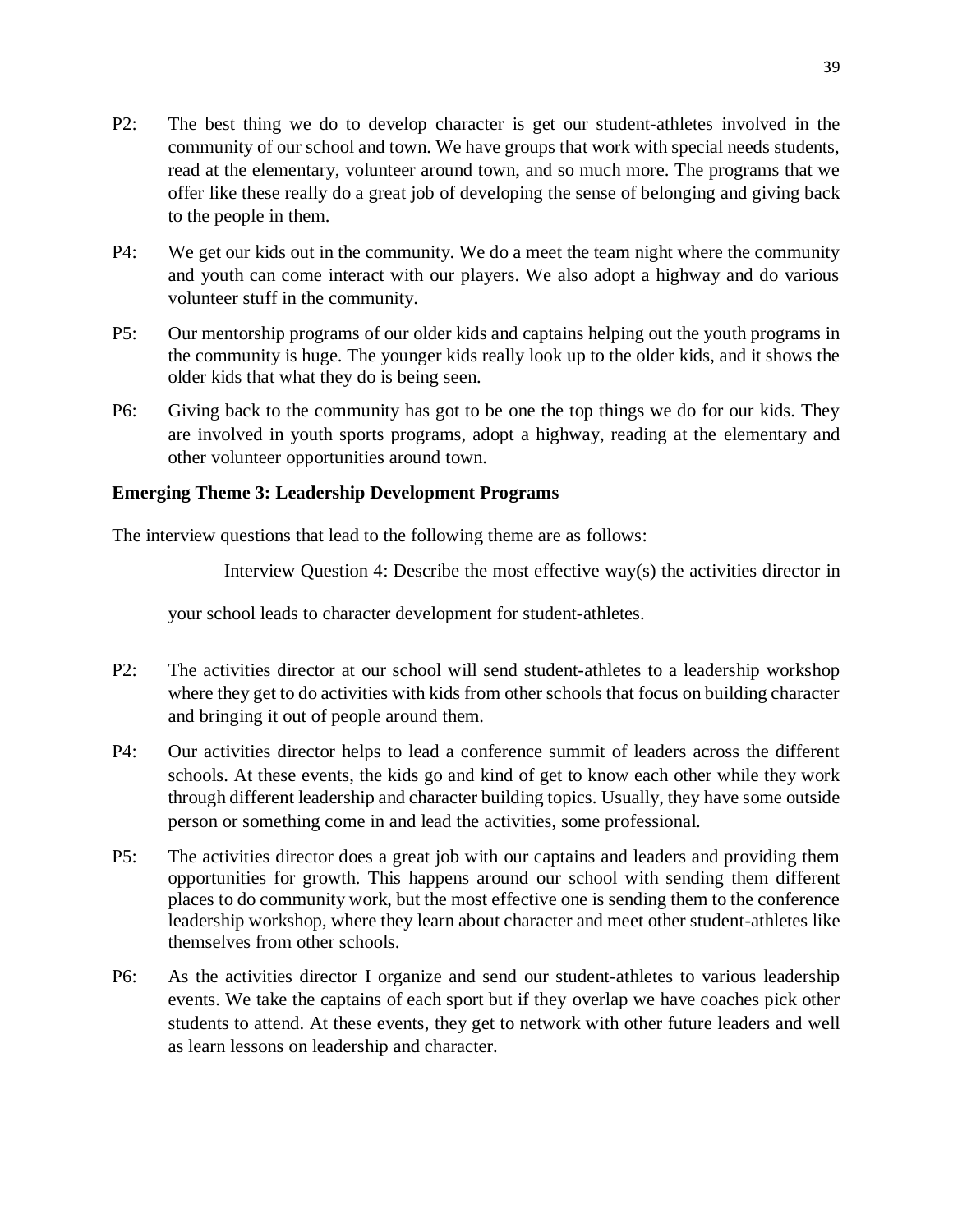- P2: The best thing we do to develop character is get our student-athletes involved in the community of our school and town. We have groups that work with special needs students, read at the elementary, volunteer around town, and so much more. The programs that we offer like these really do a great job of developing the sense of belonging and giving back to the people in them.
- P4: We get our kids out in the community. We do a meet the team night where the community and youth can come interact with our players. We also adopt a highway and do various volunteer stuff in the community.
- P5: Our mentorship programs of our older kids and captains helping out the youth programs in the community is huge. The younger kids really look up to the older kids, and it shows the older kids that what they do is being seen.
- P6: Giving back to the community has got to be one the top things we do for our kids. They are involved in youth sports programs, adopt a highway, reading at the elementary and other volunteer opportunities around town.

# <span id="page-43-0"></span>**Emerging Theme 3: Leadership Development Programs**

The interview questions that lead to the following theme are as follows:

Interview Question 4: Describe the most effective way(s) the activities director in

your school leads to character development for student-athletes.

- P2: The activities director at our school will send student-athletes to a leadership workshop where they get to do activities with kids from other schools that focus on building character and bringing it out of people around them.
- P4: Our activities director helps to lead a conference summit of leaders across the different schools. At these events, the kids go and kind of get to know each other while they work through different leadership and character building topics. Usually, they have some outside person or something come in and lead the activities, some professional.
- P5: The activities director does a great job with our captains and leaders and providing them opportunities for growth. This happens around our school with sending them different places to do community work, but the most effective one is sending them to the conference leadership workshop, where they learn about character and meet other student-athletes like themselves from other schools.
- P6: As the activities director I organize and send our student-athletes to various leadership events. We take the captains of each sport but if they overlap we have coaches pick other students to attend. At these events, they get to network with other future leaders and well as learn lessons on leadership and character.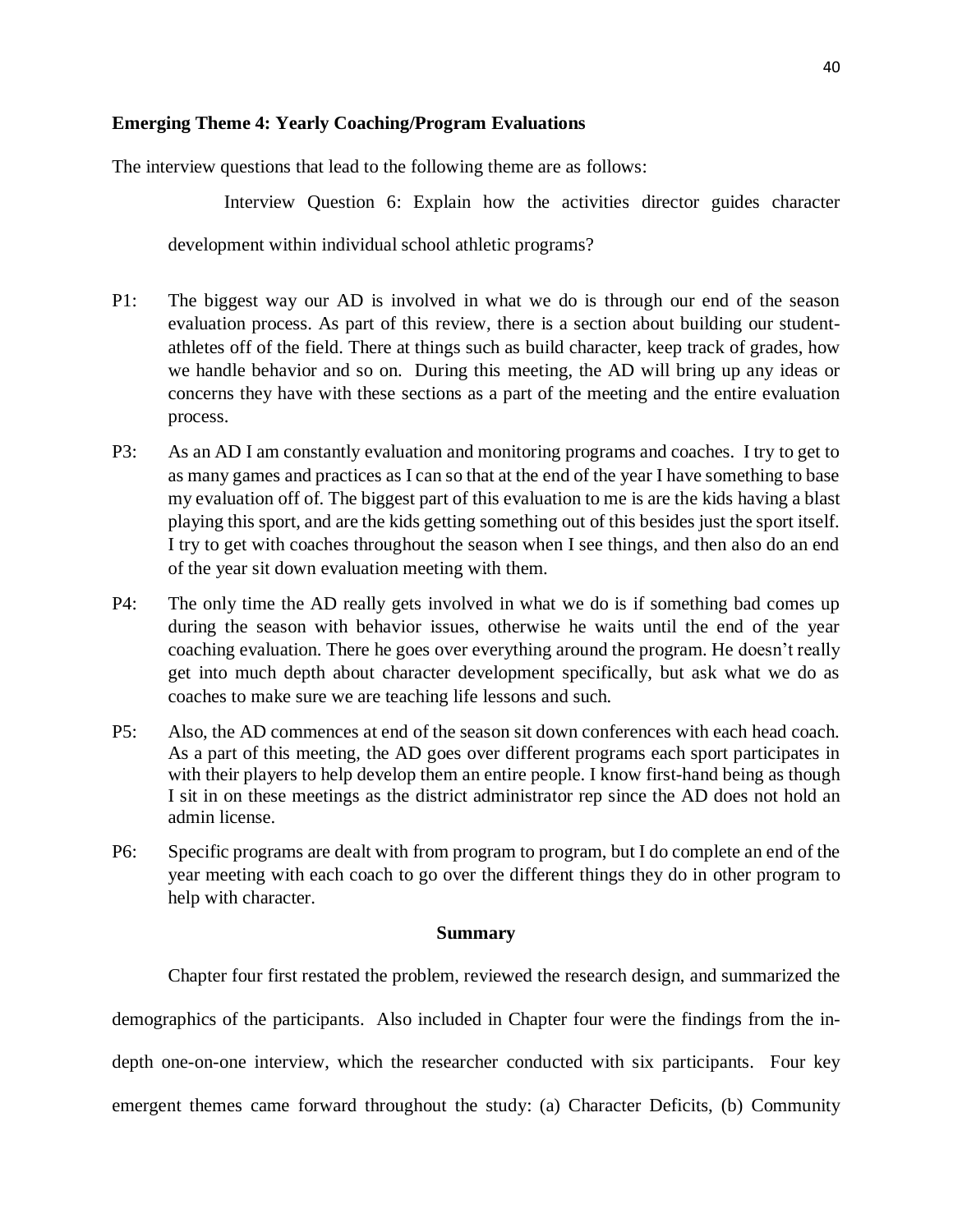#### <span id="page-44-0"></span>**Emerging Theme 4: Yearly Coaching/Program Evaluations**

The interview questions that lead to the following theme are as follows:

Interview Question 6: Explain how the activities director guides character development within individual school athletic programs?

- P1: The biggest way our AD is involved in what we do is through our end of the season evaluation process. As part of this review, there is a section about building our studentathletes off of the field. There at things such as build character, keep track of grades, how we handle behavior and so on. During this meeting, the AD will bring up any ideas or concerns they have with these sections as a part of the meeting and the entire evaluation process.
- P3: As an AD I am constantly evaluation and monitoring programs and coaches. I try to get to as many games and practices as I can so that at the end of the year I have something to base my evaluation off of. The biggest part of this evaluation to me is are the kids having a blast playing this sport, and are the kids getting something out of this besides just the sport itself. I try to get with coaches throughout the season when I see things, and then also do an end of the year sit down evaluation meeting with them.
- P4: The only time the AD really gets involved in what we do is if something bad comes up during the season with behavior issues, otherwise he waits until the end of the year coaching evaluation. There he goes over everything around the program. He doesn't really get into much depth about character development specifically, but ask what we do as coaches to make sure we are teaching life lessons and such.
- P5: Also, the AD commences at end of the season sit down conferences with each head coach. As a part of this meeting, the AD goes over different programs each sport participates in with their players to help develop them an entire people. I know first-hand being as though I sit in on these meetings as the district administrator rep since the AD does not hold an admin license.
- P6: Specific programs are dealt with from program to program, but I do complete an end of the year meeting with each coach to go over the different things they do in other program to help with character.

#### **Summary**

<span id="page-44-1"></span>Chapter four first restated the problem, reviewed the research design, and summarized the demographics of the participants. Also included in Chapter four were the findings from the indepth one-on-one interview, which the researcher conducted with six participants. Four key emergent themes came forward throughout the study: (a) Character Deficits, (b) Community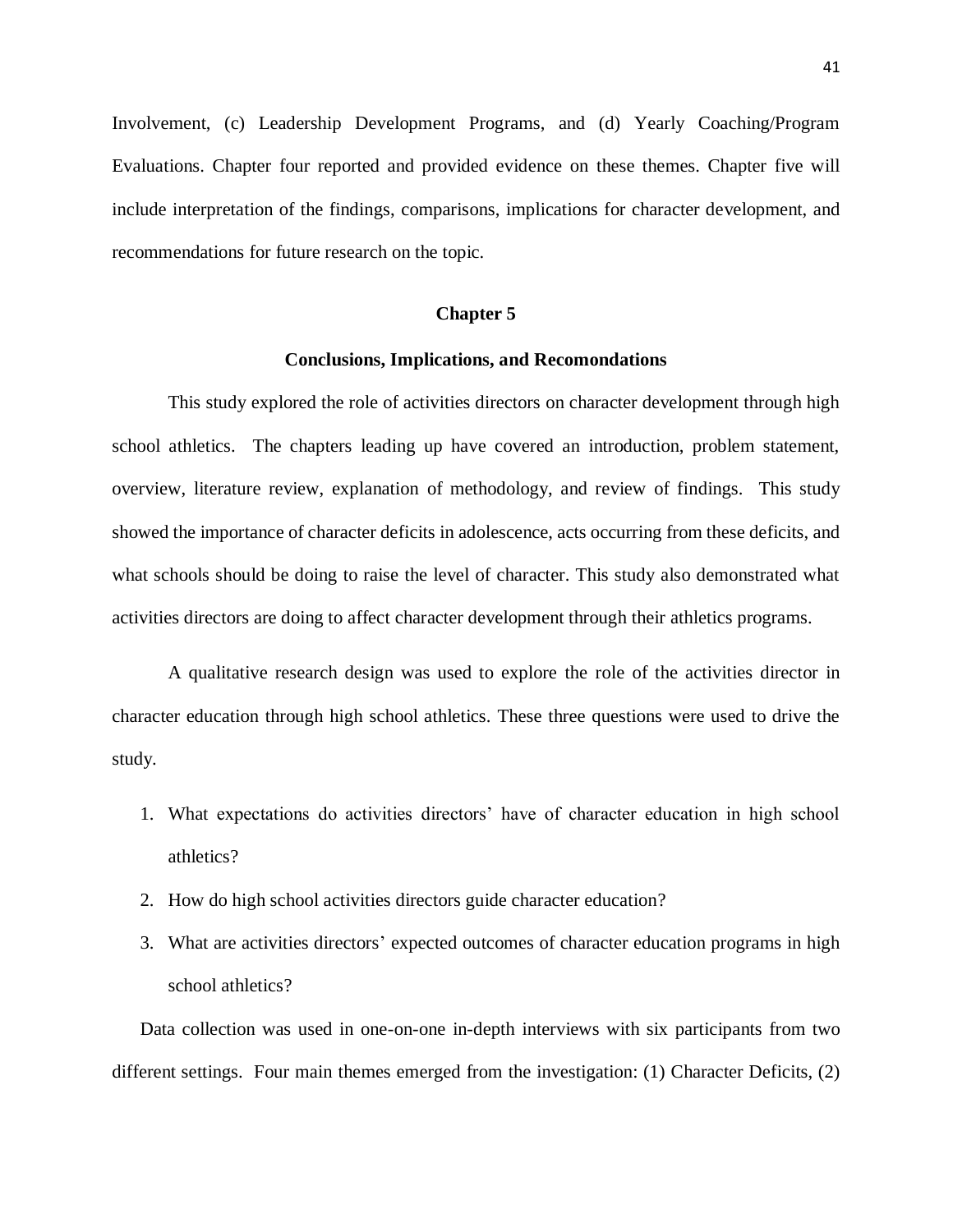Involvement, (c) Leadership Development Programs, and (d) Yearly Coaching/Program Evaluations. Chapter four reported and provided evidence on these themes. Chapter five will include interpretation of the findings, comparisons, implications for character development, and recommendations for future research on the topic.

#### **Chapter 5**

#### **Conclusions, Implications, and Recomondations**

<span id="page-45-1"></span><span id="page-45-0"></span>This study explored the role of activities directors on character development through high school athletics. The chapters leading up have covered an introduction, problem statement, overview, literature review, explanation of methodology, and review of findings. This study showed the importance of character deficits in adolescence, acts occurring from these deficits, and what schools should be doing to raise the level of character. This study also demonstrated what activities directors are doing to affect character development through their athletics programs.

A qualitative research design was used to explore the role of the activities director in character education through high school athletics. These three questions were used to drive the study.

- 1. What expectations do activities directors' have of character education in high school athletics?
- 2. How do high school activities directors guide character education?
- 3. What are activities directors' expected outcomes of character education programs in high school athletics?

Data collection was used in one-on-one in-depth interviews with six participants from two different settings. Four main themes emerged from the investigation: (1) Character Deficits, (2)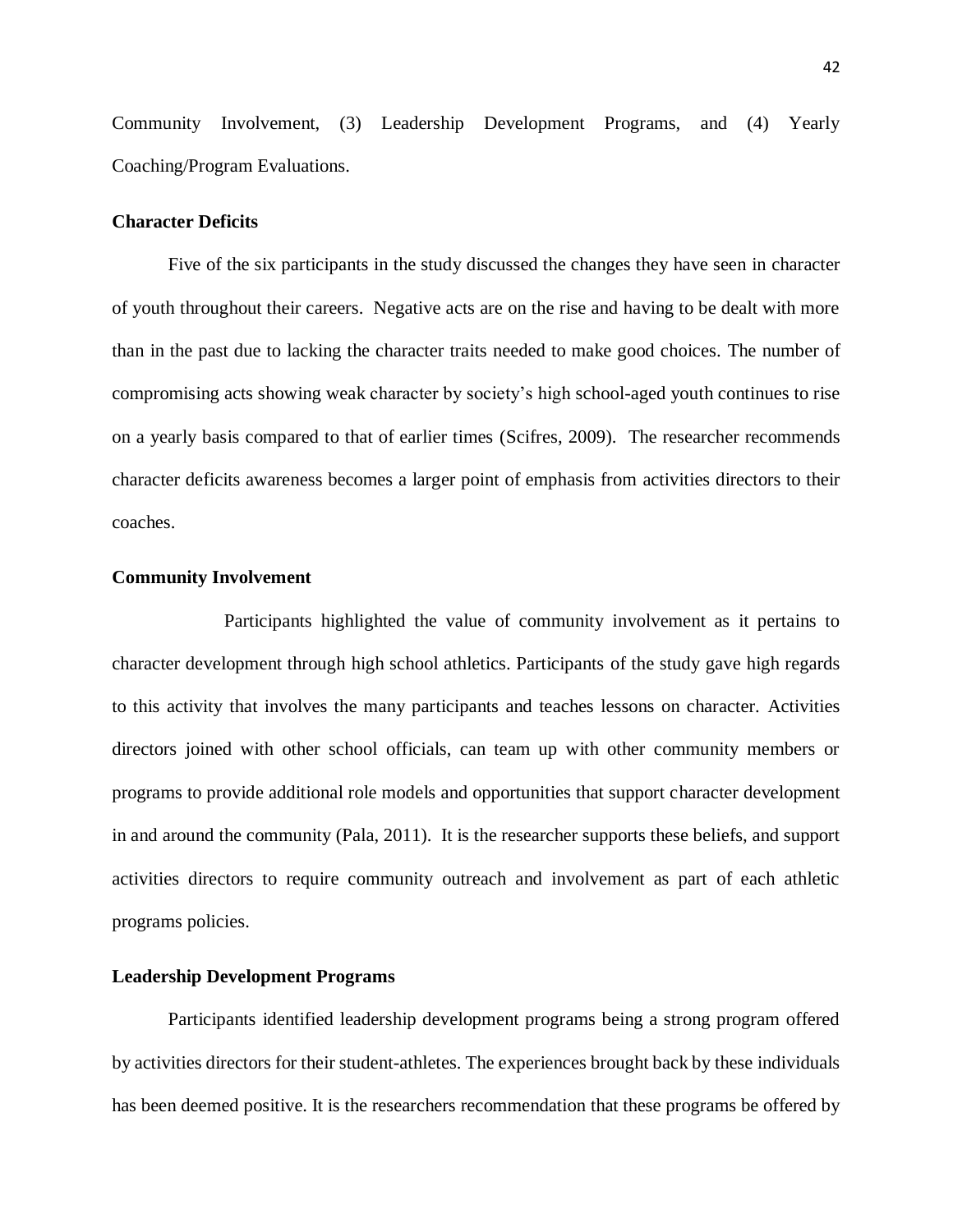Community Involvement, (3) Leadership Development Programs, and (4) Yearly Coaching/Program Evaluations.

#### <span id="page-46-0"></span>**Character Deficits**

Five of the six participants in the study discussed the changes they have seen in character of youth throughout their careers. Negative acts are on the rise and having to be dealt with more than in the past due to lacking the character traits needed to make good choices. The number of compromising acts showing weak character by society's high school-aged youth continues to rise on a yearly basis compared to that of earlier times (Scifres, 2009). The researcher recommends character deficits awareness becomes a larger point of emphasis from activities directors to their coaches.

#### <span id="page-46-1"></span>**Community Involvement**

Participants highlighted the value of community involvement as it pertains to character development through high school athletics. Participants of the study gave high regards to this activity that involves the many participants and teaches lessons on character. Activities directors joined with other school officials, can team up with other community members or programs to provide additional role models and opportunities that support character development in and around the community (Pala, 2011). It is the researcher supports these beliefs, and support activities directors to require community outreach and involvement as part of each athletic programs policies.

#### <span id="page-46-2"></span>**Leadership Development Programs**

Participants identified leadership development programs being a strong program offered by activities directors for their student-athletes. The experiences brought back by these individuals has been deemed positive. It is the researchers recommendation that these programs be offered by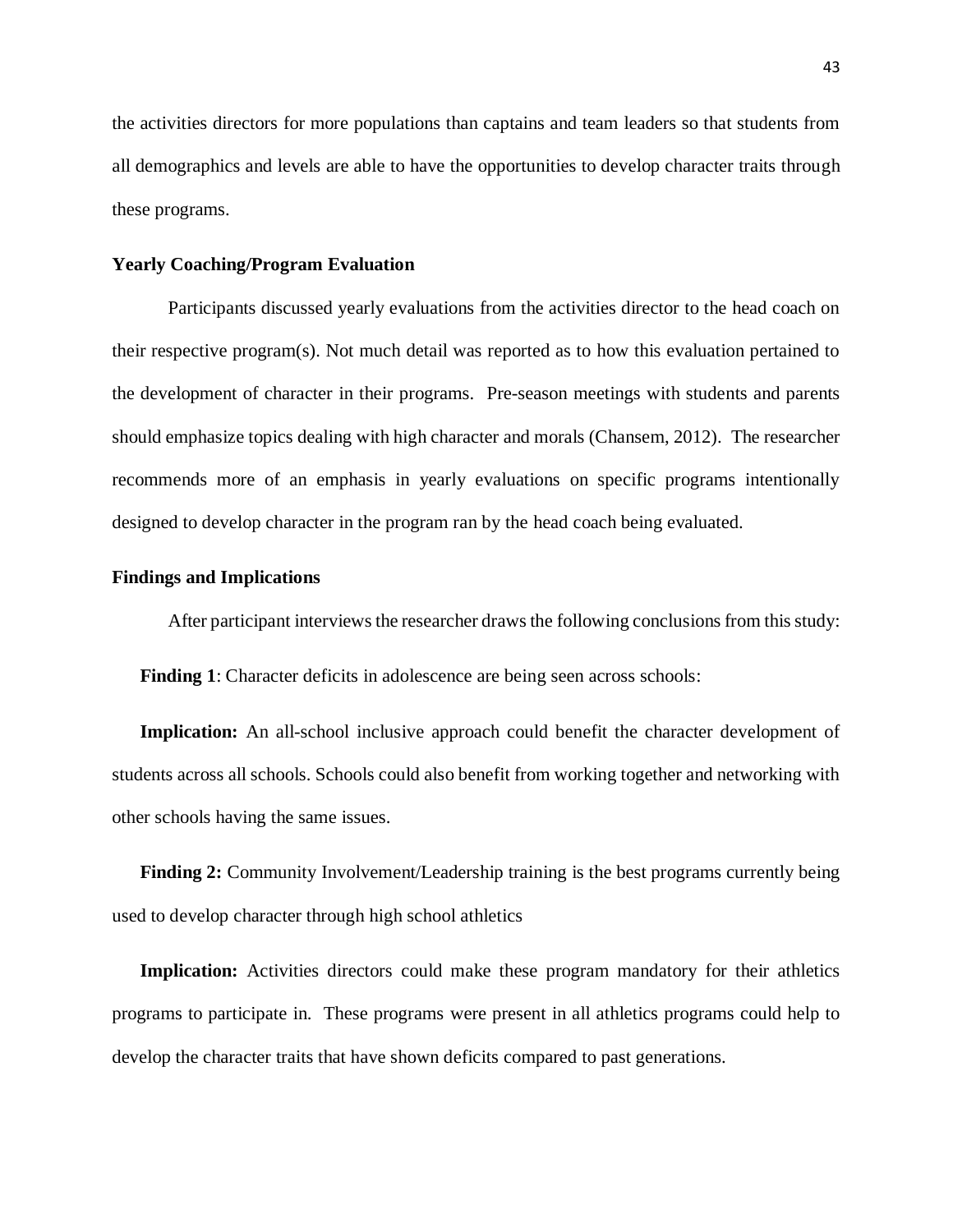the activities directors for more populations than captains and team leaders so that students from all demographics and levels are able to have the opportunities to develop character traits through these programs.

#### <span id="page-47-0"></span>**Yearly Coaching/Program Evaluation**

Participants discussed yearly evaluations from the activities director to the head coach on their respective program(s). Not much detail was reported as to how this evaluation pertained to the development of character in their programs. Pre-season meetings with students and parents should emphasize topics dealing with high character and morals (Chansem, 2012). The researcher recommends more of an emphasis in yearly evaluations on specific programs intentionally designed to develop character in the program ran by the head coach being evaluated.

#### <span id="page-47-1"></span>**Findings and Implications**

After participant interviews the researcher draws the following conclusions from this study:

**Finding 1**: Character deficits in adolescence are being seen across schools:

**Implication:** An all-school inclusive approach could benefit the character development of students across all schools. Schools could also benefit from working together and networking with other schools having the same issues.

**Finding 2:** Community Involvement/Leadership training is the best programs currently being used to develop character through high school athletics

**Implication:** Activities directors could make these program mandatory for their athletics programs to participate in. These programs were present in all athletics programs could help to develop the character traits that have shown deficits compared to past generations.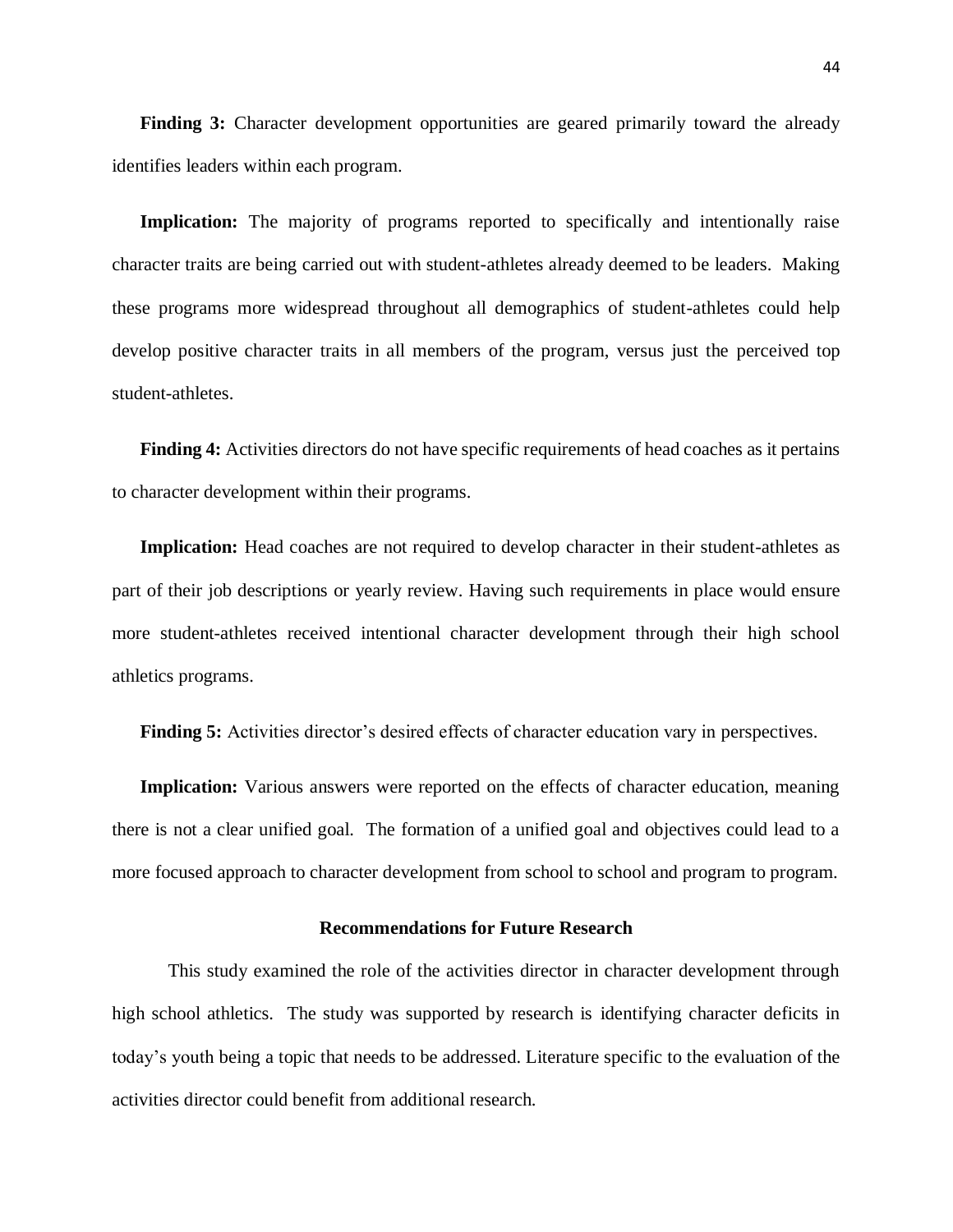**Finding 3:** Character development opportunities are geared primarily toward the already identifies leaders within each program.

Implication: The majority of programs reported to specifically and intentionally raise character traits are being carried out with student-athletes already deemed to be leaders. Making these programs more widespread throughout all demographics of student-athletes could help develop positive character traits in all members of the program, versus just the perceived top student-athletes.

**Finding 4:** Activities directors do not have specific requirements of head coaches as it pertains to character development within their programs.

Implication: Head coaches are not required to develop character in their student-athletes as part of their job descriptions or yearly review. Having such requirements in place would ensure more student-athletes received intentional character development through their high school athletics programs.

**Finding 5:** Activities director's desired effects of character education vary in perspectives.

**Implication:** Various answers were reported on the effects of character education, meaning there is not a clear unified goal. The formation of a unified goal and objectives could lead to a more focused approach to character development from school to school and program to program.

#### **Recommendations for Future Research**

<span id="page-48-0"></span>This study examined the role of the activities director in character development through high school athletics. The study was supported by research is identifying character deficits in today's youth being a topic that needs to be addressed. Literature specific to the evaluation of the activities director could benefit from additional research.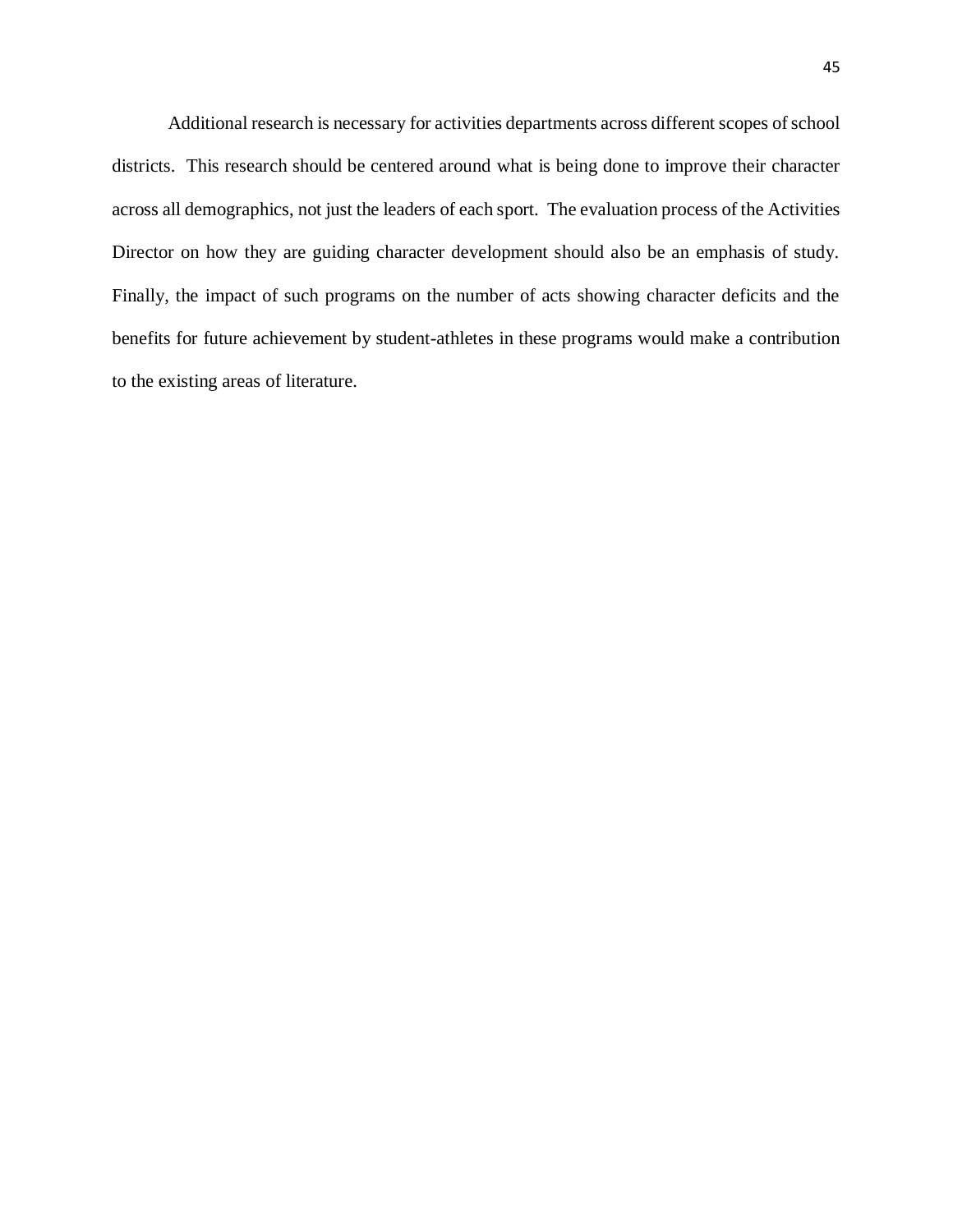Additional research is necessary for activities departments across different scopes of school districts. This research should be centered around what is being done to improve their character across all demographics, not just the leaders of each sport. The evaluation process of the Activities Director on how they are guiding character development should also be an emphasis of study. Finally, the impact of such programs on the number of acts showing character deficits and the benefits for future achievement by student-athletes in these programs would make a contribution to the existing areas of literature.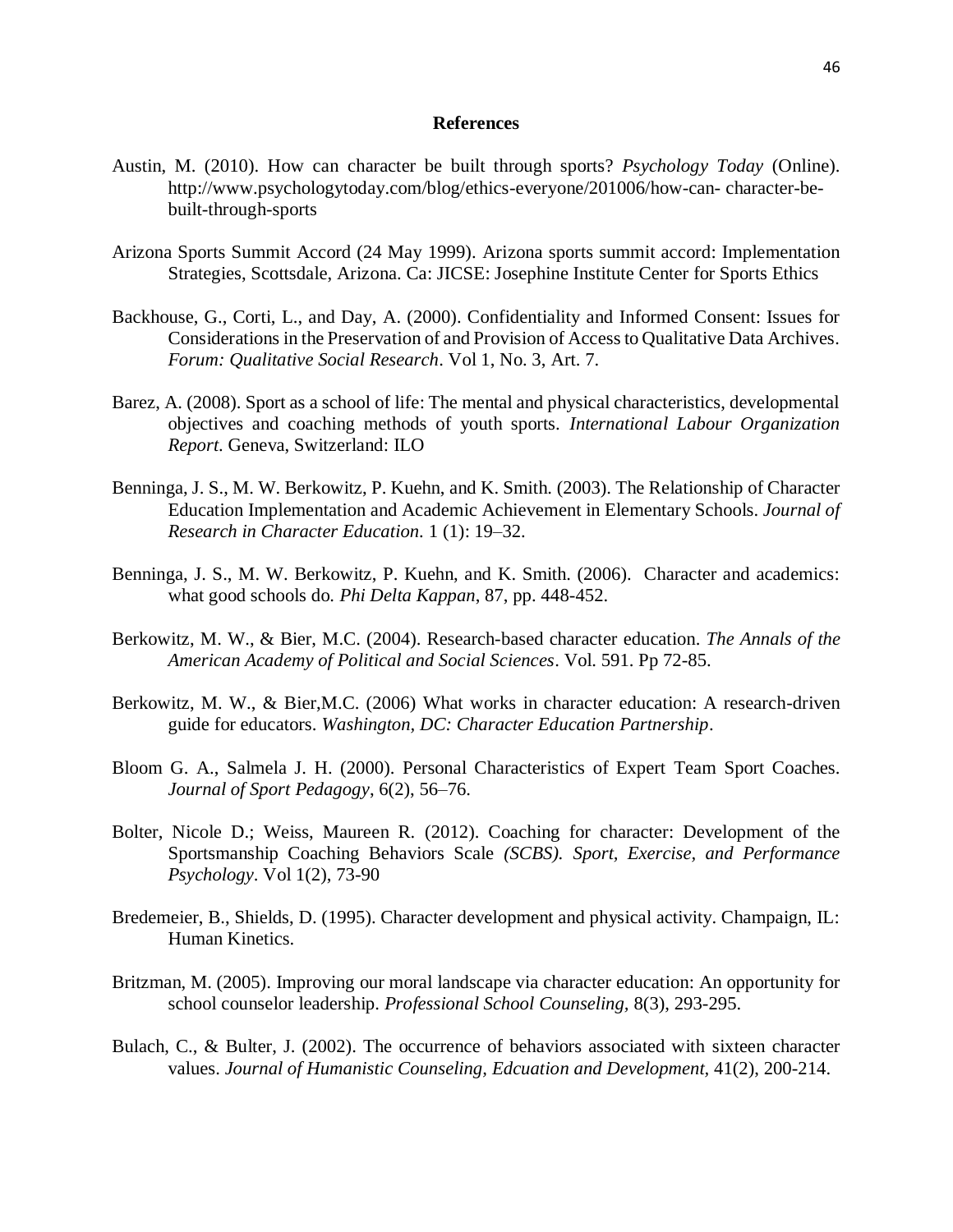#### **References**

- <span id="page-50-0"></span>Austin, M. (2010). How can character be built through sports? *Psychology Today* (Online). http://www.psychologytoday.com/blog/ethics-everyone/201006/how-can- character-bebuilt-through-sports
- Arizona Sports Summit Accord (24 May 1999). Arizona sports summit accord: Implementation Strategies, Scottsdale, Arizona. Ca: JICSE: Josephine Institute Center for Sports Ethics
- Backhouse, G., Corti, L., and Day, A. (2000). Confidentiality and Informed Consent: Issues for Considerations in the Preservation of and Provision of Access to Qualitative Data Archives*. Forum: Qualitative Social Research*. Vol 1, No. 3, Art. 7.
- Barez, A. (2008). Sport as a school of life: The mental and physical characteristics, developmental objectives and coaching methods of youth sports. *International Labour Organization Report*. Geneva, Switzerland: ILO
- Benninga, J. S., M. W. Berkowitz, P. Kuehn, and K. Smith. (2003). The Relationship of Character Education Implementation and Academic Achievement in Elementary Schools. *Journal of Research in Character Education.* 1 (1): 19–32.
- Benninga, J. S., M. W. Berkowitz, P. Kuehn, and K. Smith. (2006). Character and academics: what good schools do. *Phi Delta Kappan*, 87, pp. 448-452.
- Berkowitz, M. W., & Bier, M.C. (2004). Research-based character education. *The Annals of the American Academy of Political and Social Sciences*. Vol. 591. Pp 72-85.
- Berkowitz, M. W., & Bier,M.C. (2006) What works in character education: A research-driven guide for educators. *Washington, DC: Character Education Partnership*.
- Bloom G. A., Salmela J. H. (2000). Personal Characteristics of Expert Team Sport Coaches. *Journal of Sport Pedagogy*, 6(2), 56–76.
- Bolter, Nicole D.; Weiss, Maureen R. (2012). Coaching for character: Development of the Sportsmanship Coaching Behaviors Scale *(SCBS). Sport, Exercise, and Performance Psychology*. Vol 1(2), 73-90
- Bredemeier, B., Shields, D. (1995). Character development and physical activity. Champaign, IL: Human Kinetics.
- Britzman, M. (2005). Improving our moral landscape via character education: An opportunity for school counselor leadership. *Professional School Counseling,* 8(3), 293-295.
- Bulach, C., & Bulter, J. (2002). The occurrence of behaviors associated with sixteen character values. *Journal of Humanistic Counseling, Edcuation and Development,* 41(2), 200-214.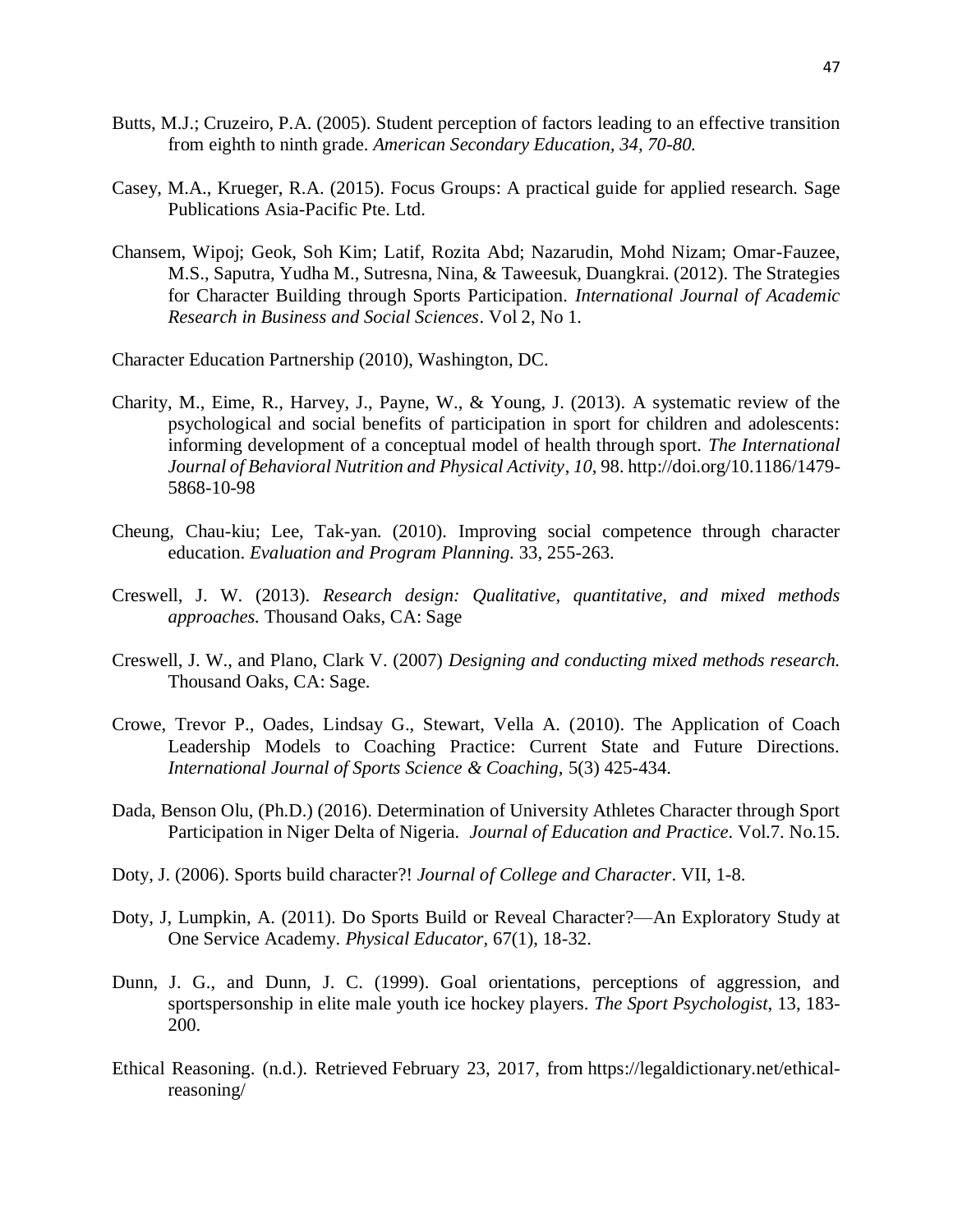- Butts, M.J.; Cruzeiro, P.A. (2005). Student perception of factors leading to an effective transition from eighth to ninth grade. *American Secondary Education, 34, 70-80.*
- Casey, M.A., Krueger, R.A. (2015). Focus Groups: A practical guide for applied research*.* Sage Publications Asia-Pacific Pte. Ltd.
- Chansem, Wipoj; Geok, Soh Kim; Latif, Rozita Abd; Nazarudin, Mohd Nizam; Omar-Fauzee, M.S., Saputra, Yudha M., Sutresna, Nina, & Taweesuk, Duangkrai. (2012). The Strategies for Character Building through Sports Participation*. International Journal of Academic Research in Business and Social Sciences*. Vol 2, No 1*.*

Character Education Partnership (2010), Washington, DC.

- Charity, M., Eime, R., Harvey, J., Payne, W., & Young, J. (2013). A systematic review of the psychological and social benefits of participation in sport for children and adolescents: informing development of a conceptual model of health through sport. *The International Journal of Behavioral Nutrition and Physical Activity*, *10*, 98. http://doi.org/10.1186/1479- 5868-10-98
- Cheung, Chau-kiu; Lee, Tak-yan. (2010). Improving social competence through character education. *Evaluation and Program Planning.* 33, 255-263.
- Creswell, J. W. (2013). *Research design: Qualitative, quantitative, and mixed methods approaches.* Thousand Oaks, CA: Sage
- Creswell, J. W., and Plano, Clark V. (2007) *Designing and conducting mixed methods research.*  Thousand Oaks, CA: Sage.
- Crowe, Trevor P., Oades, Lindsay G., Stewart, Vella A. (2010). The Application of Coach Leadership Models to Coaching Practice: Current State and Future Directions. *International Journal of Sports Science & Coaching,* 5(3) 425-434.
- Dada, Benson Olu, (Ph.D.) (2016). Determination of University Athletes Character through Sport Participation in Niger Delta of Nigeria. *Journal of Education and Practice*. Vol.7. No.15.
- Doty, J. (2006). Sports build character?! *Journal of College and Character*. VII, 1-8.
- Doty, J, Lumpkin, A. (2011). Do Sports Build or Reveal Character?—An Exploratory Study at One Service Academy. *Physical Educator,* 67(1), 18-32.
- Dunn, J. G., and Dunn, J. C. (1999). Goal orientations, perceptions of aggression, and sportspersonship in elite male youth ice hockey players. *The Sport Psychologist*, 13, 183- 200.
- Ethical Reasoning. (n.d.). Retrieved February 23, 2017, from https://legaldictionary.net/ethicalreasoning/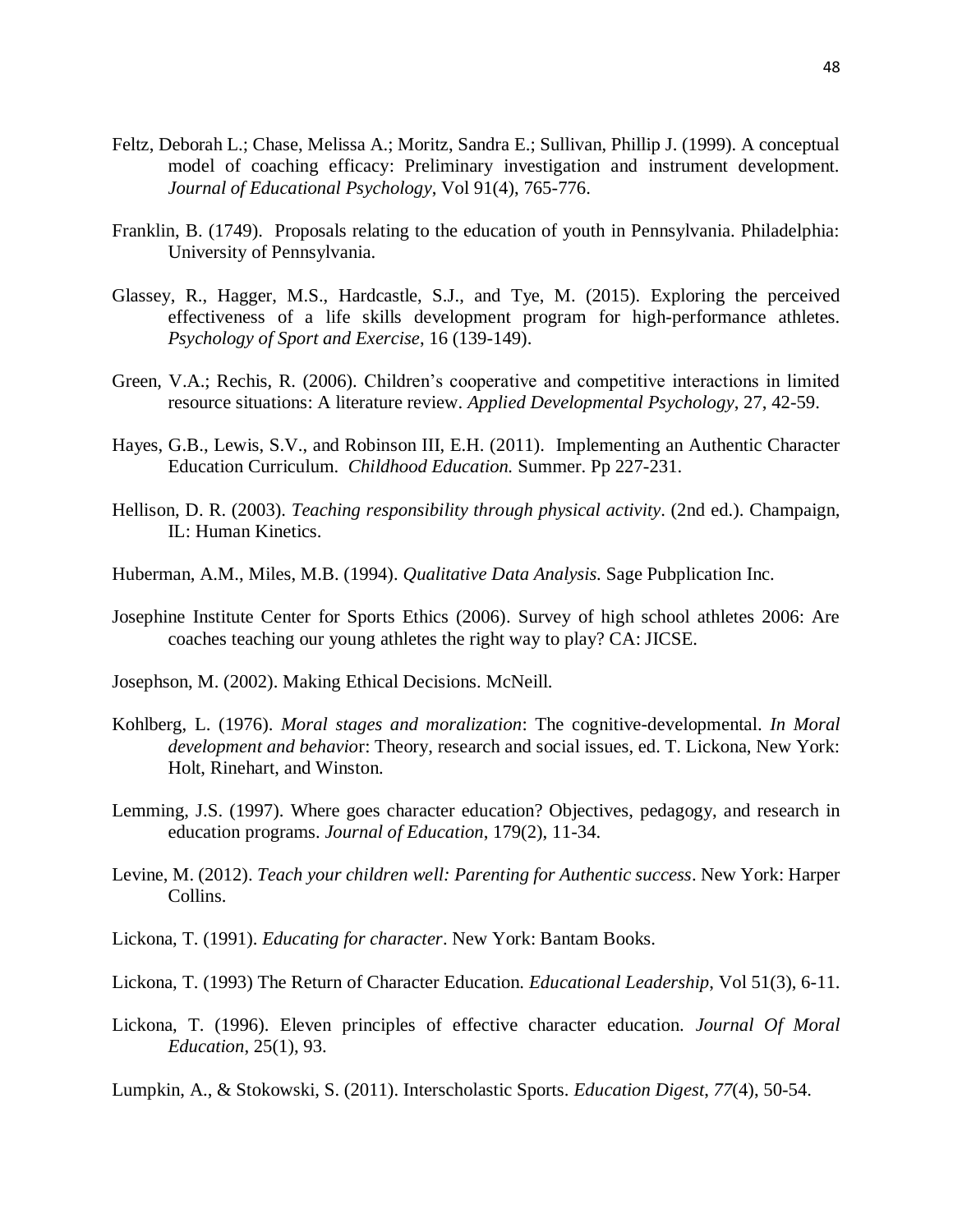- Feltz, Deborah L.; Chase, Melissa A.; Moritz, Sandra E.; Sullivan, Phillip J. (1999). A conceptual model of coaching efficacy: Preliminary investigation and instrument development. *Journal of Educational Psychology*, Vol 91(4), 765-776.
- Franklin, B. (1749). Proposals relating to the education of youth in Pennsylvania. Philadelphia: University of Pennsylvania.
- Glassey, R., Hagger, M.S., Hardcastle, S.J., and Tye, M. (2015). Exploring the perceived effectiveness of a life skills development program for high-performance athletes. *Psychology of Sport and Exercise*, 16 (139-149).
- Green, V.A.; Rechis, R. (2006). Children's cooperative and competitive interactions in limited resource situations: A literature review. *Applied Developmental Psychology*, 27, 42-59.
- Hayes, G.B., Lewis, S.V., and Robinson III, E.H. (2011). Implementing an Authentic Character Education Curriculum. *Childhood Education.* Summer. Pp 227-231.
- Hellison, D. R. (2003). *Teaching responsibility through physical activity*. (2nd ed.). Champaign, IL: Human Kinetics.
- Huberman, A.M., Miles, M.B. (1994). *Qualitative Data Analysis.* Sage Pubplication Inc.
- Josephine Institute Center for Sports Ethics (2006). Survey of high school athletes 2006: Are coaches teaching our young athletes the right way to play? CA: JICSE.
- Josephson, M. (2002). Making Ethical Decisions. McNeill.
- Kohlberg, L. (1976). *Moral stages and moralization*: The cognitive-developmental. *In Moral development and behavio*r: Theory, research and social issues, ed. T. Lickona, New York: Holt, Rinehart, and Winston.
- Lemming, J.S. (1997). Where goes character education? Objectives, pedagogy, and research in education programs. *Journal of Education*, 179(2), 11-34.
- Levine, M. (2012). *Teach your children well: Parenting for Authentic success*. New York: Harper Collins.
- Lickona, T. (1991). *Educating for character*. New York: Bantam Books.
- Lickona, T. (1993) The Return of Character Education. *Educational Leadership*, Vol 51(3), 6-11.
- Lickona, T. (1996). Eleven principles of effective character education. *Journal Of Moral Education*, 25(1), 93.
- Lumpkin, A., & Stokowski, S. (2011). Interscholastic Sports. *Education Digest*, *77*(4), 50-54.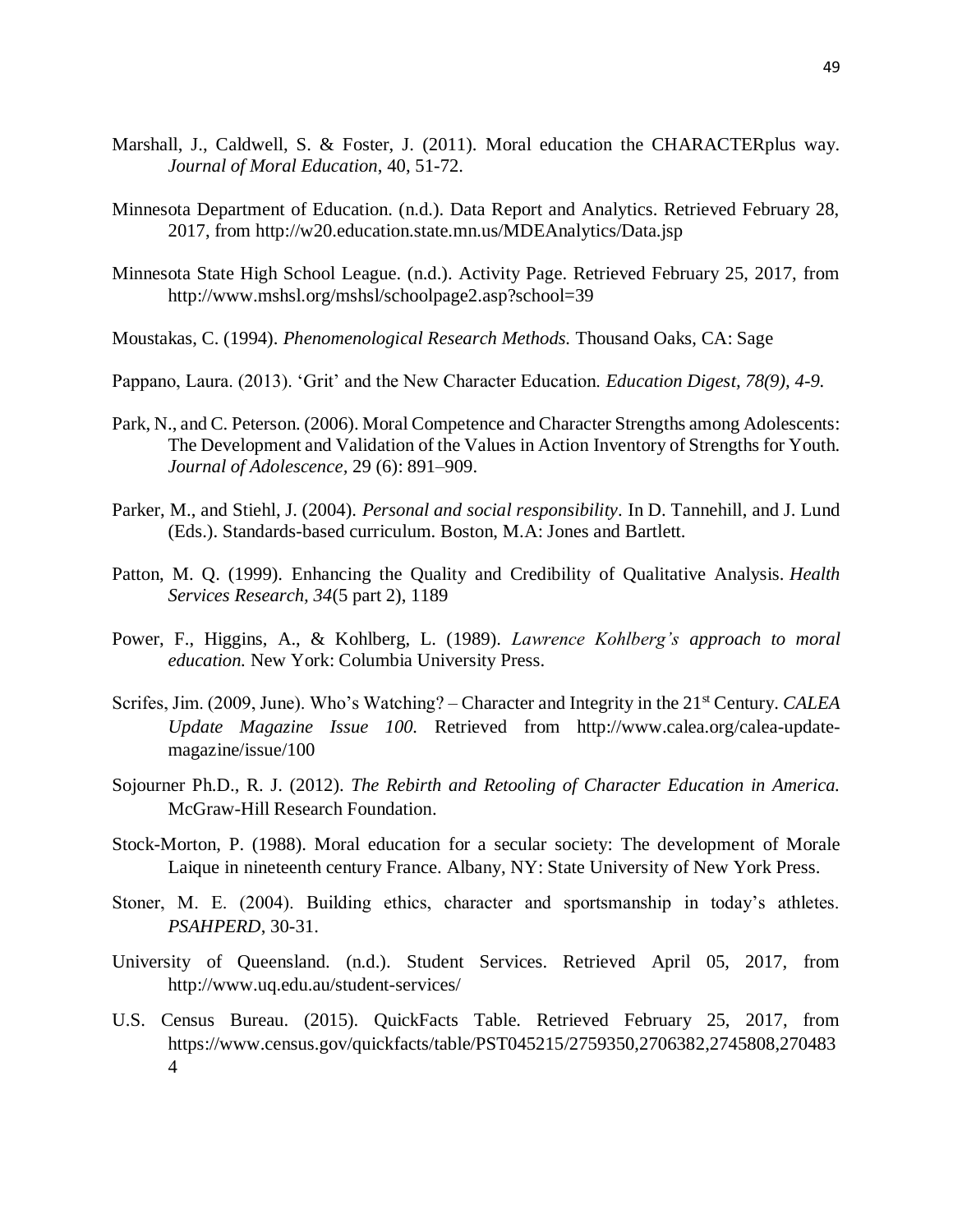- Marshall, J., Caldwell, S. & Foster, J. (2011). Moral education the CHARACTERplus way. *Journal of Moral Education*, 40, 51-72.
- Minnesota Department of Education. (n.d.). Data Report and Analytics. Retrieved February 28, 2017, from http://w20.education.state.mn.us/MDEAnalytics/Data.jsp
- Minnesota State High School League. (n.d.). Activity Page. Retrieved February 25, 2017, from http://www.mshsl.org/mshsl/schoolpage2.asp?school=39
- Moustakas, C. (1994). *Phenomenological Research Methods.* Thousand Oaks, CA: Sage
- Pappano, Laura. (2013). 'Grit' and the New Character Education. *Education Digest, 78(9), 4-9.*
- Park, N., and C. Peterson. (2006). Moral Competence and Character Strengths among Adolescents: The Development and Validation of the Values in Action Inventory of Strengths for Youth. *Journal of Adolescence,* 29 (6): 891–909.
- Parker, M., and Stiehl, J. (2004). *Personal and social responsibility*. In D. Tannehill, and J. Lund (Eds.). Standards-based curriculum. Boston, M.A: Jones and Bartlett.
- Patton, M. Q. (1999). Enhancing the Quality and Credibility of Qualitative Analysis. *Health Services Research, 34*(5 part 2), 1189
- Power, F., Higgins, A., & Kohlberg, L. (1989). *Lawrence Kohlberg's approach to moral education.* New York: Columbia University Press.
- Scrifes, Jim. (2009, June). Who's Watching? Character and Integrity in the 21<sup>st</sup> Century. *CALEA Update Magazine Issue 100.* Retrieved from http://www.calea.org/calea-updatemagazine/issue/100
- Sojourner Ph.D., R. J. (2012). *The Rebirth and Retooling of Character Education in America.*  McGraw-Hill Research Foundation.
- Stock-Morton, P. (1988). Moral education for a secular society: The development of Morale Laique in nineteenth century France. Albany, NY: State University of New York Press.
- Stoner, M. E. (2004). Building ethics, character and sportsmanship in today's athletes. *PSAHPERD*, 30-31.
- University of Queensland. (n.d.). Student Services. Retrieved April 05, 2017, from http://www.uq.edu.au/student-services/
- U.S. Census Bureau. (2015). QuickFacts Table. Retrieved February 25, 2017, from https://www.census.gov/quickfacts/table/PST045215/2759350,2706382,2745808,270483 4